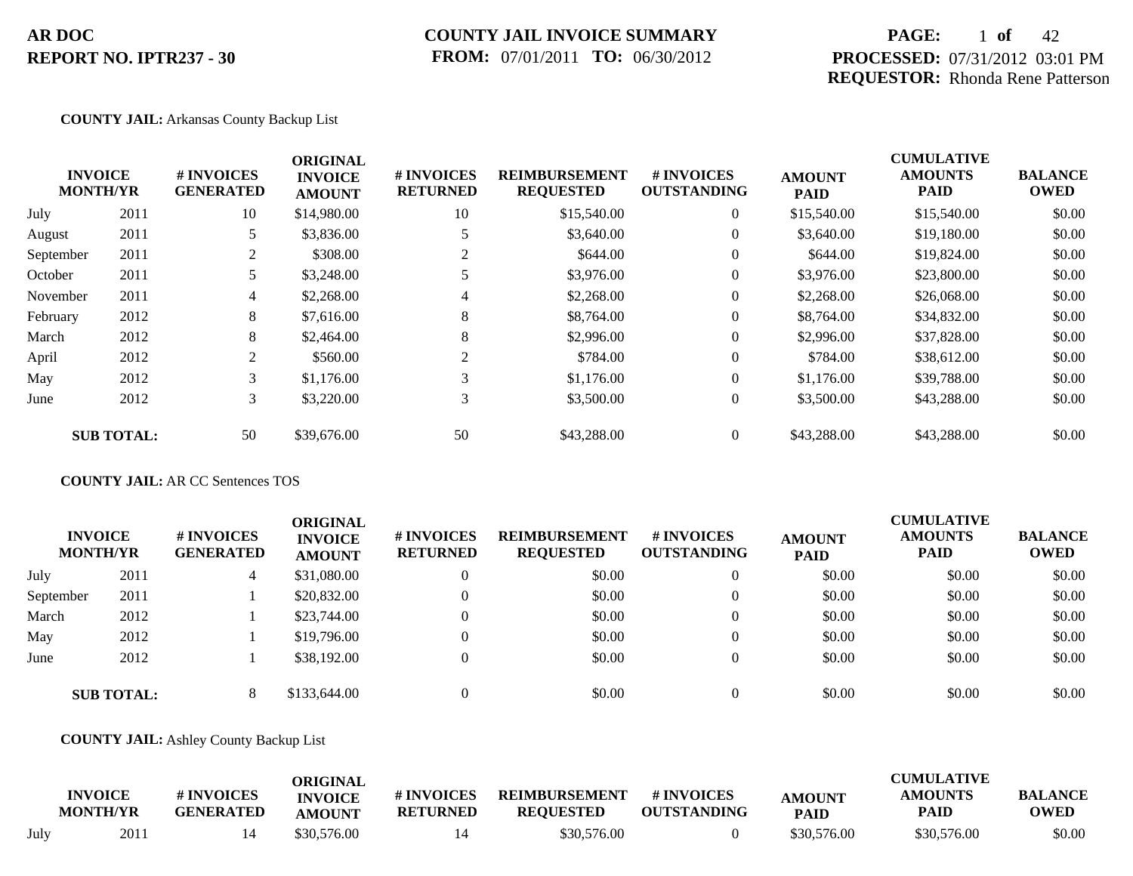## **COUNTY JAIL INVOICE SUMMARY FROM:** 07/01/2011 **TO:** 06/30/2012

# **PAGE:** 1 **of** 42 **PROCESSED:** 07/31/2012 03:01 PM **REQUESTOR:** Rhonda Rene Patterson

## **COUNTY JAIL:** Arkansas County Backup List

|           |                                   |                                | <b>ORIGINAL</b>                 |                               |                                          |                                        |                              | <b>CUMULATIVE</b>             |                               |
|-----------|-----------------------------------|--------------------------------|---------------------------------|-------------------------------|------------------------------------------|----------------------------------------|------------------------------|-------------------------------|-------------------------------|
|           | <b>INVOICE</b><br><b>MONTH/YR</b> | # INVOICES<br><b>GENERATED</b> | <b>INVOICE</b><br><b>AMOUNT</b> | # INVOICES<br><b>RETURNED</b> | <b>REIMBURSEMENT</b><br><b>REQUESTED</b> | <b>#INVOICES</b><br><b>OUTSTANDING</b> | <b>AMOUNT</b><br><b>PAID</b> | <b>AMOUNTS</b><br><b>PAID</b> | <b>BALANCE</b><br><b>OWED</b> |
| July      | 2011                              | 10                             | \$14,980.00                     | 10                            | \$15,540.00                              | $\overline{0}$                         | \$15,540.00                  | \$15,540.00                   | \$0.00                        |
| August    | 2011                              |                                | \$3,836.00                      |                               | \$3,640.00                               | $\overline{0}$                         | \$3,640.00                   | \$19,180.00                   | \$0.00                        |
| September | 2011                              | 2                              | \$308.00                        |                               | \$644.00                                 | $\overline{0}$                         | \$644.00                     | \$19,824.00                   | \$0.00                        |
| October   | 2011                              | 5                              | \$3,248.00                      |                               | \$3,976.00                               | $\overline{0}$                         | \$3,976.00                   | \$23,800.00                   | \$0.00                        |
| November  | 2011                              | $\overline{4}$                 | \$2,268.00                      | 4                             | \$2,268.00                               | $\overline{0}$                         | \$2,268.00                   | \$26,068.00                   | \$0.00                        |
| February  | 2012                              | 8                              | \$7,616.00                      | 8                             | \$8,764.00                               | $\overline{0}$                         | \$8,764.00                   | \$34,832.00                   | \$0.00                        |
| March     | 2012                              | 8                              | \$2,464.00                      | 8                             | \$2,996.00                               | $\overline{0}$                         | \$2,996.00                   | \$37,828.00                   | \$0.00                        |
| April     | 2012                              | 2                              | \$560.00                        | 2                             | \$784.00                                 | $\overline{0}$                         | \$784.00                     | \$38,612.00                   | \$0.00                        |
| May       | 2012                              | 3                              | \$1,176.00                      | 3                             | \$1,176.00                               | $\overline{0}$                         | \$1,176.00                   | \$39,788.00                   | \$0.00                        |
| June      | 2012                              | $\mathfrak{Z}$                 | \$3,220.00                      | 3                             | \$3,500.00                               | $\boldsymbol{0}$                       | \$3,500.00                   | \$43,288.00                   | \$0.00                        |
|           | <b>SUB TOTAL:</b>                 | 50                             | \$39,676.00                     | 50                            | \$43,288.00                              | $\theta$                               | \$43,288.00                  | \$43,288.00                   | \$0.00                        |

## **COUNTY JAIL:** AR CC Sentences TOS

| <b>INVOICE</b><br><b>MONTH/YR</b> |                   | # INVOICES<br><b>GENERATED</b> | ORIGINAL<br><b>INVOICE</b><br><b>AMOUNT</b> | <b># INVOICES</b><br><b>RETURNED</b> | <b>REIMBURSEMENT</b><br><b>REQUESTED</b> | # INVOICES<br><b>OUTSTANDING</b> | <b>AMOUNT</b><br><b>PAID</b> | <b>CUMULATIVE</b><br><b>AMOUNTS</b><br><b>PAID</b> | <b>BALANCE</b><br><b>OWED</b> |
|-----------------------------------|-------------------|--------------------------------|---------------------------------------------|--------------------------------------|------------------------------------------|----------------------------------|------------------------------|----------------------------------------------------|-------------------------------|
| July                              | 2011              | 4                              | \$31,080.00                                 | $\theta$                             | \$0.00                                   | $\theta$                         | \$0.00                       | \$0.00                                             | \$0.00                        |
| September                         | 2011              |                                | \$20,832.00                                 | $\theta$                             | \$0.00                                   | $\overline{0}$                   | \$0.00                       | \$0.00                                             | \$0.00                        |
| March                             | 2012              |                                | \$23,744.00                                 | $\theta$                             | \$0.00                                   | $\overline{0}$                   | \$0.00                       | \$0.00                                             | \$0.00                        |
| May                               | 2012              |                                | \$19,796.00                                 | $\theta$                             | \$0.00                                   | $\theta$                         | \$0.00                       | \$0.00                                             | \$0.00                        |
| June                              | 2012              |                                | \$38,192.00                                 | $\mathbf{0}$                         | \$0.00                                   | $\overline{0}$                   | \$0.00                       | \$0.00                                             | \$0.00                        |
|                                   | <b>SUB TOTAL:</b> | 8                              | \$133,644.00                                | $\Omega$                             | \$0.00                                   | $\theta$                         | \$0.00                       | \$0.00                                             | \$0.00                        |

### **COUNTY JAIL:** Ashley County Backup List

|      |                                   |                                | ORIGINAL                        |                               |                                          |                                  |                              | <b>CUMULATIVE</b>      |                        |
|------|-----------------------------------|--------------------------------|---------------------------------|-------------------------------|------------------------------------------|----------------------------------|------------------------------|------------------------|------------------------|
|      | <b>INVOICE</b><br><b>MONTH/YR</b> | # INVOICES<br><b>GENERATED</b> | <b>INVOICE</b><br><b>AMOUNT</b> | # INVOICES<br><b>RETURNED</b> | <b>REIMBURSEMENT</b><br><b>REQUESTED</b> | # INVOICES<br><b>OUTSTANDING</b> | <b>AMOUNT</b><br><b>PAID</b> | <b>AMOUNTS</b><br>PAID | <b>BALANCE</b><br>OWED |
| July | 2011                              |                                | \$30,576.00                     |                               | \$30,576.00                              |                                  | \$30,576.00                  | \$30,576.00            | \$0.00                 |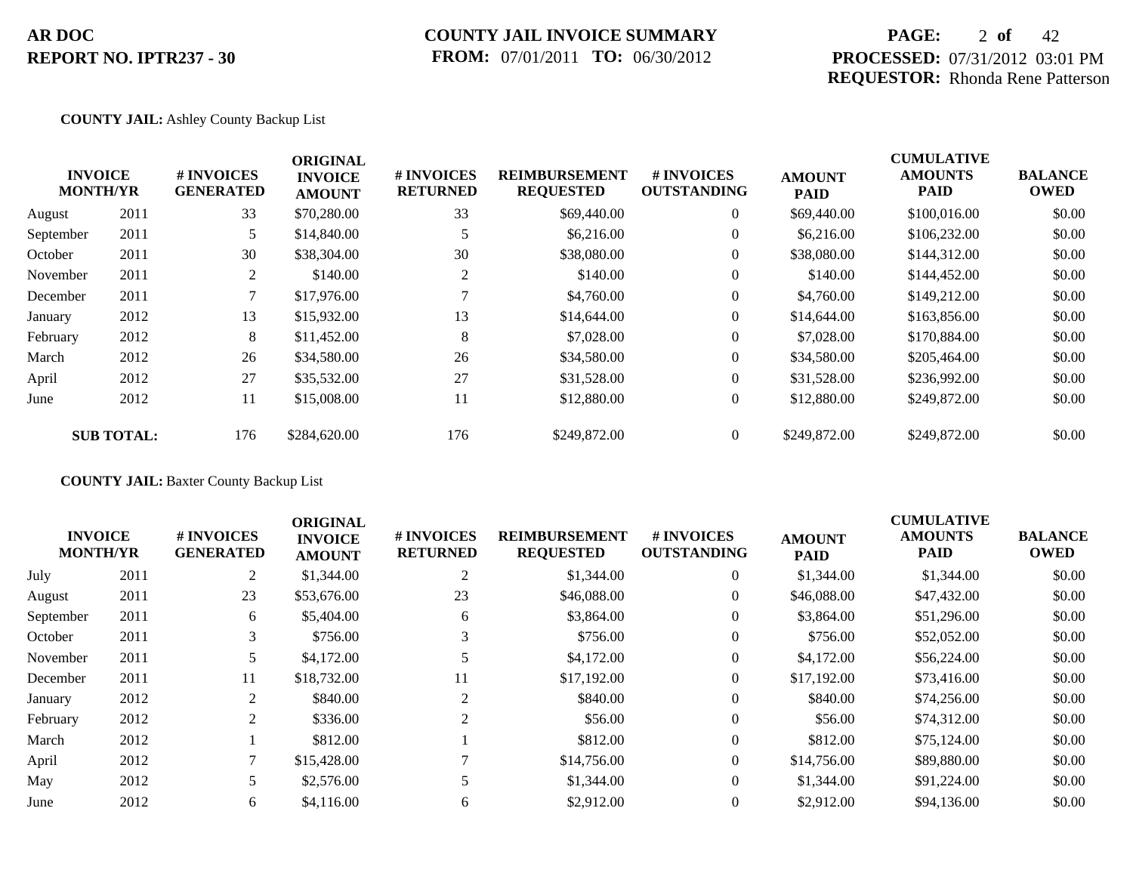# **COUNTY JAIL INVOICE SUMMARY FROM:** 07/01/2011 **TO:** 06/30/2012

# **PAGE:** 2 **of** 42 **PROCESSED:** 07/31/2012 03:01 PM **REQUESTOR:** Rhonda Rene Patterson

## **COUNTY JAIL:** Ashley County Backup List

|           |                                   |                                      | <b>ORIGINAL</b>                 |                               |                                          |                                  |                              | <b>CUMULATIVE</b>      |                               |
|-----------|-----------------------------------|--------------------------------------|---------------------------------|-------------------------------|------------------------------------------|----------------------------------|------------------------------|------------------------|-------------------------------|
|           | <b>INVOICE</b><br><b>MONTH/YR</b> | <b>#INVOICES</b><br><b>GENERATED</b> | <b>INVOICE</b><br><b>AMOUNT</b> | # INVOICES<br><b>RETURNED</b> | <b>REIMBURSEMENT</b><br><b>REQUESTED</b> | # INVOICES<br><b>OUTSTANDING</b> | <b>AMOUNT</b><br><b>PAID</b> | <b>AMOUNTS</b><br>PAID | <b>BALANCE</b><br><b>OWED</b> |
| August    | 2011                              | 33                                   | \$70,280.00                     | 33                            | \$69,440.00                              | $\overline{0}$                   | \$69,440.00                  | \$100,016.00           | \$0.00                        |
| September | 2011                              | 5                                    | \$14,840.00                     |                               | \$6,216.00                               | $\overline{0}$                   | \$6,216.00                   | \$106,232.00           | \$0.00                        |
| October   | 2011                              | 30                                   | \$38,304.00                     | 30                            | \$38,080.00                              | $\overline{0}$                   | \$38,080.00                  | \$144,312.00           | \$0.00                        |
| November  | 2011                              | 2                                    | \$140.00                        |                               | \$140.00                                 | $\overline{0}$                   | \$140.00                     | \$144,452.00           | \$0.00                        |
| December  | 2011                              | 7                                    | \$17,976.00                     |                               | \$4,760.00                               | $\overline{0}$                   | \$4,760.00                   | \$149,212.00           | \$0.00                        |
| January   | 2012                              | 13                                   | \$15,932.00                     | 13                            | \$14,644.00                              | $\overline{0}$                   | \$14,644.00                  | \$163,856.00           | \$0.00                        |
| February  | 2012                              | 8                                    | \$11,452.00                     | 8                             | \$7,028.00                               | $\overline{0}$                   | \$7,028.00                   | \$170,884.00           | \$0.00                        |
| March     | 2012                              | 26                                   | \$34,580.00                     | 26                            | \$34,580.00                              | $\overline{0}$                   | \$34,580.00                  | \$205,464.00           | \$0.00                        |
| April     | 2012                              | 27                                   | \$35,532.00                     | 27                            | \$31,528.00                              | $\overline{0}$                   | \$31,528.00                  | \$236,992.00           | \$0.00                        |
| June      | 2012                              | 11                                   | \$15,008.00                     | 11                            | \$12,880.00                              | $\overline{0}$                   | \$12,880.00                  | \$249,872.00           | \$0.00                        |
|           | <b>SUB TOTAL:</b>                 | 176                                  | \$284,620.00                    | 176                           | \$249,872.00                             | $\Omega$                         | \$249,872.00                 | \$249,872.00           | \$0.00                        |

**COUNTY JAIL:** Baxter County Backup List

| <b>INVOICE</b><br><b>MONTH/YR</b> |      | # INVOICES<br><b>GENERATED</b> | <b>ORIGINAL</b><br><b>INVOICE</b><br><b>AMOUNT</b> | # INVOICES<br><b>RETURNED</b> | <b>REIMBURSEMENT</b><br><b>REQUESTED</b> | <b># INVOICES</b><br><b>OUTSTANDING</b> | <b>AMOUNT</b><br><b>PAID</b> | <b>CUMULATIVE</b><br><b>AMOUNTS</b><br><b>PAID</b> | <b>BALANCE</b><br><b>OWED</b> |
|-----------------------------------|------|--------------------------------|----------------------------------------------------|-------------------------------|------------------------------------------|-----------------------------------------|------------------------------|----------------------------------------------------|-------------------------------|
| July                              | 2011 | 2                              | \$1,344.00                                         | 2                             | \$1,344.00                               | $\overline{0}$                          | \$1,344.00                   | \$1,344.00                                         | \$0.00                        |
| August                            | 2011 | 23                             | \$53,676.00                                        | 23                            | \$46,088.00                              | $\overline{0}$                          | \$46,088.00                  | \$47,432.00                                        | \$0.00                        |
| September                         | 2011 | 6                              | \$5,404.00                                         | 6                             | \$3,864.00                               | $\overline{0}$                          | \$3,864.00                   | \$51,296.00                                        | \$0.00                        |
| October                           | 2011 | 3                              | \$756.00                                           | 3                             | \$756.00                                 | $\overline{0}$                          | \$756.00                     | \$52,052.00                                        | \$0.00                        |
| November                          | 2011 |                                | \$4,172.00                                         |                               | \$4,172.00                               | $\overline{0}$                          | \$4,172.00                   | \$56,224.00                                        | \$0.00                        |
| December                          | 2011 | 11                             | \$18,732.00                                        | 11                            | \$17,192.00                              | $\overline{0}$                          | \$17,192.00                  | \$73,416.00                                        | \$0.00                        |
| January                           | 2012 | 2                              | \$840.00                                           | 2                             | \$840.00                                 | $\theta$                                | \$840.00                     | \$74,256.00                                        | \$0.00                        |
| February                          | 2012 | 2                              | \$336.00                                           |                               | \$56.00                                  | $\overline{0}$                          | \$56.00                      | \$74,312.00                                        | \$0.00                        |
| March                             | 2012 |                                | \$812.00                                           |                               | \$812.00                                 | $\overline{0}$                          | \$812.00                     | \$75,124.00                                        | \$0.00                        |
| April                             | 2012 |                                | \$15,428.00                                        |                               | \$14,756.00                              | $\overline{0}$                          | \$14,756.00                  | \$89,880.00                                        | \$0.00                        |
| May                               | 2012 |                                | \$2,576.00                                         |                               | \$1,344.00                               | $\overline{0}$                          | \$1,344.00                   | \$91,224.00                                        | \$0.00                        |
| June                              | 2012 | 6                              | \$4,116.00                                         | 6                             | \$2,912.00                               | $\Omega$                                | \$2,912.00                   | \$94,136.00                                        | \$0.00                        |
|                                   |      |                                |                                                    |                               |                                          |                                         |                              |                                                    |                               |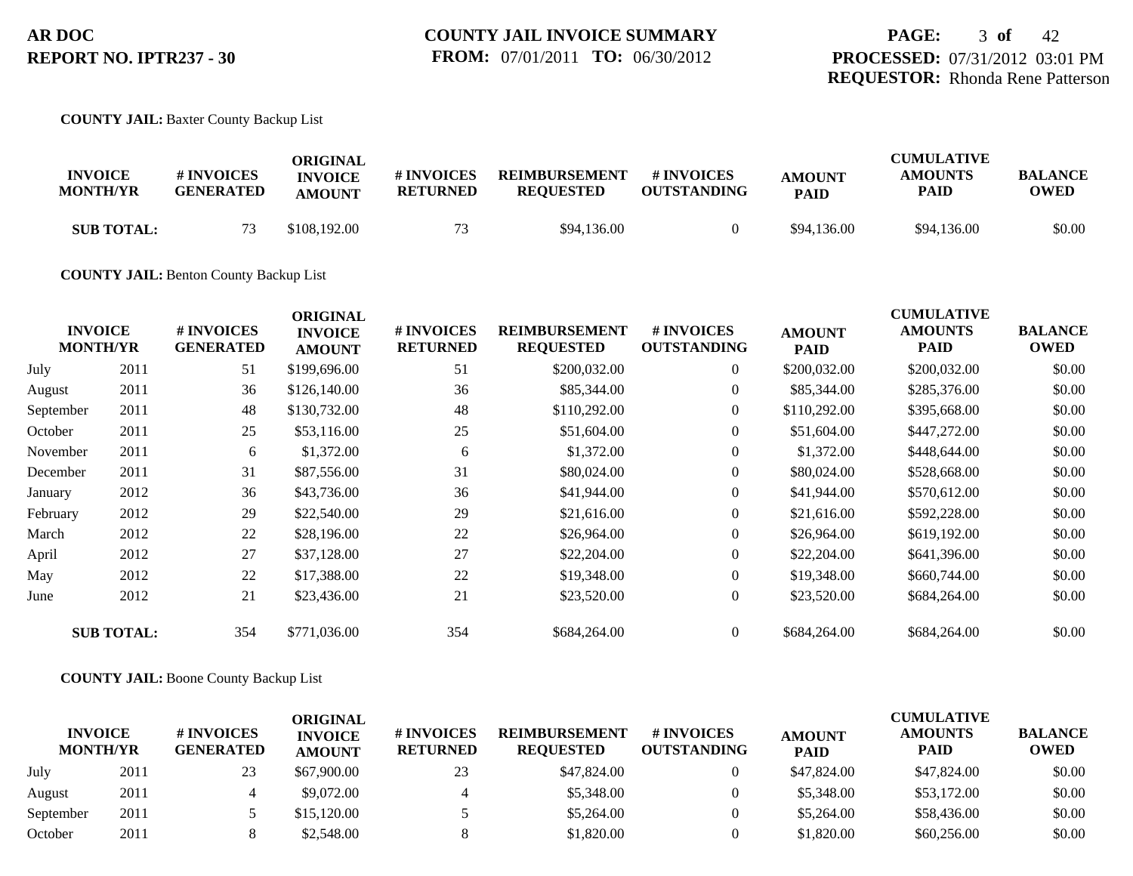**COUNTY JAIL:** Baxter County Backup List

| <b>INVOICE</b><br><b>MONTH/YR</b> | # INVOICES<br><b>GENERATED</b> | ORIGINAL<br><b>INVOICE</b><br><b>AMOUNT</b> | # INVOICES<br><b>RETURNED</b> | <b>REIMBURSEMENT</b><br><b>REQUESTED</b> | # INVOICES<br><b>OUTSTANDING</b> | <b>AMOUNT</b><br><b>PAID</b> | <b>CUMULATIVE</b><br><b>AMOUNTS</b><br>PAID | <b>BALANCE</b><br>OWED |
|-----------------------------------|--------------------------------|---------------------------------------------|-------------------------------|------------------------------------------|----------------------------------|------------------------------|---------------------------------------------|------------------------|
| <b>SUB TOTAL:</b>                 | 73                             | \$108,192.00                                | 73                            | \$94,136.00                              |                                  | \$94,136.00                  | \$94,136.00                                 | \$0.00                 |

### **COUNTY JAIL:** Benton County Backup List

| \$0.00 |
|--------|
|        |
| \$0.00 |
| \$0.00 |
| \$0.00 |
| \$0.00 |
| \$0.00 |
| \$0.00 |
| \$0.00 |
| \$0.00 |
| \$0.00 |
| \$0.00 |
| \$0.00 |
| \$0.00 |
|        |

## **COUNTY JAIL:** Boone County Backup List

| <b>INVOICE</b><br><b>MONTH/YR</b> |      | <b>#INVOICES</b><br><b>GENERATED</b> | ORIGINAL<br><b>INVOICE</b> | # INVOICES      | <b>REIMBURSEMENT</b> | <b>#INVOICES</b>   | <b>AMOUNT</b> | <b>CUMULATIVE</b><br><b>AMOUNTS</b> | <b>BALANCE</b> |
|-----------------------------------|------|--------------------------------------|----------------------------|-----------------|----------------------|--------------------|---------------|-------------------------------------|----------------|
|                                   |      |                                      | <b>AMOUNT</b>              | <b>RETURNED</b> | <b>REOUESTED</b>     | <b>OUTSTANDING</b> | <b>PAID</b>   | <b>PAID</b>                         | <b>OWED</b>    |
| July                              | 2011 | 23                                   | \$67,900.00                | 23              | \$47,824.00          |                    | \$47,824.00   | \$47,824.00                         | \$0.00         |
| August                            | 2011 |                                      | \$9,072.00                 |                 | \$5,348.00           |                    | \$5,348.00    | \$53,172.00                         | \$0.00         |
| September                         | 2011 |                                      | \$15,120.00                |                 | \$5,264.00           |                    | \$5,264.00    | \$58,436.00                         | \$0.00         |
| October                           | 2011 |                                      | \$2,548.00                 |                 | \$1,820.00           |                    | \$1,820.00    | \$60,256.00                         | \$0.00         |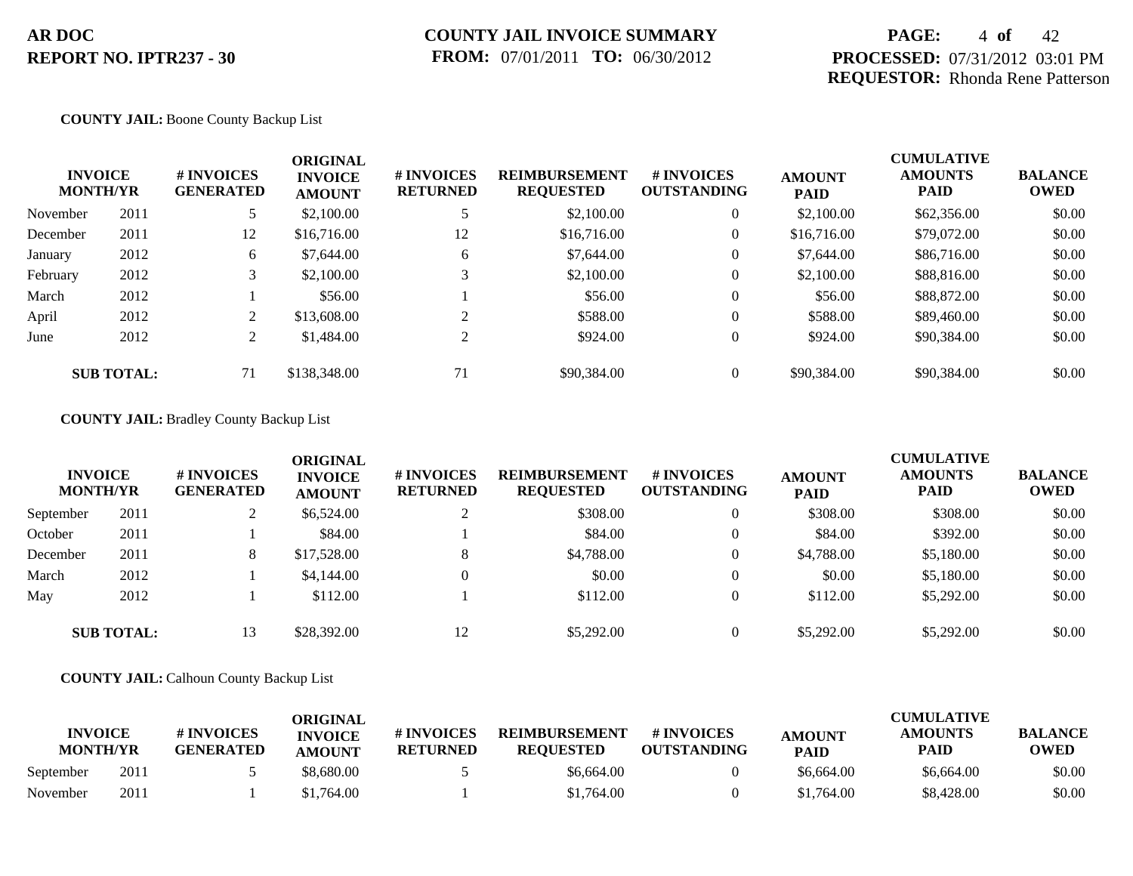# **PAGE:** 4 **of** 42 **PROCESSED:** 07/31/2012 03:01 PM **REQUESTOR:** Rhonda Rene Patterson

## **COUNTY JAIL:** Boone County Backup List

| <b>INVOICE</b><br><b>MONTH/YR</b> |      | # INVOICES<br><b>GENERATED</b> | <b>ORIGINAL</b><br><b>INVOICE</b><br><b>AMOUNT</b> | # INVOICES<br><b>RETURNED</b> | <b>REIMBURSEMENT</b><br><b>REQUESTED</b> | <b>#INVOICES</b><br><b>OUTSTANDING</b> | <b>AMOUNT</b><br><b>PAID</b> | <b>CUMULATIVE</b><br><b>AMOUNTS</b><br><b>PAID</b> | <b>BALANCE</b><br><b>OWED</b> |
|-----------------------------------|------|--------------------------------|----------------------------------------------------|-------------------------------|------------------------------------------|----------------------------------------|------------------------------|----------------------------------------------------|-------------------------------|
| November                          | 2011 | 5.                             | \$2,100.00                                         |                               | \$2,100.00                               | $\overline{0}$                         | \$2,100.00                   | \$62,356.00                                        | \$0.00                        |
| December                          | 2011 | 12                             | \$16,716.00                                        | 12                            | \$16,716.00                              | $\overline{0}$                         | \$16,716.00                  | \$79,072.00                                        | \$0.00                        |
| January                           | 2012 | 6                              | \$7,644.00                                         | 6                             | \$7,644.00                               | $\overline{0}$                         | \$7,644.00                   | \$86,716.00                                        | \$0.00                        |
| February                          | 2012 | 3 <sup>1</sup>                 | \$2,100.00                                         | $\mathbf{R}$                  | \$2,100.00                               | $\overline{0}$                         | \$2,100.00                   | \$88,816.00                                        | \$0.00                        |
| March                             | 2012 |                                | \$56.00                                            |                               | \$56.00                                  | $\overline{0}$                         | \$56.00                      | \$88,872.00                                        | \$0.00                        |
| April                             | 2012 | 2                              | \$13,608.00                                        | ↑                             | \$588.00                                 | $\overline{0}$                         | \$588.00                     | \$89,460.00                                        | \$0.00                        |
| June                              | 2012 | $\overline{2}$                 | \$1,484.00                                         | $\gamma$                      | \$924.00                                 | $\overline{0}$                         | \$924.00                     | \$90,384.00                                        | \$0.00                        |
| <b>SUB TOTAL:</b>                 |      | 71                             | \$138,348.00                                       | 71                            | \$90,384.00                              | $\overline{0}$                         | \$90,384.00                  | \$90,384.00                                        | \$0.00                        |

### **COUNTY JAIL:** Bradley County Backup List

| <b>INVOICE</b><br><b>MONTH/YR</b> |                   | # INVOICES<br><b>GENERATED</b> | <b>ORIGINAL</b><br><b>INVOICE</b><br><b>AMOUNT</b> | # INVOICES<br><b>RETURNED</b> | <b>REIMBURSEMENT</b><br><b>REQUESTED</b> | # INVOICES<br><b>OUTSTANDING</b> | <b>AMOUNT</b><br><b>PAID</b> | <b>CUMULATIVE</b><br><b>AMOUNTS</b><br><b>PAID</b> | <b>BALANCE</b><br><b>OWED</b> |
|-----------------------------------|-------------------|--------------------------------|----------------------------------------------------|-------------------------------|------------------------------------------|----------------------------------|------------------------------|----------------------------------------------------|-------------------------------|
| September                         | 2011              | ∠                              | \$6,524.00                                         |                               | \$308.00                                 | $\theta$                         | \$308.00                     | \$308.00                                           | \$0.00                        |
| October                           | 2011              |                                | \$84.00                                            |                               | \$84.00                                  | $\theta$                         | \$84.00                      | \$392.00                                           | \$0.00                        |
| December                          | 2011              | 8                              | \$17,528.00                                        | 8                             | \$4,788.00                               | $\theta$                         | \$4,788.00                   | \$5,180.00                                         | \$0.00                        |
| March                             | 2012              |                                | \$4,144.00                                         |                               | \$0.00                                   | $\theta$                         | \$0.00                       | \$5,180.00                                         | \$0.00                        |
| May                               | 2012              |                                | \$112.00                                           |                               | \$112.00                                 | $\theta$                         | \$112.00                     | \$5,292.00                                         | \$0.00                        |
|                                   | <b>SUB TOTAL:</b> | 13                             | \$28,392.00                                        | 12                            | \$5,292.00                               | $\Omega$                         | \$5,292.00                   | \$5,292.00                                         | \$0.00                        |

## **COUNTY JAIL:** Calhoun County Backup List

|                                   |      |                                | ORIGINAL                        |                               |                                          |                                  |                              | <b>CUMULATIVE</b>             |                               |  |  |  |
|-----------------------------------|------|--------------------------------|---------------------------------|-------------------------------|------------------------------------------|----------------------------------|------------------------------|-------------------------------|-------------------------------|--|--|--|
| <b>INVOICE</b><br><b>MONTH/YR</b> |      | # INVOICES<br><b>GENERATED</b> | <b>INVOICE</b><br><b>AMOUNT</b> | # INVOICES<br><b>RETURNED</b> | <b>REIMBURSEMENT</b><br><b>REQUESTED</b> | # INVOICES<br><b>OUTSTANDING</b> | <b>AMOUNT</b><br><b>PAID</b> | <b>AMOUNTS</b><br><b>PAID</b> | <b>BALANCE</b><br><b>OWED</b> |  |  |  |
| September                         | 2011 |                                | \$8.680.00                      |                               | \$6,664.00                               |                                  | \$6,664.00                   | \$6,664.00                    | \$0.00                        |  |  |  |
| November                          | 2011 |                                | \$1,764.00                      |                               | \$1,764.00                               |                                  | \$1,764.00                   | \$8,428.00                    | \$0.00                        |  |  |  |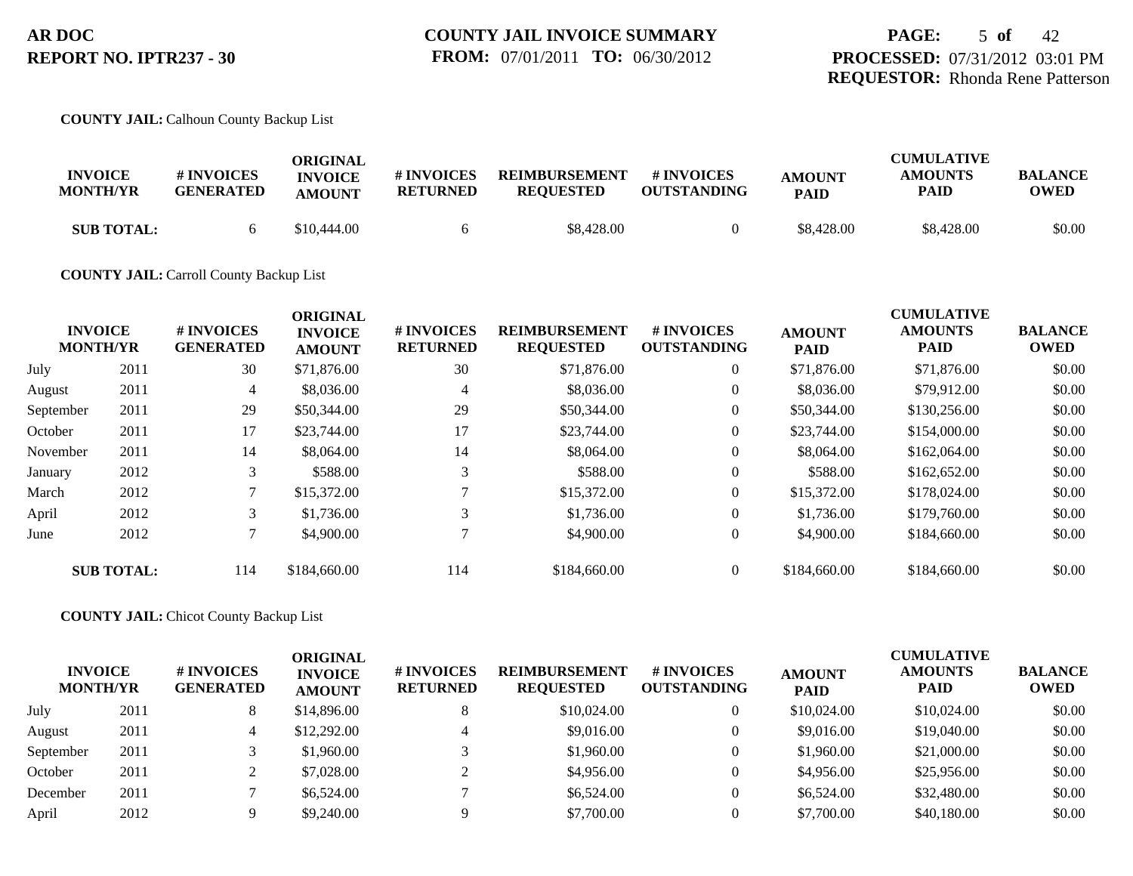**COUNTY JAIL:** Calhoun County Backup List

| <b>INVOICE</b><br><b>MONTH/YR</b> | # INVOICES<br><b>GENERATED</b> | ORIGINAL<br><b>INVOICE</b><br><b>AMOUNT</b> | # INVOICES<br><b>RETURNED</b> | <b>REIMBURSEMENT</b><br><b>REOUESTED</b> | # INVOICES<br><b>OUTSTANDING</b> | <b>AMOUNT</b><br><b>PAID</b> | <b>CUMULATIVE</b><br><b>AMOUNTS</b><br>PAID | <b>BALANCE</b><br><b>OWED</b> |
|-----------------------------------|--------------------------------|---------------------------------------------|-------------------------------|------------------------------------------|----------------------------------|------------------------------|---------------------------------------------|-------------------------------|
| <b>SUB TOTAL:</b>                 |                                | \$10,444.00                                 |                               | \$8,428.00                               |                                  | \$8,428.00                   | \$8,428.00                                  | \$0.00                        |

### **COUNTY JAIL:** Carroll County Backup List

|           | <b>INVOICE</b><br><b>MONTH/YR</b> | <b>#INVOICES</b><br><b>GENERATED</b> | <b>ORIGINAL</b><br><b>INVOICE</b><br><b>AMOUNT</b> | <b>#INVOICES</b><br><b>RETURNED</b> | <b>REIMBURSEMENT</b><br><b>REQUESTED</b> | <b>#INVOICES</b><br><b>OUTSTANDING</b> | <b>AMOUNT</b><br><b>PAID</b> | <b>CUMULATIVE</b><br><b>AMOUNTS</b><br>PAID | <b>BALANCE</b><br><b>OWED</b> |
|-----------|-----------------------------------|--------------------------------------|----------------------------------------------------|-------------------------------------|------------------------------------------|----------------------------------------|------------------------------|---------------------------------------------|-------------------------------|
| July      | 2011                              | 30                                   | \$71,876.00                                        | 30                                  | \$71,876.00                              | $\overline{0}$                         | \$71,876.00                  | \$71,876.00                                 | \$0.00                        |
| August    | 2011                              | 4                                    | \$8,036.00                                         | $\overline{4}$                      | \$8,036.00                               | $\overline{0}$                         | \$8,036.00                   | \$79,912.00                                 | \$0.00                        |
| September | 2011                              | 29                                   | \$50,344.00                                        | 29                                  | \$50,344.00                              | $\overline{0}$                         | \$50,344.00                  | \$130,256.00                                | \$0.00                        |
| October   | 2011                              | 17                                   | \$23,744.00                                        | 17                                  | \$23,744.00                              | $\overline{0}$                         | \$23,744.00                  | \$154,000.00                                | \$0.00                        |
| November  | 2011                              | 14                                   | \$8,064.00                                         | 14                                  | \$8,064.00                               | $\overline{0}$                         | \$8,064.00                   | \$162,064.00                                | \$0.00                        |
| January   | 2012                              | 3                                    | \$588.00                                           | 3                                   | \$588.00                                 | $\overline{0}$                         | \$588.00                     | \$162,652.00                                | \$0.00                        |
| March     | 2012                              | 7                                    | \$15,372.00                                        |                                     | \$15,372.00                              | $\overline{0}$                         | \$15,372.00                  | \$178,024.00                                | \$0.00                        |
| April     | 2012                              | 3                                    | \$1,736.00                                         | 3                                   | \$1,736.00                               | $\overline{0}$                         | \$1,736.00                   | \$179,760.00                                | \$0.00                        |
| June      | 2012                              | 7                                    | \$4,900.00                                         |                                     | \$4,900.00                               | $\overline{0}$                         | \$4,900.00                   | \$184,660.00                                | \$0.00                        |
|           | <b>SUB TOTAL:</b>                 | 114                                  | \$184,660.00                                       | 114                                 | \$184,660.00                             | $\overline{0}$                         | \$184,660.00                 | \$184,660.00                                | \$0.00                        |

**COUNTY JAIL:** Chicot County Backup List

| <b>INVOICE</b><br><b>MONTH/YR</b> |      | # INVOICES<br><b>GENERATED</b> | <b>ORIGINAL</b><br><b>INVOICE</b><br><b>AMOUNT</b> | # INVOICES<br><b>RETURNED</b> | <b>REIMBURSEMENT</b><br><b>REQUESTED</b> | # INVOICES<br><b>OUTSTANDING</b> | <b>AMOUNT</b><br><b>PAID</b> | <b>CUMULATIVE</b><br><b>AMOUNTS</b><br><b>PAID</b> | <b>BALANCE</b><br><b>OWED</b> |
|-----------------------------------|------|--------------------------------|----------------------------------------------------|-------------------------------|------------------------------------------|----------------------------------|------------------------------|----------------------------------------------------|-------------------------------|
| July                              | 2011 | 8                              | \$14,896.00                                        |                               | \$10,024.00                              | $\overline{0}$                   | \$10,024.00                  | \$10,024.00                                        | \$0.00                        |
| August                            | 2011 | 4                              | \$12,292.00                                        |                               | \$9,016.00                               | $\Omega$                         | \$9,016.00                   | \$19,040.00                                        | \$0.00                        |
| September                         | 2011 |                                | \$1,960.00                                         |                               | \$1,960.00                               | $\theta$                         | \$1,960.00                   | \$21,000.00                                        | \$0.00                        |
| October                           | 2011 |                                | \$7,028.00                                         |                               | \$4,956.00                               | $\theta$                         | \$4,956.00                   | \$25,956.00                                        | \$0.00                        |
| December                          | 2011 |                                | \$6,524.00                                         |                               | \$6,524.00                               | $\theta$                         | \$6,524.00                   | \$32,480.00                                        | \$0.00                        |
| April                             | 2012 |                                | \$9,240.00                                         |                               | \$7,700.00                               |                                  | \$7,700.00                   | \$40,180,00                                        | \$0.00                        |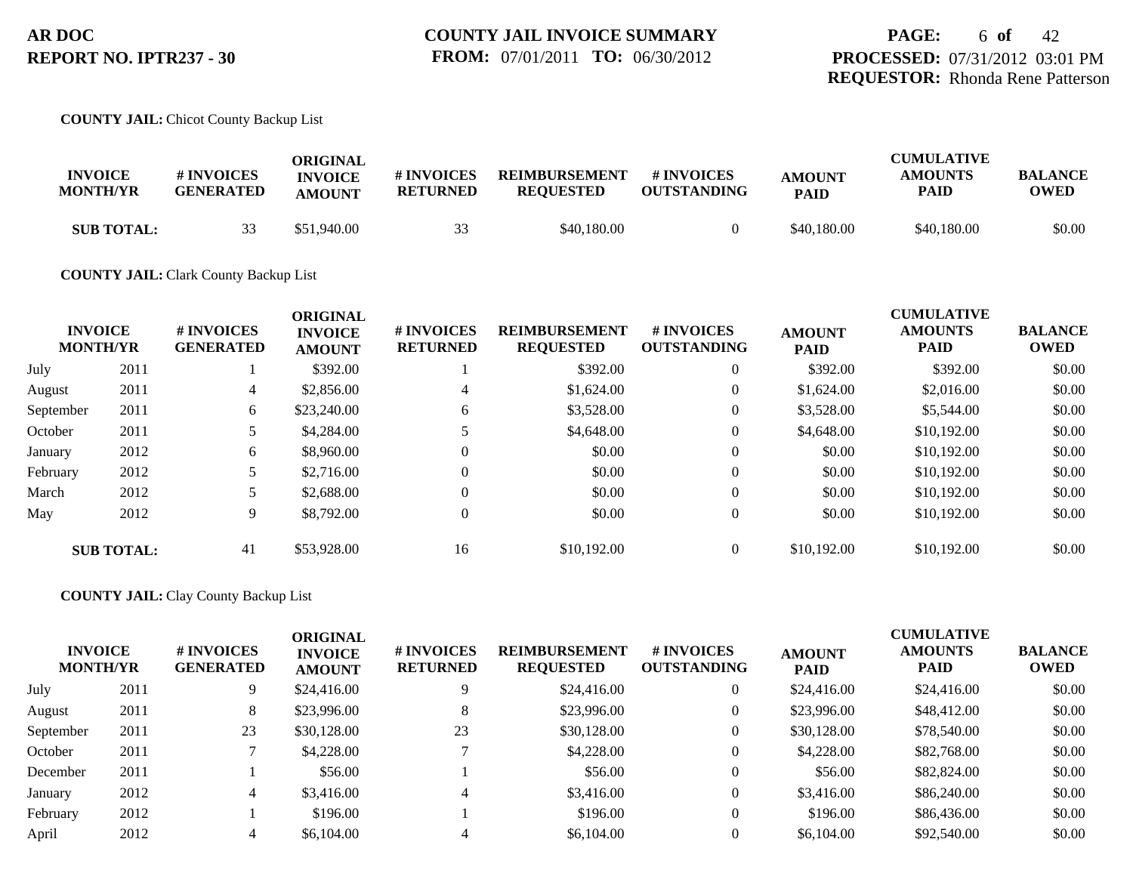## **COUNTY JAIL:** Chicot County Backup List

| <b>INVOICE</b><br><b>MONTH/YR</b> | <b>#INVOICES</b><br><b>GENERATED</b> | ORIGINAL<br><b>INVOICE</b><br><b>AMOUNT</b> | # INVOICES<br><b>RETURNED</b> | <b>REIMBURSEMENT</b><br><b>REOUESTED</b> | # INVOICES<br><b>OUTSTANDING</b> | <b>AMOUNT</b><br><b>PAID</b> | <b>CUMULATIVE</b><br><b>AMOUNTS</b><br><b>PAID</b> | <b>BALANCE</b><br>OWED |
|-----------------------------------|--------------------------------------|---------------------------------------------|-------------------------------|------------------------------------------|----------------------------------|------------------------------|----------------------------------------------------|------------------------|
| <b>SUB TOTAL:</b>                 | 33                                   | \$51,940.00                                 | 33                            | \$40,180,00                              |                                  | \$40,180.00                  | \$40,180.00                                        | \$0.00                 |

### **COUNTY JAIL:** Clark County Backup List

|           | <b>INVOICE</b><br><b>MONTH/YR</b> | # INVOICES<br><b>GENERATED</b> | <b>ORIGINAL</b><br><b>INVOICE</b><br><b>AMOUNT</b> | # INVOICES<br><b>RETURNED</b> | <b>REIMBURSEMENT</b><br><b>REQUESTED</b> | <b>#INVOICES</b><br><b>OUTSTANDING</b> | <b>AMOUNT</b><br><b>PAID</b> | <b>CUMULATIVE</b><br><b>AMOUNTS</b><br><b>PAID</b> | <b>BALANCE</b><br><b>OWED</b> |
|-----------|-----------------------------------|--------------------------------|----------------------------------------------------|-------------------------------|------------------------------------------|----------------------------------------|------------------------------|----------------------------------------------------|-------------------------------|
| July      | 2011                              |                                | \$392.00                                           |                               | \$392.00                                 | $\theta$                               | \$392.00                     | \$392.00                                           | \$0.00                        |
| August    | 2011                              | 4                              | \$2,856.00                                         | 4                             | \$1,624.00                               | $\theta$                               | \$1,624.00                   | \$2,016.00                                         | \$0.00                        |
| September | 2011                              | 6                              | \$23,240.00                                        | 6                             | \$3,528.00                               | $\theta$                               | \$3,528.00                   | \$5,544.00                                         | \$0.00                        |
| October   | 2011                              |                                | \$4,284.00                                         |                               | \$4,648.00                               | $\overline{0}$                         | \$4,648.00                   | \$10,192.00                                        | \$0.00                        |
| January   | 2012                              | 6                              | \$8,960.00                                         | $\Omega$                      | \$0.00                                   | $\overline{0}$                         | \$0.00                       | \$10,192.00                                        | \$0.00                        |
| February  | 2012                              |                                | \$2,716.00                                         | $\Omega$                      | \$0.00                                   | $\overline{0}$                         | \$0.00                       | \$10,192.00                                        | \$0.00                        |
| March     | 2012                              | 5                              | \$2,688.00                                         | $\Omega$                      | \$0.00                                   | $\mathbf{0}$                           | \$0.00                       | \$10,192.00                                        | \$0.00                        |
| May       | 2012                              | 9                              | \$8,792.00                                         | $\Omega$                      | \$0.00                                   | $\mathbf{0}$                           | \$0.00                       | \$10,192.00                                        | \$0.00                        |
|           | <b>SUB TOTAL:</b>                 | 41                             | \$53,928.00                                        | 16                            | \$10,192.00                              | $\theta$                               | \$10,192.00                  | \$10,192.00                                        | \$0.00                        |

### **COUNTY JAIL:** Clay County Backup List

|           | <b>INVOICE</b><br><b>MONTH/YR</b> | # INVOICES<br><b>GENERATED</b> | <b>ORIGINAL</b><br><b>INVOICE</b><br><b>AMOUNT</b> | # INVOICES<br><b>RETURNED</b> | <b>REIMBURSEMENT</b><br><b>REQUESTED</b> | # INVOICES<br><b>OUTSTANDING</b> | <b>AMOUNT</b><br><b>PAID</b> | <b>CUMULATIVE</b><br><b>AMOUNTS</b><br><b>PAID</b> | <b>BALANCE</b><br><b>OWED</b> |
|-----------|-----------------------------------|--------------------------------|----------------------------------------------------|-------------------------------|------------------------------------------|----------------------------------|------------------------------|----------------------------------------------------|-------------------------------|
| July      | 2011                              | 9.                             | \$24,416.00                                        |                               | \$24,416.00                              | 0                                | \$24,416.00                  | \$24,416.00                                        | \$0.00                        |
| August    | 2011                              | 8                              | \$23,996.00                                        | 8                             | \$23,996.00                              | 0                                | \$23,996.00                  | \$48,412.00                                        | \$0.00                        |
| September | 2011                              | 23                             | \$30,128.00                                        | 23                            | \$30,128,00                              | 0                                | \$30,128.00                  | \$78,540.00                                        | \$0.00                        |
| October   | 2011                              |                                | \$4,228.00                                         |                               | \$4,228.00                               | 0                                | \$4,228.00                   | \$82,768.00                                        | \$0.00                        |
| December  | 2011                              |                                | \$56.00                                            |                               | \$56.00                                  | 0                                | \$56.00                      | \$82,824.00                                        | \$0.00                        |
| January   | 2012                              | 4                              | \$3,416.00                                         | 4                             | \$3,416.00                               | 0                                | \$3,416.00                   | \$86,240.00                                        | \$0.00                        |
| February  | 2012                              |                                | \$196.00                                           |                               | \$196.00                                 | 0                                | \$196.00                     | \$86,436.00                                        | \$0.00                        |
| April     | 2012                              |                                | \$6,104.00                                         |                               | \$6,104.00                               |                                  | \$6,104.00                   | \$92,540.00                                        | \$0.00                        |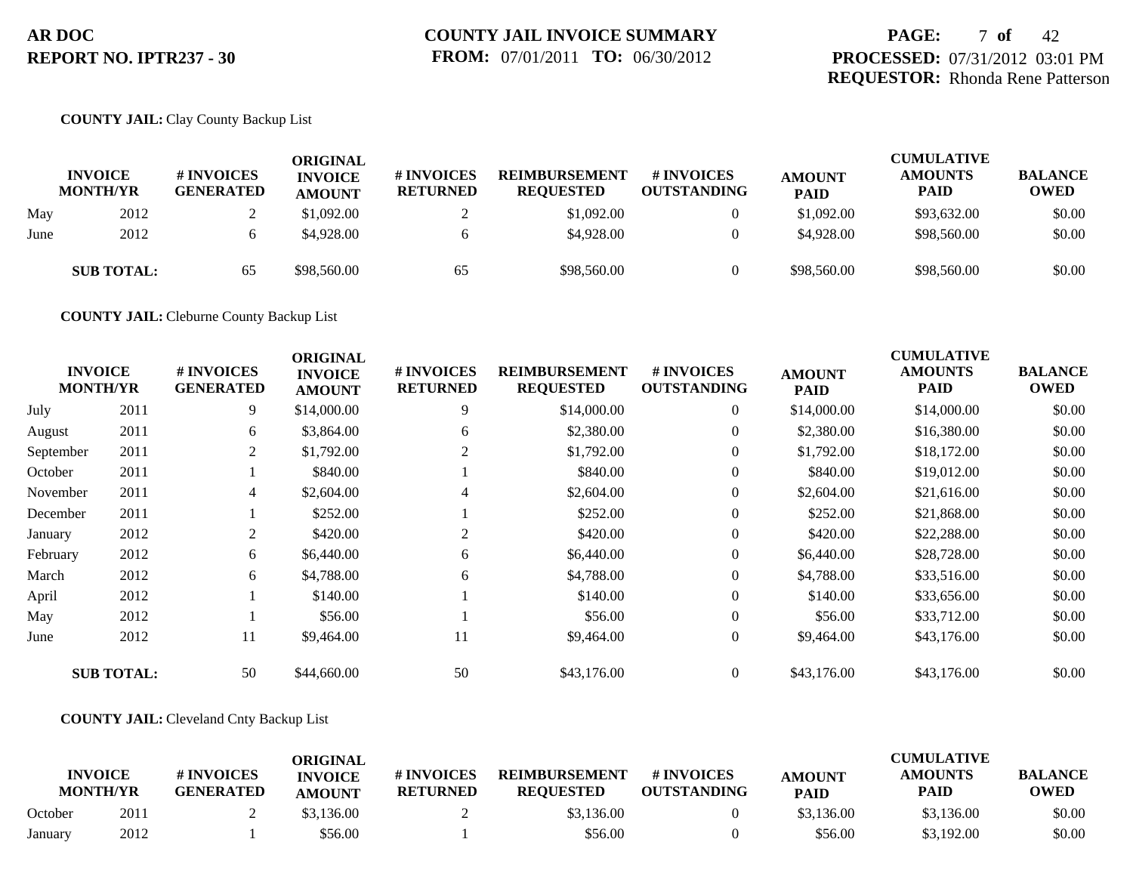# **PAGE:** 7 **of** 42 **PROCESSED:** 07/31/2012 03:01 PM **REQUESTOR:** Rhonda Rene Patterson

## **COUNTY JAIL:** Clay County Backup List

|      | <b>INVOICE</b><br><b>MONTH/YR</b> | <b># INVOICES</b><br><b>GENERATED</b> | <b>ORIGINAL</b><br><b>INVOICE</b><br><b>AMOUNT</b> | # INVOICES<br><b>RETURNED</b> | <b>REIMBURSEMENT</b><br><b>REQUESTED</b> | <b># INVOICES</b><br><b>OUTSTANDING</b> | <b>AMOUNT</b><br><b>PAID</b> | <b>CUMULATIVE</b><br><b>AMOUNTS</b><br>PAID | <b>BALANCE</b><br><b>OWED</b> |
|------|-----------------------------------|---------------------------------------|----------------------------------------------------|-------------------------------|------------------------------------------|-----------------------------------------|------------------------------|---------------------------------------------|-------------------------------|
| May  | 2012                              |                                       | \$1,092.00                                         |                               | \$1,092.00                               | $\overline{0}$                          | \$1,092.00                   | \$93,632.00                                 | \$0.00                        |
| June | 2012                              |                                       | \$4,928,00                                         |                               | \$4,928.00                               | $\overline{0}$                          | \$4,928.00                   | \$98,560.00                                 | \$0.00                        |
|      | <b>SUB TOTAL:</b>                 | 65                                    | \$98,560.00                                        | 65                            | \$98,560.00                              | $\theta$                                | \$98,560.00                  | \$98,560.00                                 | \$0.00                        |

**COUNTY JAIL:** Cleburne County Backup List

|           | <b>INVOICE</b><br><b>MONTH/YR</b> | # INVOICES<br><b>GENERATED</b> | <b>ORIGINAL</b><br><b>INVOICE</b><br><b>AMOUNT</b> | <b>#INVOICES</b><br><b>RETURNED</b> | <b>REIMBURSEMENT</b><br><b>REQUESTED</b> | <b>#INVOICES</b><br><b>OUTSTANDING</b> | <b>AMOUNT</b><br><b>PAID</b> | <b>CUMULATIVE</b><br><b>AMOUNTS</b><br><b>PAID</b> | <b>BALANCE</b><br><b>OWED</b> |
|-----------|-----------------------------------|--------------------------------|----------------------------------------------------|-------------------------------------|------------------------------------------|----------------------------------------|------------------------------|----------------------------------------------------|-------------------------------|
| July      | 2011                              | 9                              | \$14,000.00                                        | 9                                   | \$14,000.00                              | $\overline{0}$                         | \$14,000.00                  | \$14,000.00                                        | \$0.00                        |
| August    | 2011                              | 6                              | \$3,864.00                                         | 6                                   | \$2,380.00                               | $\overline{0}$                         | \$2,380.00                   | \$16,380.00                                        | \$0.00                        |
| September | 2011                              | $\overline{2}$                 | \$1,792.00                                         | 2                                   | \$1,792.00                               | $\overline{0}$                         | \$1,792.00                   | \$18,172.00                                        | \$0.00                        |
| October   | 2011                              |                                | \$840.00                                           |                                     | \$840.00                                 | $\overline{0}$                         | \$840.00                     | \$19,012.00                                        | \$0.00                        |
| November  | 2011                              | 4                              | \$2,604.00                                         | 4                                   | \$2,604.00                               | $\overline{0}$                         | \$2,604.00                   | \$21,616.00                                        | \$0.00                        |
| December  | 2011                              |                                | \$252.00                                           |                                     | \$252.00                                 | $\overline{0}$                         | \$252.00                     | \$21,868.00                                        | \$0.00                        |
| January   | 2012                              | 2                              | \$420.00                                           | 2                                   | \$420.00                                 | $\overline{0}$                         | \$420.00                     | \$22,288.00                                        | \$0.00                        |
| February  | 2012                              | 6                              | \$6,440.00                                         | 6                                   | \$6,440.00                               | $\overline{0}$                         | \$6,440.00                   | \$28,728.00                                        | \$0.00                        |
| March     | 2012                              | 6                              | \$4,788.00                                         | 6                                   | \$4,788.00                               | $\overline{0}$                         | \$4,788.00                   | \$33,516.00                                        | \$0.00                        |
| April     | 2012                              |                                | \$140.00                                           |                                     | \$140.00                                 | $\boldsymbol{0}$                       | \$140.00                     | \$33,656.00                                        | \$0.00                        |
| May       | 2012                              |                                | \$56.00                                            |                                     | \$56.00                                  | $\overline{0}$                         | \$56.00                      | \$33,712.00                                        | \$0.00                        |
| June      | 2012                              | 11                             | \$9,464.00                                         | 11                                  | \$9,464.00                               | $\overline{0}$                         | \$9,464.00                   | \$43,176.00                                        | \$0.00                        |
|           | <b>SUB TOTAL:</b>                 | 50                             | \$44,660.00                                        | 50                                  | \$43,176.00                              | $\overline{0}$                         | \$43,176.00                  | \$43,176.00                                        | \$0.00                        |

### **COUNTY JAIL:** Cleveland Cnty Backup List

|         |                                   |                                | ORIGINAL                        |                               |                                          |                                  |                              | <b>CUMULATIVE</b>      |                               |
|---------|-----------------------------------|--------------------------------|---------------------------------|-------------------------------|------------------------------------------|----------------------------------|------------------------------|------------------------|-------------------------------|
|         | <b>INVOICE</b><br><b>MONTH/YR</b> | # INVOICES<br><b>GENERATED</b> | <b>INVOICE</b><br><b>AMOUNT</b> | # INVOICES<br><b>RETURNED</b> | <b>REIMBURSEMENT</b><br><b>REOUESTED</b> | # INVOICES<br><b>OUTSTANDING</b> | <b>AMOUNT</b><br><b>PAID</b> | <b>AMOUNTS</b><br>PAID | <b>BALANCE</b><br><b>OWED</b> |
| October | 2011                              |                                | \$3,136.00                      |                               | \$3,136.00                               |                                  | \$3,136.00                   | \$3,136.00             | \$0.00                        |
| January | 2012                              |                                | \$56.00                         |                               | \$56.00                                  |                                  | \$56.00                      | \$3,192.00             | \$0.00                        |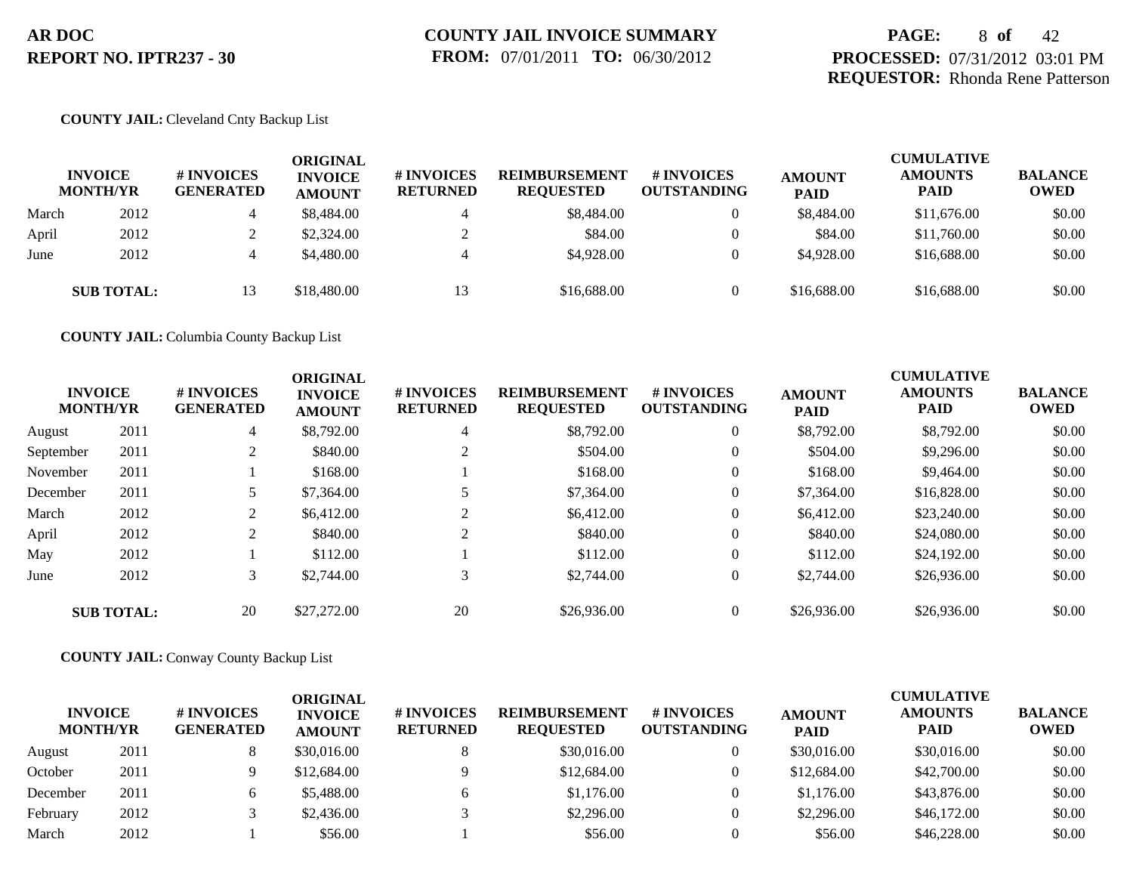# **PAGE:** 8 **of** 42 **PROCESSED:** 07/31/2012 03:01 PM **REQUESTOR:** Rhonda Rene Patterson

## **COUNTY JAIL:** Cleveland Cnty Backup List

|       | <b>INVOICE</b><br><b>MONTH/YR</b> | # INVOICES<br><b>GENERATED</b> | <b>ORIGINAL</b><br><b>INVOICE</b><br><b>AMOUNT</b> | # INVOICES<br><b>RETURNED</b> | <b>REIMBURSEMENT</b><br><b>REQUESTED</b> | # INVOICES<br><b>OUTSTANDING</b> | <b>AMOUNT</b><br><b>PAID</b> | <b>CUMULATIVE</b><br><b>AMOUNTS</b><br><b>PAID</b> | <b>BALANCE</b><br><b>OWED</b> |
|-------|-----------------------------------|--------------------------------|----------------------------------------------------|-------------------------------|------------------------------------------|----------------------------------|------------------------------|----------------------------------------------------|-------------------------------|
| March | 2012                              | 4                              | \$8,484.00                                         |                               | \$8,484.00                               | $\overline{0}$                   | \$8,484.00                   | \$11,676.00                                        | \$0.00                        |
| April | 2012                              |                                | \$2,324.00                                         |                               | \$84.00                                  |                                  | \$84.00                      | \$11,760.00                                        | \$0.00                        |
| June  | 2012                              | 4                              | \$4,480.00                                         |                               | \$4,928.00                               | $\theta$                         | \$4,928.00                   | \$16,688,00                                        | \$0.00                        |
|       | <b>SUB TOTAL:</b>                 | 13                             | \$18,480.00                                        | 13                            | \$16,688.00                              |                                  | \$16,688.00                  | \$16,688.00                                        | \$0.00                        |

**COUNTY JAIL:** Columbia County Backup List

|           | <b>INVOICE</b><br><b>MONTH/YR</b> | # INVOICES<br><b>GENERATED</b> | <b>ORIGINAL</b><br><b>INVOICE</b><br><b>AMOUNT</b> | # INVOICES<br><b>RETURNED</b> | <b>REIMBURSEMENT</b><br><b>REQUESTED</b> | <b>#INVOICES</b><br><b>OUTSTANDING</b> | <b>AMOUNT</b><br><b>PAID</b> | <b>CUMULATIVE</b><br><b>AMOUNTS</b><br><b>PAID</b> | <b>BALANCE</b><br><b>OWED</b> |
|-----------|-----------------------------------|--------------------------------|----------------------------------------------------|-------------------------------|------------------------------------------|----------------------------------------|------------------------------|----------------------------------------------------|-------------------------------|
| August    | 2011                              | $\overline{4}$                 | \$8,792.00                                         | $\overline{4}$                | \$8,792.00                               | $\overline{0}$                         | \$8,792.00                   | \$8,792.00                                         | \$0.00                        |
| September | 2011                              | $\bigcap$<br>∠                 | \$840.00                                           |                               | \$504.00                                 | $\overline{0}$                         | \$504.00                     | \$9,296.00                                         | \$0.00                        |
| November  | 2011                              |                                | \$168.00                                           |                               | \$168.00                                 | $\overline{0}$                         | \$168.00                     | \$9,464.00                                         | \$0.00                        |
| December  | 2011                              |                                | \$7,364.00                                         |                               | \$7,364.00                               | $\overline{0}$                         | \$7,364.00                   | \$16,828.00                                        | \$0.00                        |
| March     | 2012                              | $\sim$<br>∠                    | \$6,412.00                                         | $\sim$                        | \$6,412.00                               | $\overline{0}$                         | \$6,412.00                   | \$23,240.00                                        | \$0.00                        |
| April     | 2012                              | 2                              | \$840.00                                           | $\sim$                        | \$840.00                                 | $\overline{0}$                         | \$840.00                     | \$24,080.00                                        | \$0.00                        |
| May       | 2012                              |                                | \$112.00                                           |                               | \$112.00                                 | $\overline{0}$                         | \$112.00                     | \$24,192.00                                        | \$0.00                        |
| June      | 2012                              | 3                              | \$2,744.00                                         | 3                             | \$2,744.00                               | $\overline{0}$                         | \$2,744.00                   | \$26,936.00                                        | \$0.00                        |
|           | <b>SUB TOTAL:</b>                 | 20                             | \$27,272.00                                        | 20                            | \$26,936.00                              | $\theta$                               | \$26,936.00                  | \$26,936.00                                        | \$0.00                        |

**COUNTY JAIL:** Conway County Backup List

| <b>INVOICE</b><br><b>MONTH/YR</b> |      | # INVOICES<br><b>GENERATED</b> | ORIGINAL<br><b>INVOICE</b><br><b>AMOUNT</b> | # INVOICES<br><b>RETURNED</b> | <b>REIMBURSEMENT</b><br><b>REQUESTED</b> | # INVOICES<br><b>OUTSTANDING</b> | <b>AMOUNT</b><br><b>PAID</b> | <b>CUMULATIVE</b><br><b>AMOUNTS</b><br><b>PAID</b> | <b>BALANCE</b><br><b>OWED</b> |
|-----------------------------------|------|--------------------------------|---------------------------------------------|-------------------------------|------------------------------------------|----------------------------------|------------------------------|----------------------------------------------------|-------------------------------|
| August                            | 2011 |                                | \$30,016.00                                 |                               | \$30,016.00                              |                                  | \$30,016.00                  | \$30,016.00                                        | \$0.00                        |
| October                           | 2011 |                                | \$12,684.00                                 |                               | \$12,684.00                              |                                  | \$12,684.00                  | \$42,700.00                                        | \$0.00                        |
| December                          | 2011 |                                | \$5,488.00                                  |                               | \$1,176.00                               |                                  | \$1,176.00                   | \$43,876.00                                        | \$0.00                        |
| February                          | 2012 |                                | \$2,436.00                                  |                               | \$2,296.00                               |                                  | \$2,296.00                   | \$46,172.00                                        | \$0.00                        |
| March                             | 2012 |                                | \$56.00                                     |                               | \$56.00                                  |                                  | \$56.00                      | \$46,228.00                                        | \$0.00                        |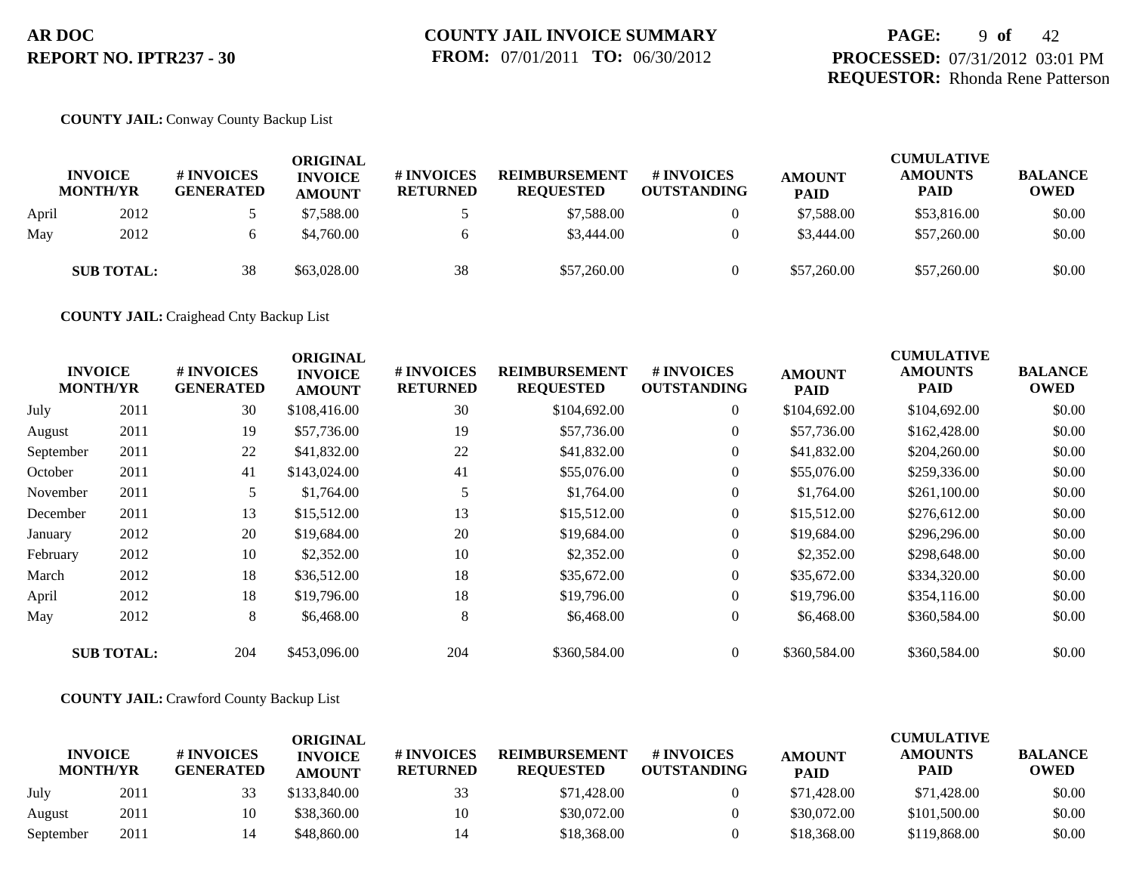# **PAGE:** 9 **of** 42 **PROCESSED:** 07/31/2012 03:01 PM **REQUESTOR:** Rhonda Rene Patterson

## **COUNTY JAIL:** Conway County Backup List

|       | <b>INVOICE</b><br><b>MONTH/YR</b> | <b># INVOICES</b><br><b>GENERATED</b> | <b>ORIGINAL</b><br><b>INVOICE</b><br><b>AMOUNT</b> | <b>#INVOICES</b><br><b>RETURNED</b> | <b>REIMBURSEMENT</b><br><b>REQUESTED</b> | <b>#INVOICES</b><br><b>OUTSTANDING</b> | <b>AMOUNT</b><br><b>PAID</b> | <b>CUMULATIVE</b><br><b>AMOUNTS</b><br><b>PAID</b> | <b>BALANCE</b><br><b>OWED</b> |
|-------|-----------------------------------|---------------------------------------|----------------------------------------------------|-------------------------------------|------------------------------------------|----------------------------------------|------------------------------|----------------------------------------------------|-------------------------------|
| April | 2012                              |                                       | \$7.588.00                                         |                                     | \$7,588.00                               |                                        | \$7,588.00                   | \$53,816.00                                        | \$0.00                        |
| May   | 2012                              |                                       | \$4,760.00                                         | 6                                   | \$3,444.00                               |                                        | \$3,444.00                   | \$57,260.00                                        | \$0.00                        |
|       | <b>SUB TOTAL:</b>                 | 38                                    | \$63,028.00                                        | 38                                  | \$57,260.00                              |                                        | \$57,260.00                  | \$57,260.00                                        | \$0.00                        |

**COUNTY JAIL:** Craighead Cnty Backup List

|           | <b>INVOICE</b><br><b>MONTH/YR</b> | # INVOICES<br><b>GENERATED</b> | <b>ORIGINAL</b><br><b>INVOICE</b><br><b>AMOUNT</b> | # INVOICES<br><b>RETURNED</b> | <b>REIMBURSEMENT</b><br><b>REQUESTED</b> | # INVOICES<br><b>OUTSTANDING</b> | <b>AMOUNT</b><br><b>PAID</b> | <b>CUMULATIVE</b><br><b>AMOUNTS</b><br><b>PAID</b> | <b>BALANCE</b><br><b>OWED</b> |
|-----------|-----------------------------------|--------------------------------|----------------------------------------------------|-------------------------------|------------------------------------------|----------------------------------|------------------------------|----------------------------------------------------|-------------------------------|
| July      | 2011                              | 30                             | \$108,416.00                                       | 30                            | \$104,692.00                             | $\overline{0}$                   | \$104,692.00                 | \$104,692.00                                       | \$0.00                        |
| August    | 2011                              | 19                             | \$57,736.00                                        | 19                            | \$57,736.00                              | $\overline{0}$                   | \$57,736.00                  | \$162,428.00                                       | \$0.00                        |
| September | 2011                              | 22                             | \$41,832.00                                        | 22                            | \$41,832.00                              | $\overline{0}$                   | \$41,832.00                  | \$204,260.00                                       | \$0.00                        |
| October   | 2011                              | 41                             | \$143,024.00                                       | 41                            | \$55,076.00                              | $\overline{0}$                   | \$55,076.00                  | \$259,336.00                                       | \$0.00                        |
| November  | 2011                              | 5.                             | \$1,764.00                                         |                               | \$1,764.00                               | $\overline{0}$                   | \$1,764.00                   | \$261,100.00                                       | \$0.00                        |
| December  | 2011                              | 13                             | \$15,512.00                                        | 13                            | \$15,512.00                              | $\overline{0}$                   | \$15,512.00                  | \$276,612.00                                       | \$0.00                        |
| January   | 2012                              | 20                             | \$19,684.00                                        | 20                            | \$19,684.00                              | $\overline{0}$                   | \$19,684.00                  | \$296,296.00                                       | \$0.00                        |
| February  | 2012                              | 10                             | \$2,352.00                                         | 10                            | \$2,352.00                               | $\overline{0}$                   | \$2,352.00                   | \$298,648.00                                       | \$0.00                        |
| March     | 2012                              | 18                             | \$36,512.00                                        | 18                            | \$35,672.00                              | $\overline{0}$                   | \$35,672.00                  | \$334,320.00                                       | \$0.00                        |
| April     | 2012                              | 18                             | \$19,796.00                                        | 18                            | \$19,796.00                              | $\overline{0}$                   | \$19,796.00                  | \$354,116.00                                       | \$0.00                        |
| May       | 2012                              | 8                              | \$6,468.00                                         | 8                             | \$6,468.00                               | $\overline{0}$                   | \$6,468.00                   | \$360,584.00                                       | \$0.00                        |
|           | <b>SUB TOTAL:</b>                 | 204                            | \$453,096.00                                       | 204                           | \$360,584.00                             | $\overline{0}$                   | \$360,584.00                 | \$360,584.00                                       | \$0.00                        |

**COUNTY JAIL:** Crawford County Backup List

| <b>INVOICE</b><br><b>MONTH/YR</b> |      | # INVOICES<br>GENERATED | ORIGINAL<br><b>INVOICE</b><br><b>AMOUNT</b> | # INVOICES<br><b>RETURNED</b> | <b>REIMBURSEMENT</b><br><b>REQUESTED</b> | # INVOICES<br><b>OUTSTANDING</b> | <b>AMOUNT</b><br><b>PAID</b> | <b>CUMULATIVE</b><br><b>AMOUNTS</b><br><b>PAID</b> | <b>BALANCE</b><br><b>OWED</b> |
|-----------------------------------|------|-------------------------|---------------------------------------------|-------------------------------|------------------------------------------|----------------------------------|------------------------------|----------------------------------------------------|-------------------------------|
| July                              | 2011 |                         | \$133,840.00                                | 33                            | \$71,428.00                              |                                  | \$71,428.00                  | \$71,428.00                                        | \$0.00                        |
| August                            | 2011 | 10                      | \$38,360.00                                 | 10                            | \$30,072.00                              |                                  | \$30,072.00                  | \$101,500.00                                       | \$0.00                        |
| September                         | 2011 |                         | \$48,860.00                                 |                               | \$18,368.00                              |                                  | \$18,368,00                  | \$119,868.00                                       | \$0.00                        |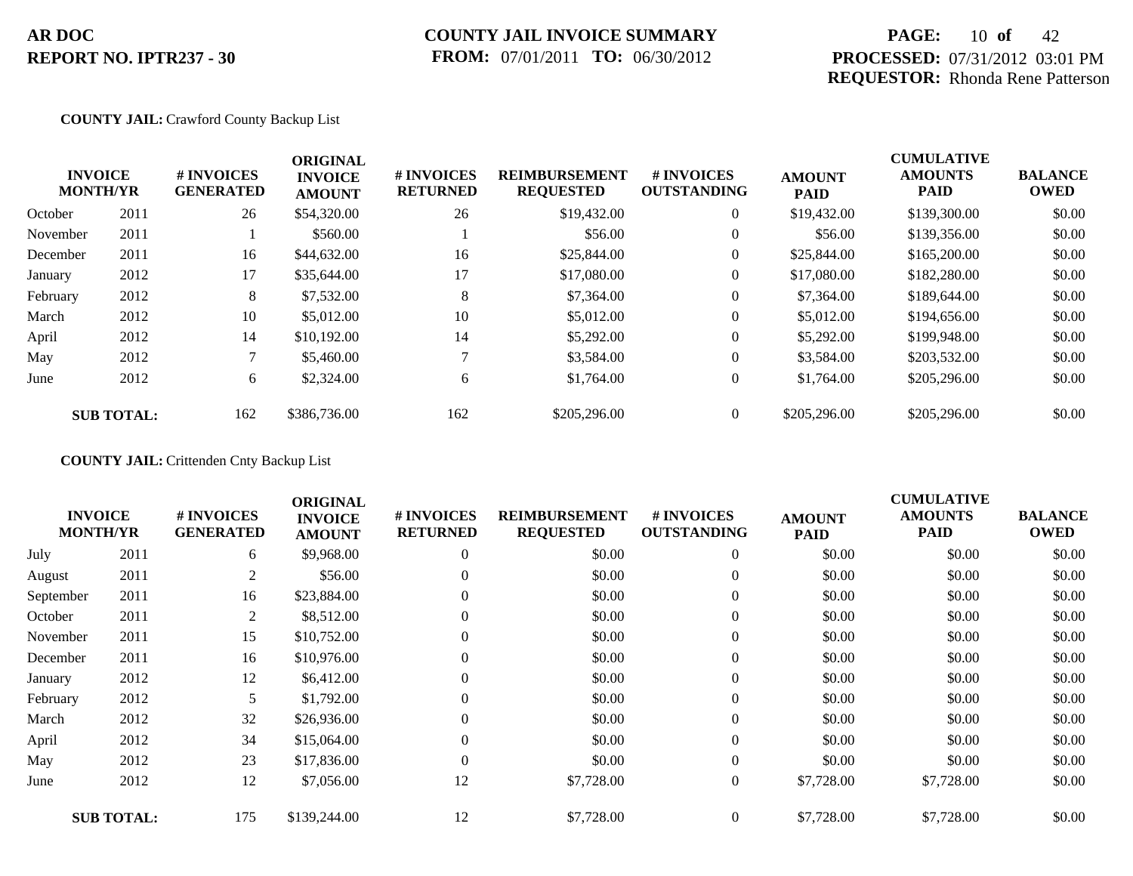# **COUNTY JAIL INVOICE SUMMARY FROM:** 07/01/2011 **TO:** 06/30/2012

# **PAGE:** 10 **of** 42 **PROCESSED:** 07/31/2012 03:01 PM **REQUESTOR:** Rhonda Rene Patterson

## **COUNTY JAIL:** Crawford County Backup List

|          | <b>INVOICE</b><br><b>MONTH/YR</b> | # INVOICES<br><b>GENERATED</b> | <b>ORIGINAL</b><br><b>INVOICE</b><br><b>AMOUNT</b> | # INVOICES<br><b>RETURNED</b> | <b>REIMBURSEMENT</b><br><b>REQUESTED</b> | <b>#INVOICES</b><br><b>OUTSTANDING</b> | <b>AMOUNT</b><br><b>PAID</b> | <b>CUMULATIVE</b><br><b>AMOUNTS</b><br><b>PAID</b> | <b>BALANCE</b><br><b>OWED</b> |
|----------|-----------------------------------|--------------------------------|----------------------------------------------------|-------------------------------|------------------------------------------|----------------------------------------|------------------------------|----------------------------------------------------|-------------------------------|
| October  | 2011                              | 26                             | \$54,320.00                                        | 26                            | \$19,432.00                              | $\overline{0}$                         | \$19,432.00                  | \$139,300.00                                       | \$0.00                        |
| November | 2011                              |                                | \$560.00                                           |                               | \$56.00                                  | $\overline{0}$                         | \$56.00                      | \$139,356.00                                       | \$0.00                        |
| December | 2011                              | 16                             | \$44,632.00                                        | 16                            | \$25,844.00                              | $\overline{0}$                         | \$25,844.00                  | \$165,200.00                                       | \$0.00                        |
| January  | 2012                              | 17                             | \$35,644.00                                        | 17                            | \$17,080.00                              | $\overline{0}$                         | \$17,080.00                  | \$182,280.00                                       | \$0.00                        |
| February | 2012                              | 8                              | \$7,532.00                                         | 8                             | \$7,364.00                               | $\overline{0}$                         | \$7,364.00                   | \$189,644.00                                       | \$0.00                        |
| March    | 2012                              | 10                             | \$5,012.00                                         | 10                            | \$5,012.00                               | $\overline{0}$                         | \$5,012.00                   | \$194,656.00                                       | \$0.00                        |
| April    | 2012                              | 14                             | \$10,192.00                                        | 14                            | \$5,292.00                               | $\overline{0}$                         | \$5,292.00                   | \$199,948.00                                       | \$0.00                        |
| May      | 2012                              | 7                              | \$5,460.00                                         |                               | \$3,584.00                               | $\overline{0}$                         | \$3,584.00                   | \$203,532.00                                       | \$0.00                        |
| June     | 2012                              | 6                              | \$2,324.00                                         | 6                             | \$1,764.00                               | $\overline{0}$                         | \$1,764.00                   | \$205,296.00                                       | \$0.00                        |
|          | <b>SUB TOTAL:</b>                 | 162                            | \$386,736.00                                       | 162                           | \$205,296.00                             | $\overline{0}$                         | \$205,296.00                 | \$205,296.00                                       | \$0.00                        |

**COUNTY JAIL:** Crittenden Cnty Backup List

|           | <b>INVOICE</b><br><b>MONTH/YR</b> | # INVOICES<br><b>GENERATED</b> | <b>ORIGINAL</b><br><b>INVOICE</b><br><b>AMOUNT</b> | # INVOICES<br><b>RETURNED</b> | <b>REIMBURSEMENT</b><br><b>REQUESTED</b> | <b>#INVOICES</b><br><b>OUTSTANDING</b> | <b>AMOUNT</b><br><b>PAID</b> | <b>CUMULATIVE</b><br><b>AMOUNTS</b><br><b>PAID</b> | <b>BALANCE</b><br><b>OWED</b> |
|-----------|-----------------------------------|--------------------------------|----------------------------------------------------|-------------------------------|------------------------------------------|----------------------------------------|------------------------------|----------------------------------------------------|-------------------------------|
| July      | 2011                              | 6                              | \$9,968.00                                         | $\overline{0}$                | \$0.00                                   | $\overline{0}$                         | \$0.00                       | \$0.00                                             | \$0.00                        |
| August    | 2011                              | 2                              | \$56.00                                            | $\overline{0}$                | \$0.00                                   | $\boldsymbol{0}$                       | \$0.00                       | \$0.00                                             | \$0.00                        |
| September | 2011                              | 16                             | \$23,884.00                                        | $\Omega$                      | \$0.00                                   | $\overline{0}$                         | \$0.00                       | \$0.00                                             | \$0.00                        |
| October   | 2011                              | 2                              | \$8,512.00                                         | $\mathbf{0}$                  | \$0.00                                   | $\overline{0}$                         | \$0.00                       | \$0.00                                             | \$0.00                        |
| November  | 2011                              | 15                             | \$10,752.00                                        | $\overline{0}$                | \$0.00                                   | $\boldsymbol{0}$                       | \$0.00                       | \$0.00                                             | \$0.00                        |
| December  | 2011                              | 16                             | \$10,976.00                                        | $\Omega$                      | \$0.00                                   | $\overline{0}$                         | \$0.00                       | \$0.00                                             | \$0.00                        |
| January   | 2012                              | 12                             | \$6,412.00                                         |                               | \$0.00                                   | $\boldsymbol{0}$                       | \$0.00                       | \$0.00                                             | \$0.00                        |
| February  | 2012                              | 5                              | \$1,792.00                                         | $\overline{0}$                | \$0.00                                   | $\boldsymbol{0}$                       | \$0.00                       | \$0.00                                             | \$0.00                        |
| March     | 2012                              | 32                             | \$26,936.00                                        | $\Omega$                      | \$0.00                                   | $\overline{0}$                         | \$0.00                       | \$0.00                                             | \$0.00                        |
| April     | 2012                              | 34                             | \$15,064.00                                        | $\Omega$                      | \$0.00                                   | $\overline{0}$                         | \$0.00                       | \$0.00                                             | \$0.00                        |
| May       | 2012                              | 23                             | \$17,836.00                                        | $\theta$                      | \$0.00                                   | $\overline{0}$                         | \$0.00                       | \$0.00                                             | \$0.00                        |
| June      | 2012                              | 12                             | \$7,056.00                                         | 12                            | \$7,728.00                               | $\boldsymbol{0}$                       | \$7,728.00                   | \$7,728.00                                         | \$0.00                        |
|           | <b>SUB TOTAL:</b>                 | 175                            | \$139,244.00                                       | 12                            | \$7,728.00                               | $\overline{0}$                         | \$7,728.00                   | \$7,728.00                                         | \$0.00                        |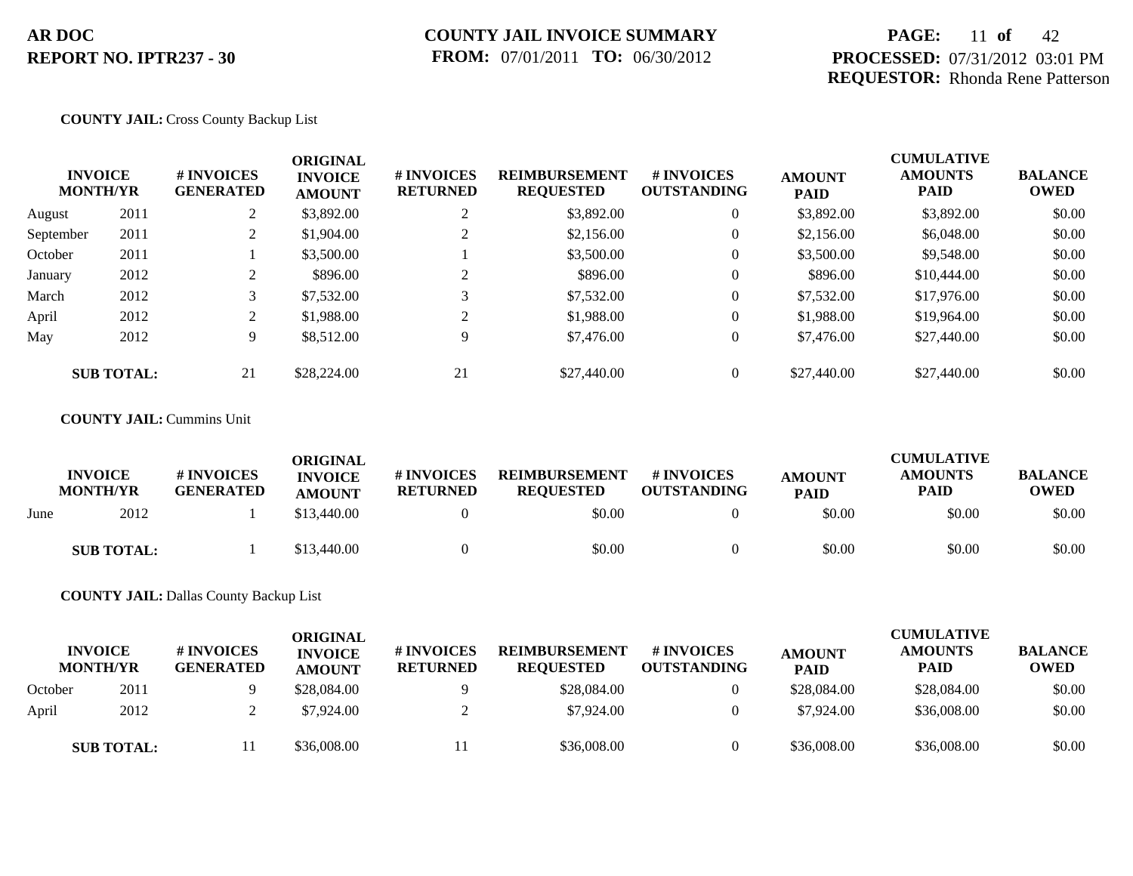# **PAGE:** 11 **of** 42 **PROCESSED:** 07/31/2012 03:01 PM **REQUESTOR:** Rhonda Rene Patterson

### **COUNTY JAIL:** Cross County Backup List

| <b>INVOICE</b><br><b>MONTH/YR</b> |                   | # INVOICES<br><b>GENERATED</b> | <b>ORIGINAL</b><br><b>INVOICE</b><br><b>AMOUNT</b> | # INVOICES<br><b>RETURNED</b> | <b>REIMBURSEMENT</b><br><b>REQUESTED</b> | # INVOICES<br><b>OUTSTANDING</b> | <b>AMOUNT</b><br><b>PAID</b> | <b>CUMULATIVE</b><br><b>AMOUNTS</b><br><b>PAID</b> | <b>BALANCE</b><br><b>OWED</b> |
|-----------------------------------|-------------------|--------------------------------|----------------------------------------------------|-------------------------------|------------------------------------------|----------------------------------|------------------------------|----------------------------------------------------|-------------------------------|
| August                            | 2011              | 2                              | \$3,892.00                                         | ◠                             | \$3,892.00                               | $\theta$                         | \$3,892.00                   | \$3,892.00                                         | \$0.00                        |
| September                         | 2011              | $\overline{L}$                 | \$1,904.00                                         |                               | \$2,156.00                               | $\theta$                         | \$2,156.00                   | \$6,048.00                                         | \$0.00                        |
| October                           | 2011              |                                | \$3,500.00                                         |                               | \$3,500.00                               | $\theta$                         | \$3,500.00                   | \$9,548.00                                         | \$0.00                        |
| January                           | 2012              |                                | \$896.00                                           | ◠                             | \$896.00                                 | $\theta$                         | \$896.00                     | \$10,444.00                                        | \$0.00                        |
| March                             | 2012              |                                | \$7,532.00                                         | 3                             | \$7,532.00                               | $\theta$                         | \$7,532.00                   | \$17,976.00                                        | \$0.00                        |
| April                             | 2012              |                                | \$1,988.00                                         | ◠                             | \$1,988.00                               | $\theta$                         | \$1,988.00                   | \$19,964.00                                        | \$0.00                        |
| May                               | 2012              | 9                              | \$8,512.00                                         | 9                             | \$7,476.00                               | $\theta$                         | \$7,476.00                   | \$27,440.00                                        | \$0.00                        |
|                                   | <b>SUB TOTAL:</b> | 21                             | \$28,224.00                                        | 21                            | \$27,440.00                              | $\theta$                         | \$27,440.00                  | \$27,440.00                                        | \$0.00                        |

### **COUNTY JAIL:** Cummins Unit

|      | <b>INVOICE</b><br><b>MONTH/YR</b> | <b># INVOICES</b><br><b>GENERATED</b> | <b>ORIGINAL</b><br><b>INVOICE</b> | # INVOICES      | <b>REIMBURSEMENT</b>       | <b>#INVOICES</b><br><b>OUTSTANDING</b> | <b>AMOUNT</b>         | <b>CUMULATIVE</b><br><b>AMOUNTS</b> | <b>BALANCE</b><br><b>OWED</b> |
|------|-----------------------------------|---------------------------------------|-----------------------------------|-----------------|----------------------------|----------------------------------------|-----------------------|-------------------------------------|-------------------------------|
| June | 2012                              |                                       | <b>AMOUNT</b><br>\$13,440.00      | <b>RETURNED</b> | <b>REQUESTED</b><br>\$0.00 |                                        | <b>PAID</b><br>\$0.00 | <b>PAID</b><br>\$0.00               | \$0.00                        |
|      | <b>SUB TOTAL:</b>                 |                                       | \$13,440.00                       |                 | \$0.00                     |                                        | \$0.00                | \$0.00                              | \$0.00                        |

### **COUNTY JAIL:** Dallas County Backup List

|         | <b>INVOICE</b><br><b>MONTH/YR</b> | <b>#INVOICES</b><br><b>GENERATED</b> | ORIGINAL<br><b>INVOICE</b><br><b>AMOUNT</b> | # INVOICES<br><b>RETURNED</b> | <b>REIMBURSEMENT</b><br><b>REOUESTED</b> | # INVOICES<br><b>OUTSTANDING</b> | <b>AMOUNT</b><br><b>PAID</b> | <b>CUMULATIVE</b><br><b>AMOUNTS</b><br><b>PAID</b> | <b>BALANCE</b><br>OWED |
|---------|-----------------------------------|--------------------------------------|---------------------------------------------|-------------------------------|------------------------------------------|----------------------------------|------------------------------|----------------------------------------------------|------------------------|
| October | 2011                              |                                      | \$28,084.00                                 |                               | \$28,084.00                              |                                  | \$28,084.00                  | \$28,084.00                                        | \$0.00                 |
| April   | 2012                              |                                      | \$7,924.00                                  |                               | \$7,924.00                               |                                  | \$7,924.00                   | \$36,008.00                                        | \$0.00                 |
|         | <b>SUB TOTAL:</b>                 |                                      | \$36,008.00                                 |                               | \$36,008.00                              |                                  | \$36,008.00                  | \$36,008.00                                        | \$0.00                 |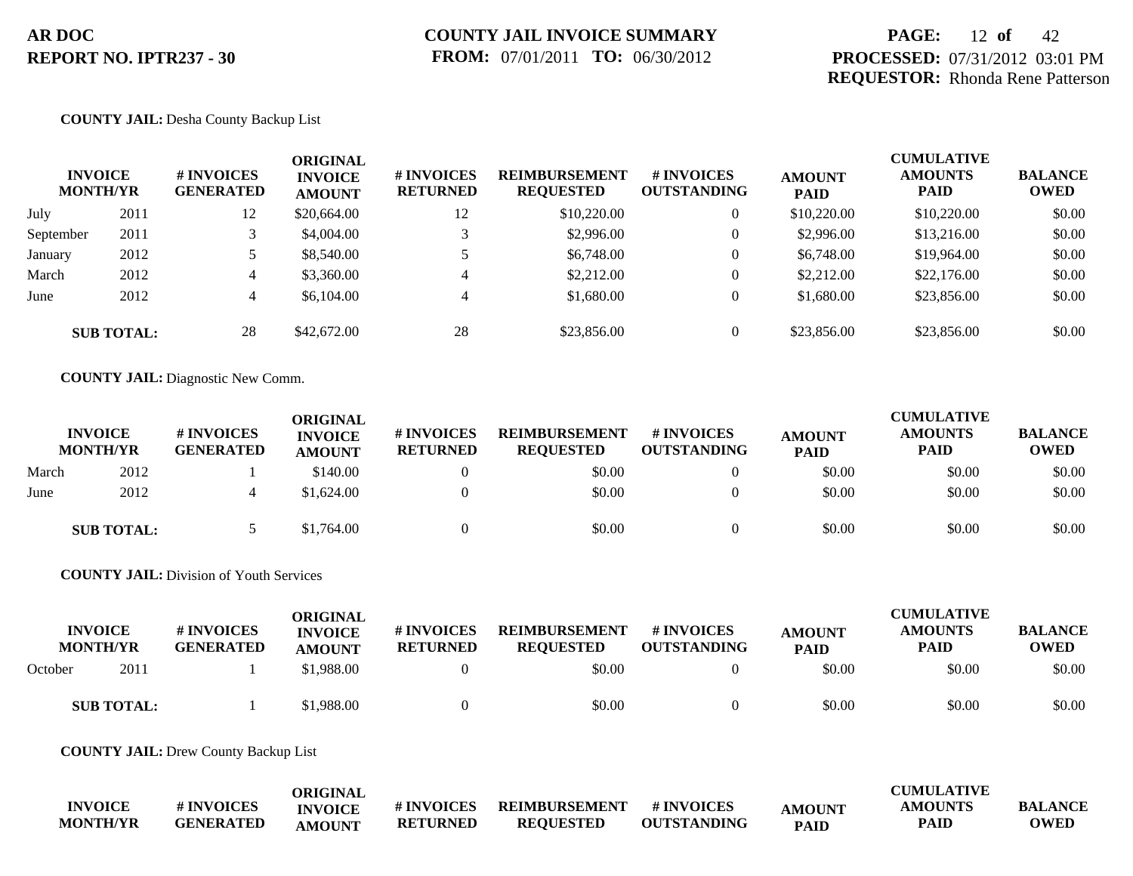# **PAGE:** 12 **of** 42 **PROCESSED:** 07/31/2012 03:01 PM **REQUESTOR:** Rhonda Rene Patterson

## **COUNTY JAIL:** Desha County Backup List

|           | <b>INVOICE</b><br><b>MONTH/YR</b> | <b>#INVOICES</b><br><b>GENERATED</b> | ORIGINAL<br><b>INVOICE</b><br><b>AMOUNT</b> | # INVOICES<br><b>RETURNED</b> | <b>REIMBURSEMENT</b><br><b>REQUESTED</b> | <b># INVOICES</b><br><b>OUTSTANDING</b> | <b>AMOUNT</b><br><b>PAID</b> | <b>CUMULATIVE</b><br><b>AMOUNTS</b><br><b>PAID</b> | <b>BALANCE</b><br><b>OWED</b> |
|-----------|-----------------------------------|--------------------------------------|---------------------------------------------|-------------------------------|------------------------------------------|-----------------------------------------|------------------------------|----------------------------------------------------|-------------------------------|
| July      | 2011                              | 12                                   | \$20,664.00                                 | 12                            | \$10,220.00                              | $\overline{0}$                          | \$10,220.00                  | \$10,220.00                                        | \$0.00                        |
| September | 2011                              |                                      | \$4,004.00                                  |                               | \$2,996.00                               | $\theta$                                | \$2,996.00                   | \$13,216.00                                        | \$0.00                        |
| January   | 2012                              |                                      | \$8,540.00                                  |                               | \$6,748.00                               | $\overline{0}$                          | \$6,748.00                   | \$19,964.00                                        | \$0.00                        |
| March     | 2012                              | 4                                    | \$3,360.00                                  | 4                             | \$2,212.00                               | $\overline{0}$                          | \$2,212.00                   | \$22,176.00                                        | \$0.00                        |
| June      | 2012                              | 4                                    | \$6,104.00                                  | $\overline{4}$                | \$1,680.00                               | $\theta$                                | \$1,680.00                   | \$23,856.00                                        | \$0.00                        |
|           | <b>SUB TOTAL:</b>                 | 28                                   | \$42,672.00                                 | 28                            | \$23,856.00                              | $\overline{0}$                          | \$23,856.00                  | \$23,856.00                                        | \$0.00                        |

**COUNTY JAIL:** Diagnostic New Comm.

|       | <b>INVOICE</b><br><b>MONTH/YR</b> | # INVOICES<br><b>GENERATED</b> | ORIGINAL<br><b>INVOICE</b><br><b>AMOUNT</b> | <b>#INVOICES</b><br><b>RETURNED</b> | <b>REIMBURSEMENT</b><br><b>REQUESTED</b> | # INVOICES<br><b>OUTSTANDING</b> | <b>AMOUNT</b><br><b>PAID</b> | <b>CUMULATIVE</b><br><b>AMOUNTS</b><br><b>PAID</b> | <b>BALANCE</b><br><b>OWED</b> |
|-------|-----------------------------------|--------------------------------|---------------------------------------------|-------------------------------------|------------------------------------------|----------------------------------|------------------------------|----------------------------------------------------|-------------------------------|
| March | 2012                              |                                | \$140.00                                    |                                     | \$0.00                                   |                                  | \$0.00                       | \$0.00                                             | \$0.00                        |
| June  | 2012                              | 4                              | \$1,624.00                                  |                                     | \$0.00                                   |                                  | \$0.00                       | \$0.00                                             | \$0.00                        |
|       | <b>SUB TOTAL:</b>                 |                                | \$1,764.00                                  |                                     | \$0.00                                   |                                  | \$0.00                       | \$0.00                                             | \$0.00                        |

**COUNTY JAIL:** Division of Youth Services

| <b>INVOICE</b><br><b>MONTH/YR</b> |                   | # INVOICES<br><b>GENERATED</b> | ORIGINAL<br><b>INVOICE</b><br><b>AMOUNT</b> | # INVOICES<br><b>RETURNED</b> | <b>REIMBURSEMENT</b><br><b>REQUESTED</b> | # INVOICES<br><b>OUTSTANDING</b> | <b>AMOUNT</b><br><b>PAID</b> | <b>CUMULATIVE</b><br><b>AMOUNTS</b><br><b>PAID</b> | <b>BALANCE</b><br><b>OWED</b> |
|-----------------------------------|-------------------|--------------------------------|---------------------------------------------|-------------------------------|------------------------------------------|----------------------------------|------------------------------|----------------------------------------------------|-------------------------------|
| October                           | 2011              |                                | \$1,988.00                                  |                               | \$0.00                                   |                                  | \$0.00                       | \$0.00                                             | \$0.00                        |
|                                   | <b>SUB TOTAL:</b> |                                | \$1,988.00                                  |                               | \$0.00                                   |                                  | \$0.00                       | \$0.00                                             | \$0.00                        |

**COUNTY JAIL:** Drew County Backup List

|                 |                  | <b>ORIGINAL</b> |                 |                  |                    |               | <b>CUMULATIVE</b> |                |
|-----------------|------------------|-----------------|-----------------|------------------|--------------------|---------------|-------------------|----------------|
| <b>INVOICE</b>  | # INVOICES       | <b>INVOICE</b>  | # INVOICES      | REIMBURSEMENT    | # INVOICES         | <b>AMOUNT</b> | <b>AMOUNTS</b>    | <b>BALANCE</b> |
| <b>MONTH/YR</b> | <b>GENERATED</b> | <b>AMOUNT</b>   | <b>RETURNED</b> | <b>REOUESTED</b> | <b>OUTSTANDING</b> | <b>PAID</b>   | <b>PAID</b>       | <b>OWED</b>    |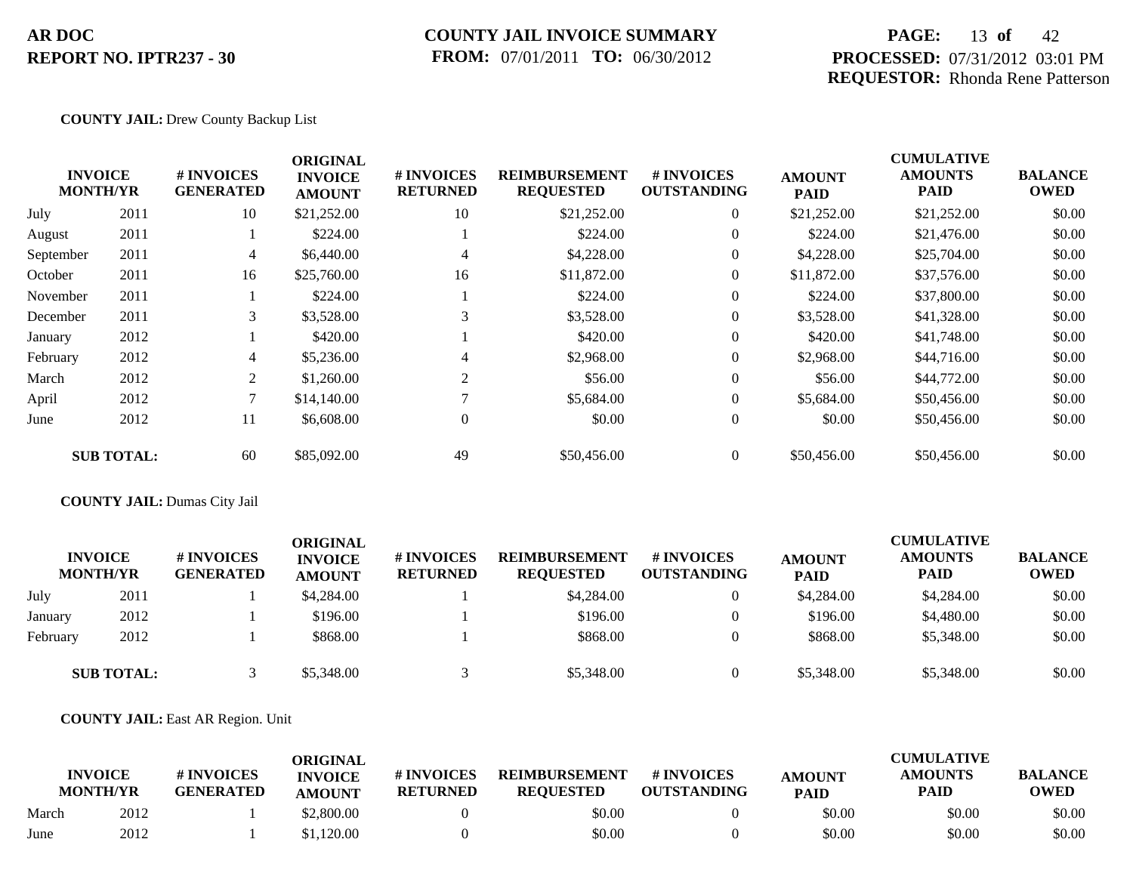## **COUNTY JAIL INVOICE SUMMARY FROM:** 07/01/2011 **TO:** 06/30/2012

# **PAGE:** 13 **of** 42 **PROCESSED:** 07/31/2012 03:01 PM **REQUESTOR:** Rhonda Rene Patterson

CUMU<del>LATIVE</del>

## **COUNTY JAIL:** Drew County Backup List

|           | <b>INVOICE</b><br><b>MONTH/YR</b> | # INVOICES<br><b>GENERATED</b> | <b>ORIGINAL</b><br><b>INVOICE</b><br><b>AMOUNT</b> | # INVOICES<br><b>RETURNED</b> | <b>REIMBURSEMENT</b><br><b>REQUESTED</b> | # INVOICES<br><b>OUTSTANDING</b> | <b>AMOUNT</b><br><b>PAID</b> | <b>CUMULATIVE</b><br><b>AMOUNTS</b><br>PAID | <b>BALANCE</b><br><b>OWED</b> |
|-----------|-----------------------------------|--------------------------------|----------------------------------------------------|-------------------------------|------------------------------------------|----------------------------------|------------------------------|---------------------------------------------|-------------------------------|
| July      | 2011                              | 10                             | \$21,252.00                                        | 10                            | \$21,252.00                              | $\overline{0}$                   | \$21,252.00                  | \$21,252.00                                 | \$0.00                        |
| August    | 2011                              |                                | \$224.00                                           |                               | \$224.00                                 | $\overline{0}$                   | \$224.00                     | \$21,476.00                                 | \$0.00                        |
| September | 2011                              | 4                              | \$6,440.00                                         | 4                             | \$4,228.00                               | $\overline{0}$                   | \$4,228.00                   | \$25,704.00                                 | \$0.00                        |
| October   | 2011                              | 16                             | \$25,760.00                                        | 16                            | \$11,872.00                              | $\theta$                         | \$11,872.00                  | \$37,576.00                                 | \$0.00                        |
| November  | 2011                              |                                | \$224.00                                           |                               | \$224.00                                 | $\theta$                         | \$224.00                     | \$37,800.00                                 | \$0.00                        |
| December  | 2011                              | 3                              | \$3,528.00                                         | 3                             | \$3,528.00                               | $\overline{0}$                   | \$3,528.00                   | \$41,328.00                                 | \$0.00                        |
| January   | 2012                              |                                | \$420.00                                           |                               | \$420.00                                 | $\theta$                         | \$420.00                     | \$41,748.00                                 | \$0.00                        |
| February  | 2012                              | 4                              | \$5,236.00                                         | 4                             | \$2,968.00                               | $\theta$                         | \$2,968.00                   | \$44,716.00                                 | \$0.00                        |
| March     | 2012                              | 2                              | \$1,260.00                                         | $\overline{2}$                | \$56.00                                  | $\mathbf{0}$                     | \$56.00                      | \$44,772.00                                 | \$0.00                        |
| April     | 2012                              |                                | \$14,140.00                                        | $\mathbf{r}$                  | \$5,684.00                               | $\overline{0}$                   | \$5,684.00                   | \$50,456.00                                 | \$0.00                        |
| June      | 2012                              | 11                             | \$6,608.00                                         | $\overline{0}$                | \$0.00                                   | $\mathbf{0}$                     | \$0.00                       | \$50,456.00                                 | \$0.00                        |
|           | <b>SUB TOTAL:</b>                 | 60                             | \$85,092.00                                        | 49                            | \$50,456.00                              | $\overline{0}$                   | \$50,456.00                  | \$50,456.00                                 | \$0.00                        |

## **COUNTY JAIL:** Dumas City Jail

|          | <b>INVOICE</b><br><b>MONTH/YR</b> | # INVOICES<br><b>GENERATED</b> | ORIGINAL<br><b>INVOICE</b><br><b>AMOUNT</b> | # INVOICES<br><b>RETURNED</b> | <b>REIMBURSEMENT</b><br><b>REQUESTED</b> | <b># INVOICES</b><br><b>OUTSTANDING</b> | <b>AMOUNT</b><br><b>PAID</b> | <b>CUMULATIVE</b><br><b>AMOUNTS</b><br><b>PAID</b> | <b>BALANCE</b><br><b>OWED</b> |
|----------|-----------------------------------|--------------------------------|---------------------------------------------|-------------------------------|------------------------------------------|-----------------------------------------|------------------------------|----------------------------------------------------|-------------------------------|
| July     | 2011                              |                                | \$4,284.00                                  |                               | \$4,284.00                               | $\theta$                                | \$4,284.00                   | \$4,284.00                                         | \$0.00                        |
| January  | 2012                              |                                | \$196.00                                    |                               | \$196.00                                 |                                         | \$196.00                     | \$4,480.00                                         | \$0.00                        |
| February | 2012                              |                                | \$868.00                                    |                               | \$868.00                                 |                                         | \$868.00                     | \$5,348.00                                         | \$0.00                        |
|          | <b>SUB TOTAL:</b>                 |                                | \$5,348.00                                  |                               | \$5,348.00                               |                                         | \$5,348.00                   | \$5,348.00                                         | \$0.00                        |

## **COUNTY JAIL:** East AR Region. Unit

|       | <b>INVOICE</b><br><b>MONTH/YR</b> | # INVOICES<br><b>GENERATED</b> | ORIGINAL<br><b>INVOICE</b><br><b>AMOUNT</b> | # INVOICES<br><b>RETURNED</b> | <b>REIMBURSEMENT</b><br><b>REOUESTED</b> | # INVOICES<br><b>OUTSTANDING</b> | <b>AMOUNT</b><br><b>PAID</b> | CUMULATIVE<br><b>AMOUNTS</b><br>PAID | <b>BALANCE</b><br><b>OWED</b> |
|-------|-----------------------------------|--------------------------------|---------------------------------------------|-------------------------------|------------------------------------------|----------------------------------|------------------------------|--------------------------------------|-------------------------------|
| March | 2012                              |                                | \$2,800.00                                  |                               | \$0.00                                   |                                  | \$0.00                       | \$0.00                               | \$0.00                        |
| June  | 2012                              |                                | \$1,120.00                                  |                               | \$0.00                                   |                                  | \$0.00                       | \$0.00                               | \$0.00                        |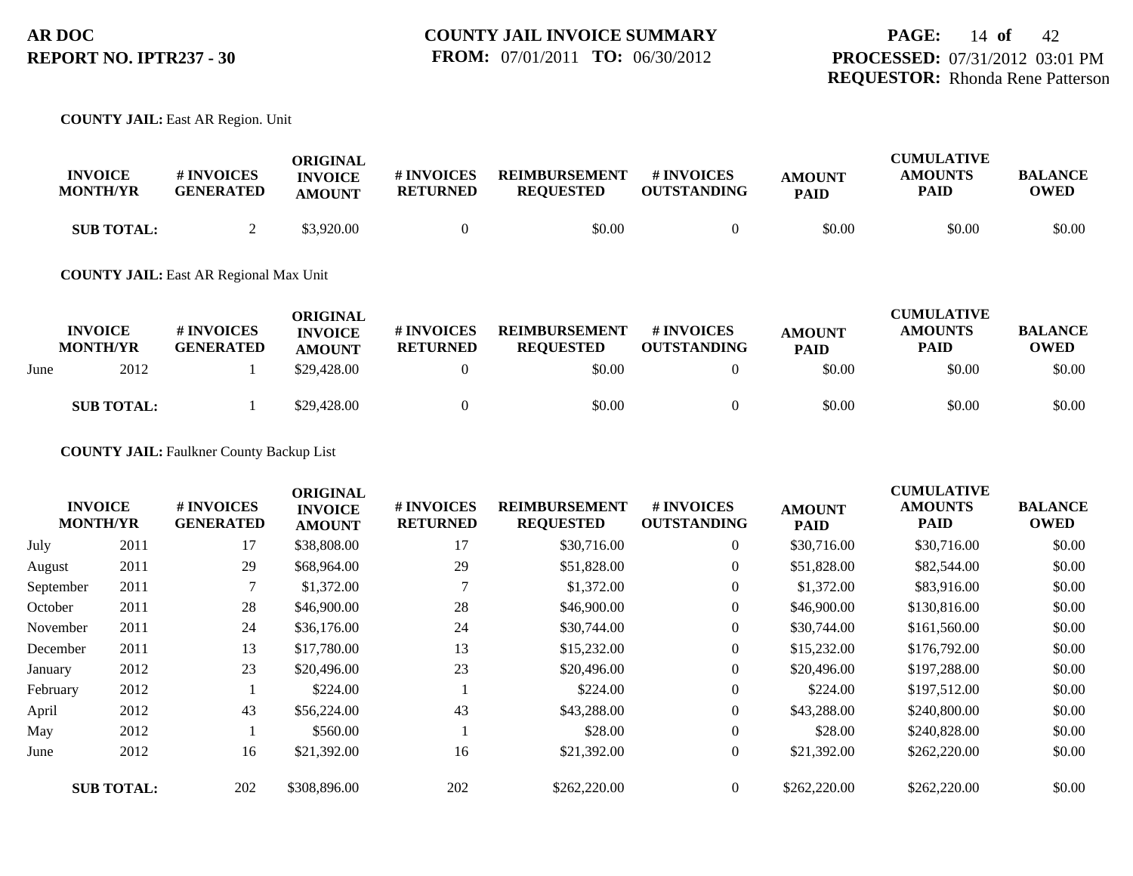## **COUNTY JAIL:** East AR Region. Unit

| <b>INVOICE</b><br><b>MONTH/YR</b> | <b># INVOICES</b><br><b>GENERATED</b> | ORIGINAL<br><b>INVOICE</b><br><b>AMOUNT</b> | # INVOICES<br><b>RETURNED</b> | <b>REIMBURSEMENT</b><br><b>REOUESTED</b> | # INVOICES<br><b>OUTSTANDING</b> | <b>AMOUNT</b><br><b>PAID</b> | <b>CUMULATIVE</b><br><b>AMOUNTS</b><br><b>PAID</b> | <b>BALANCE</b><br>OWED |
|-----------------------------------|---------------------------------------|---------------------------------------------|-------------------------------|------------------------------------------|----------------------------------|------------------------------|----------------------------------------------------|------------------------|
| <b>SUB TOTAL:</b>                 |                                       | \$3,920.00                                  |                               | \$0.00                                   |                                  | \$0.00                       | \$0.00                                             | \$0.00                 |

### **COUNTY JAIL:** East AR Regional Max Unit

|      | <b>INVOICE</b><br><b>MONTH/YR</b> | # INVOICES<br><b>GENERATED</b> | <b>ORIGINAL</b><br><b>INVOICE</b><br><b>AMOUNT</b> | # INVOICES<br><b>RETURNED</b> | <b>REIMBURSEMENT</b><br><b>REOUESTED</b> | <b>#INVOICES</b><br><b>OUTSTANDING</b> | <b>AMOUNT</b><br><b>PAID</b> | <b>CUMULATIVE</b><br><b>AMOUNTS</b><br>PAID | <b>BALANCE</b><br>OWED |
|------|-----------------------------------|--------------------------------|----------------------------------------------------|-------------------------------|------------------------------------------|----------------------------------------|------------------------------|---------------------------------------------|------------------------|
| June | 2012                              |                                | \$29,428.00                                        |                               | \$0.00                                   |                                        | \$0.00                       | \$0.00                                      | \$0.00                 |
|      | <b>SUB TOTAL:</b>                 |                                | \$29,428.00                                        |                               | \$0.00                                   |                                        | \$0.00                       | \$0.00                                      | \$0.00                 |

## **COUNTY JAIL:** Faulkner County Backup List

|           | <b>INVOICE</b><br><b>MONTH/YR</b> | # INVOICES<br><b>GENERATED</b> | <b>ORIGINAL</b><br><b>INVOICE</b><br><b>AMOUNT</b> | # INVOICES<br><b>RETURNED</b> | <b>REIMBURSEMENT</b><br><b>REQUESTED</b> | # INVOICES<br><b>OUTSTANDING</b> | <b>AMOUNT</b><br><b>PAID</b> | <b>CUMULATIVE</b><br><b>AMOUNTS</b><br><b>PAID</b> | <b>BALANCE</b><br><b>OWED</b> |
|-----------|-----------------------------------|--------------------------------|----------------------------------------------------|-------------------------------|------------------------------------------|----------------------------------|------------------------------|----------------------------------------------------|-------------------------------|
| July      | 2011                              | 17                             | \$38,808.00                                        | 17                            | \$30,716.00                              | $\overline{0}$                   | \$30,716.00                  | \$30,716.00                                        | \$0.00                        |
| August    | 2011                              | 29                             | \$68,964.00                                        | 29                            | \$51,828.00                              | $\boldsymbol{0}$                 | \$51,828.00                  | \$82,544.00                                        | \$0.00                        |
| September | 2011                              |                                | \$1,372.00                                         |                               | \$1,372.00                               | $\overline{0}$                   | \$1,372.00                   | \$83,916.00                                        | \$0.00                        |
| October   | 2011                              | 28                             | \$46,900.00                                        | 28                            | \$46,900.00                              | $\boldsymbol{0}$                 | \$46,900.00                  | \$130,816.00                                       | \$0.00                        |
| November  | 2011                              | 24                             | \$36,176.00                                        | 24                            | \$30,744.00                              | $\overline{0}$                   | \$30,744.00                  | \$161,560.00                                       | \$0.00                        |
| December  | 2011                              | 13                             | \$17,780.00                                        | 13                            | \$15,232.00                              | $\boldsymbol{0}$                 | \$15,232.00                  | \$176,792.00                                       | \$0.00                        |
| January   | 2012                              | 23                             | \$20,496.00                                        | 23                            | \$20,496.00                              | $\overline{0}$                   | \$20,496.00                  | \$197,288.00                                       | \$0.00                        |
| February  | 2012                              |                                | \$224.00                                           |                               | \$224.00                                 | $\overline{0}$                   | \$224.00                     | \$197,512.00                                       | \$0.00                        |
| April     | 2012                              | 43                             | \$56,224.00                                        | 43                            | \$43,288,00                              | $\overline{0}$                   | \$43,288.00                  | \$240,800.00                                       | \$0.00                        |
| May       | 2012                              |                                | \$560.00                                           |                               | \$28.00                                  | $\overline{0}$                   | \$28.00                      | \$240,828.00                                       | \$0.00                        |
| June      | 2012                              | 16                             | \$21,392.00                                        | 16                            | \$21,392.00                              | $\overline{0}$                   | \$21,392.00                  | \$262,220.00                                       | \$0.00                        |
|           | <b>SUB TOTAL:</b>                 | 202                            | \$308,896.00                                       | 202                           | \$262,220.00                             | $\overline{0}$                   | \$262,220.00                 | \$262,220.00                                       | \$0.00                        |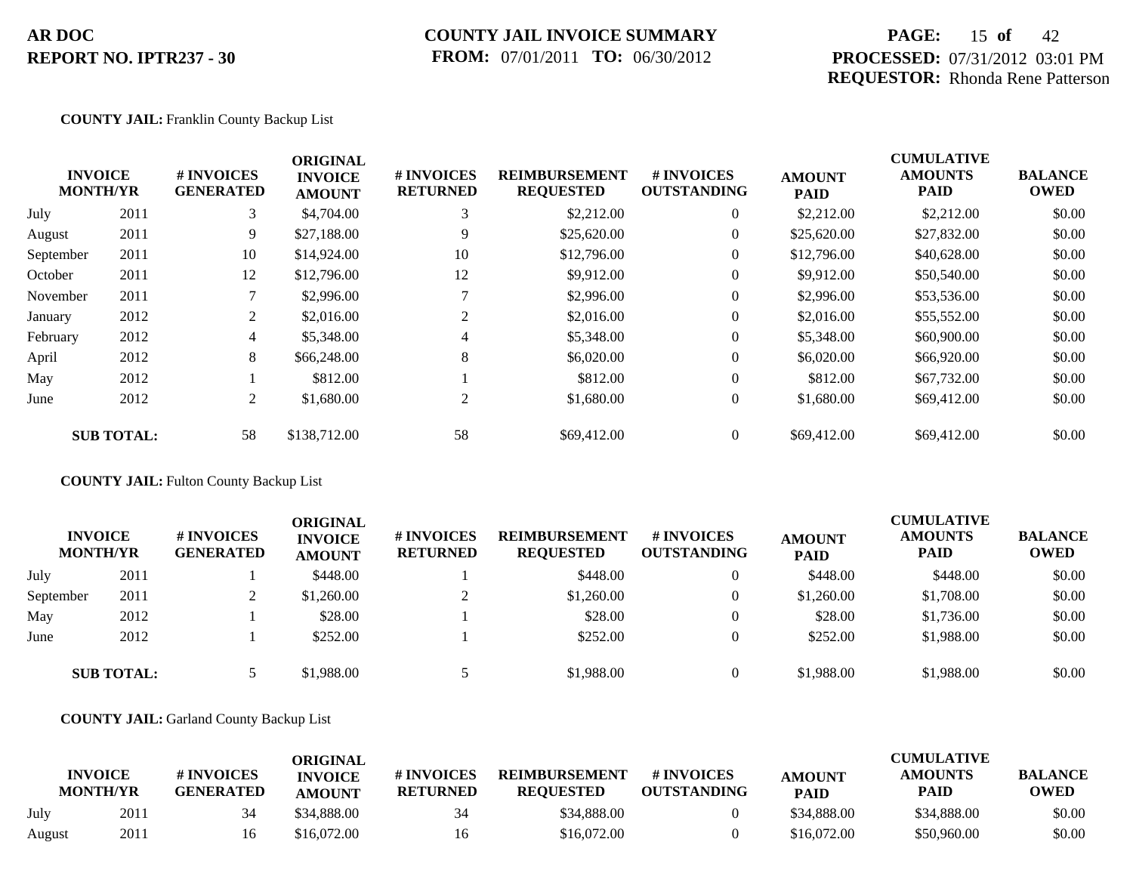## **COUNTY JAIL INVOICE SUMMARY FROM:** 07/01/2011 **TO:** 06/30/2012

# **PAGE:** 15 **of** 42 **PROCESSED:** 07/31/2012 03:01 PM **REQUESTOR:** Rhonda Rene Patterson

CUMU<del>LATIVE</del>

## **COUNTY JAIL:** Franklin County Backup List

|           | <b>INVOICE</b><br><b>MONTH/YR</b> | # INVOICES<br><b>GENERATED</b> | <b>ORIGINAL</b><br><b>INVOICE</b><br><b>AMOUNT</b> | # INVOICES<br><b>RETURNED</b> | <b>REIMBURSEMENT</b><br><b>REQUESTED</b> | <b>#INVOICES</b><br><b>OUTSTANDING</b> | <b>AMOUNT</b><br><b>PAID</b> | <b>CUMULATIVE</b><br><b>AMOUNTS</b><br>PAID | <b>BALANCE</b><br><b>OWED</b> |
|-----------|-----------------------------------|--------------------------------|----------------------------------------------------|-------------------------------|------------------------------------------|----------------------------------------|------------------------------|---------------------------------------------|-------------------------------|
| July      | 2011                              | 3                              | \$4,704.00                                         | 3                             | \$2,212.00                               | $\overline{0}$                         | \$2,212.00                   | \$2,212.00                                  | \$0.00                        |
| August    | 2011                              | 9                              | \$27,188.00                                        | 9                             | \$25,620.00                              | $\overline{0}$                         | \$25,620.00                  | \$27,832.00                                 | \$0.00                        |
| September | 2011                              | 10                             | \$14,924.00                                        | 10                            | \$12,796.00                              | $\overline{0}$                         | \$12,796.00                  | \$40,628.00                                 | \$0.00                        |
| October   | 2011                              | 12                             | \$12,796.00                                        | 12                            | \$9,912.00                               | $\overline{0}$                         | \$9,912.00                   | \$50,540.00                                 | \$0.00                        |
| November  | 2011                              |                                | \$2,996.00                                         |                               | \$2,996.00                               | $\overline{0}$                         | \$2,996.00                   | \$53,536.00                                 | \$0.00                        |
| January   | 2012                              | $\overline{2}$                 | \$2,016.00                                         | 2                             | \$2,016.00                               | $\overline{0}$                         | \$2,016.00                   | \$55,552.00                                 | \$0.00                        |
| February  | 2012                              | $\overline{4}$                 | \$5,348.00                                         | 4                             | \$5,348.00                               | $\overline{0}$                         | \$5,348.00                   | \$60,900.00                                 | \$0.00                        |
| April     | 2012                              | 8                              | \$66,248.00                                        | 8                             | \$6,020.00                               | $\overline{0}$                         | \$6,020.00                   | \$66,920.00                                 | \$0.00                        |
| May       | 2012                              |                                | \$812.00                                           |                               | \$812.00                                 | $\overline{0}$                         | \$812.00                     | \$67,732.00                                 | \$0.00                        |
| June      | 2012                              | 2                              | \$1,680.00                                         | 2                             | \$1,680.00                               | $\overline{0}$                         | \$1,680.00                   | \$69,412.00                                 | \$0.00                        |
|           | <b>SUB TOTAL:</b>                 | 58                             | \$138,712.00                                       | 58                            | \$69,412.00                              | $\overline{0}$                         | \$69,412.00                  | \$69,412.00                                 | \$0.00                        |

**COUNTY JAIL:** Fulton County Backup List

| <b>INVOICE</b><br><b>MONTH/YR</b> |                   | # INVOICES<br><b>GENERATED</b> | ORIGINAL<br><b>INVOICE</b><br><b>AMOUNT</b> | # INVOICES<br><b>RETURNED</b> | <b>REIMBURSEMENT</b><br><b>REQUESTED</b> | # INVOICES<br><b>OUTSTANDING</b> | <b>AMOUNT</b><br><b>PAID</b> | <b>CUMULATIVE</b><br><b>AMOUNTS</b><br><b>PAID</b> | <b>BALANCE</b><br><b>OWED</b> |
|-----------------------------------|-------------------|--------------------------------|---------------------------------------------|-------------------------------|------------------------------------------|----------------------------------|------------------------------|----------------------------------------------------|-------------------------------|
| July                              | 2011              |                                | \$448.00                                    |                               | \$448.00                                 | 0                                | \$448.00                     | \$448.00                                           | \$0.00                        |
| September                         | 2011              | ∠                              | \$1,260.00                                  |                               | \$1,260.00                               | $\Omega$                         | \$1,260.00                   | \$1,708.00                                         | \$0.00                        |
| May                               | 2012              |                                | \$28.00                                     |                               | \$28.00                                  | $\theta$                         | \$28.00                      | \$1,736.00                                         | \$0.00                        |
| June                              | 2012              |                                | \$252.00                                    |                               | \$252.00                                 | $\Omega$                         | \$252.00                     | \$1,988.00                                         | \$0.00                        |
|                                   | <b>SUB TOTAL:</b> |                                | \$1,988.00                                  |                               | \$1,988.00                               | $\theta$                         | \$1,988.00                   | \$1,988.00                                         | \$0.00                        |

**COUNTY JAIL:** Garland County Backup List

|        | <b>INVOICE</b><br><b>MONTH/YR</b> | # INVOICES<br><b>GENERATED</b> | <b>ORIGINAL</b><br><b>INVOICE</b><br><b>AMOUNT</b> | # INVOICES<br><b>RETURNED</b> | <b>REIMBURSEMENT</b><br><b>REQUESTED</b> | # INVOICES<br><b>OUTSTANDING</b> | <b>AMOUNT</b><br><b>PAID</b> | <b>CUMULATIVE</b><br><b>AMOUNTS</b><br>PAID | <b>BALANCE</b><br><b>OWED</b> |
|--------|-----------------------------------|--------------------------------|----------------------------------------------------|-------------------------------|------------------------------------------|----------------------------------|------------------------------|---------------------------------------------|-------------------------------|
| July   | 2011                              |                                | \$34,888.00                                        | 34                            | \$34,888.00                              |                                  | \$34,888.00                  | \$34,888.00                                 | \$0.00                        |
| August | 2011                              | Iб                             | \$16,072.00                                        | 16                            | \$16,072.00                              |                                  | \$16,072.00                  | \$50,960.00                                 | \$0.00                        |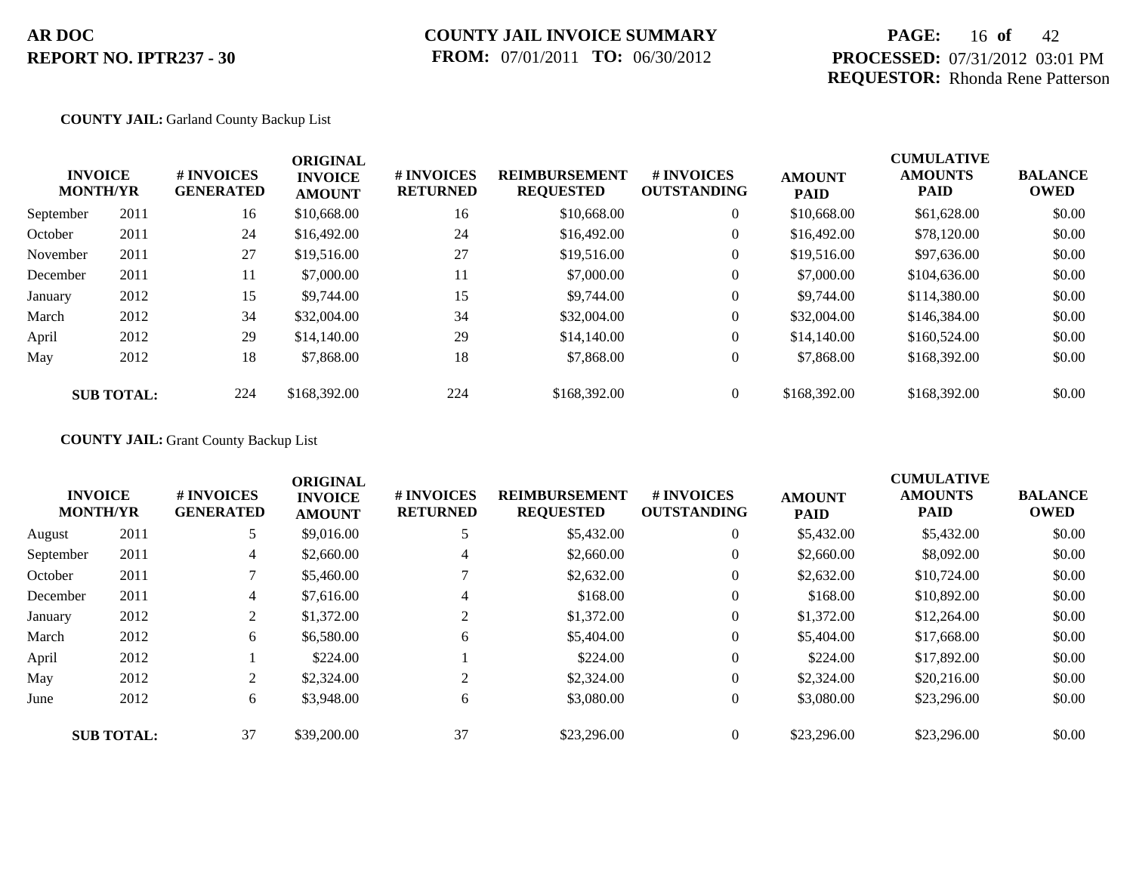# **PAGE:** 16 **of** 42 **PROCESSED:** 07/31/2012 03:01 PM **REQUESTOR:** Rhonda Rene Patterson

## **COUNTY JAIL:** Garland County Backup List

|           | <b>INVOICE</b><br><b>MONTH/YR</b> | # INVOICES<br><b>GENERATED</b> | <b>ORIGINAL</b><br><b>INVOICE</b><br><b>AMOUNT</b> | # INVOICES<br><b>RETURNED</b> | <b>REIMBURSEMENT</b><br><b>REQUESTED</b> | <b>#INVOICES</b><br><b>OUTSTANDING</b> | <b>AMOUNT</b><br><b>PAID</b> | <b>CUMULATIVE</b><br><b>AMOUNTS</b><br><b>PAID</b> | <b>BALANCE</b><br><b>OWED</b> |
|-----------|-----------------------------------|--------------------------------|----------------------------------------------------|-------------------------------|------------------------------------------|----------------------------------------|------------------------------|----------------------------------------------------|-------------------------------|
| September | 2011                              | 16                             | \$10,668.00                                        | 16                            | \$10,668.00                              | $\overline{0}$                         | \$10,668.00                  | \$61,628.00                                        | \$0.00                        |
| October   | 2011                              | 24                             | \$16,492.00                                        | 24                            | \$16,492.00                              | $\overline{0}$                         | \$16,492.00                  | \$78,120.00                                        | \$0.00                        |
| November  | 2011                              | 27                             | \$19,516.00                                        | 27                            | \$19,516.00                              | $\overline{0}$                         | \$19,516.00                  | \$97,636.00                                        | \$0.00                        |
| December  | 2011                              | 11                             | \$7,000.00                                         | 11                            | \$7,000.00                               | $\theta$                               | \$7,000.00                   | \$104,636.00                                       | \$0.00                        |
| January   | 2012                              | 15                             | \$9,744.00                                         | 15                            | \$9,744.00                               | $\overline{0}$                         | \$9,744.00                   | \$114,380.00                                       | \$0.00                        |
| March     | 2012                              | 34                             | \$32,004.00                                        | 34                            | \$32,004.00                              | $\overline{0}$                         | \$32,004.00                  | \$146,384.00                                       | \$0.00                        |
| April     | 2012                              | 29                             | \$14,140.00                                        | 29                            | \$14,140.00                              | $\overline{0}$                         | \$14,140.00                  | \$160,524.00                                       | \$0.00                        |
| May       | 2012                              | 18                             | \$7,868.00                                         | 18                            | \$7,868.00                               | $\overline{0}$                         | \$7,868.00                   | \$168,392.00                                       | \$0.00                        |
|           | <b>SUB TOTAL:</b>                 | 224                            | \$168,392.00                                       | 224                           | \$168,392.00                             | $\theta$                               | \$168,392.00                 | \$168,392.00                                       | \$0.00                        |

## **COUNTY JAIL:** Grant County Backup List

|           | <b>INVOICE</b><br><b>MONTH/YR</b> | # INVOICES<br><b>GENERATED</b> | <b>ORIGINAL</b><br><b>INVOICE</b><br><b>AMOUNT</b> | # INVOICES<br><b>RETURNED</b> | <b>REIMBURSEMENT</b><br><b>REQUESTED</b> | <b>#INVOICES</b><br><b>OUTSTANDING</b> | <b>AMOUNT</b><br><b>PAID</b> | <b>CUMULATIVE</b><br><b>AMOUNTS</b><br><b>PAID</b> | <b>BALANCE</b><br><b>OWED</b> |
|-----------|-----------------------------------|--------------------------------|----------------------------------------------------|-------------------------------|------------------------------------------|----------------------------------------|------------------------------|----------------------------------------------------|-------------------------------|
| August    | 2011                              | 5                              | \$9,016.00                                         |                               | \$5,432.00                               | $\mathbf{0}$                           | \$5,432.00                   | \$5,432.00                                         | \$0.00                        |
| September | 2011                              | 4                              | \$2,660.00                                         | 4                             | \$2,660.00                               | $\theta$                               | \$2,660.00                   | \$8,092.00                                         | \$0.00                        |
| October   | 2011                              |                                | \$5,460.00                                         |                               | \$2,632.00                               | $\theta$                               | \$2,632.00                   | \$10,724.00                                        | \$0.00                        |
| December  | 2011                              | 4                              | \$7,616.00                                         | 4                             | \$168.00                                 | $\overline{0}$                         | \$168.00                     | \$10,892.00                                        | \$0.00                        |
| January   | 2012                              | $\overline{2}$                 | \$1,372.00                                         | 2                             | \$1,372.00                               | $\theta$                               | \$1,372.00                   | \$12,264.00                                        | \$0.00                        |
| March     | 2012                              | 6                              | \$6,580.00                                         | 6                             | \$5,404.00                               | $\overline{0}$                         | \$5,404.00                   | \$17,668.00                                        | \$0.00                        |
| April     | 2012                              |                                | \$224.00                                           |                               | \$224.00                                 | $\theta$                               | \$224.00                     | \$17,892.00                                        | \$0.00                        |
| May       | 2012                              | 2                              | \$2,324.00                                         | 2                             | \$2,324.00                               | $\theta$                               | \$2,324.00                   | \$20,216.00                                        | \$0.00                        |
| June      | 2012                              | 6                              | \$3,948.00                                         | 6                             | \$3,080.00                               | $\theta$                               | \$3,080.00                   | \$23,296.00                                        | \$0.00                        |
|           | <b>SUB TOTAL:</b>                 | 37                             | \$39,200.00                                        | 37                            | \$23,296.00                              | $\Omega$                               | \$23,296.00                  | \$23,296.00                                        | \$0.00                        |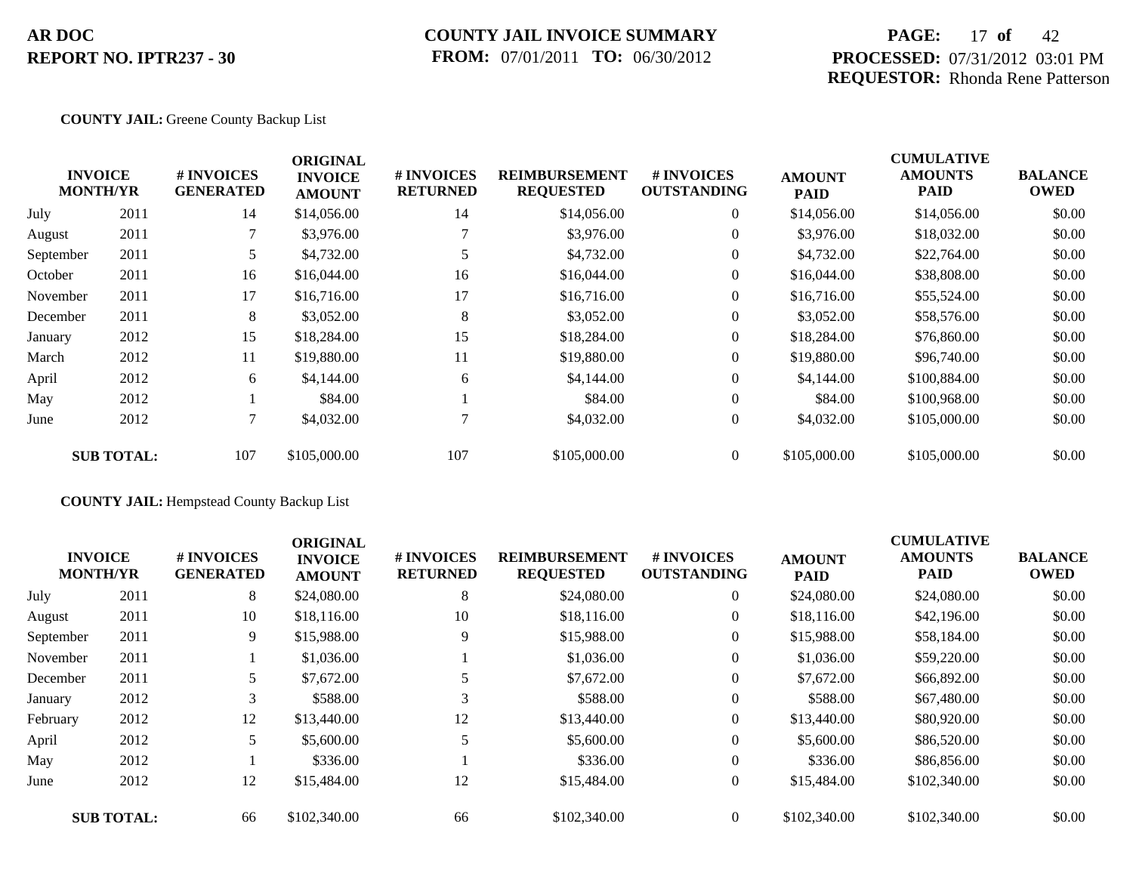# **COUNTY JAIL INVOICE SUMMARY FROM:** 07/01/2011 **TO:** 06/30/2012

# **PAGE:** 17 **of** 42 **PROCESSED:** 07/31/2012 03:01 PM **REQUESTOR:** Rhonda Rene Patterson

## **COUNTY JAIL:** Greene County Backup List

|           |                                   |                                | <b>ORIGINAL</b>                 |                               |                                          |                                  |                              | <b>CUMULATIVE</b>             |                               |
|-----------|-----------------------------------|--------------------------------|---------------------------------|-------------------------------|------------------------------------------|----------------------------------|------------------------------|-------------------------------|-------------------------------|
|           | <b>INVOICE</b><br><b>MONTH/YR</b> | # INVOICES<br><b>GENERATED</b> | <b>INVOICE</b><br><b>AMOUNT</b> | # INVOICES<br><b>RETURNED</b> | <b>REIMBURSEMENT</b><br><b>REQUESTED</b> | # INVOICES<br><b>OUTSTANDING</b> | <b>AMOUNT</b><br><b>PAID</b> | <b>AMOUNTS</b><br><b>PAID</b> | <b>BALANCE</b><br><b>OWED</b> |
| July      | 2011                              | 14                             | \$14,056.00                     | 14                            | \$14,056.00                              | $\overline{0}$                   | \$14,056.00                  | \$14,056.00                   | \$0.00                        |
| August    | 2011                              |                                | \$3,976.00                      |                               | \$3,976.00                               | $\overline{0}$                   | \$3,976.00                   | \$18,032.00                   | \$0.00                        |
| September | 2011                              | 5                              | \$4,732.00                      |                               | \$4,732.00                               | $\overline{0}$                   | \$4,732.00                   | \$22,764.00                   | \$0.00                        |
| October   | 2011                              | 16                             | \$16,044.00                     | 16                            | \$16,044.00                              | $\overline{0}$                   | \$16,044.00                  | \$38,808.00                   | \$0.00                        |
| November  | 2011                              | 17                             | \$16,716.00                     | 17                            | \$16,716.00                              | $\overline{0}$                   | \$16,716.00                  | \$55,524.00                   | \$0.00                        |
| December  | 2011                              | 8                              | \$3,052.00                      | 8                             | \$3,052.00                               | $\overline{0}$                   | \$3,052.00                   | \$58,576.00                   | \$0.00                        |
| January   | 2012                              | 15                             | \$18,284.00                     | 15                            | \$18,284.00                              | $\overline{0}$                   | \$18,284.00                  | \$76,860.00                   | \$0.00                        |
| March     | 2012                              | 11                             | \$19,880.00                     | 11                            | \$19,880.00                              | $\overline{0}$                   | \$19,880.00                  | \$96,740.00                   | \$0.00                        |
| April     | 2012                              | 6                              | \$4,144.00                      | 6                             | \$4,144.00                               | $\overline{0}$                   | \$4,144.00                   | \$100,884.00                  | \$0.00                        |
| May       | 2012                              |                                | \$84.00                         |                               | \$84.00                                  | $\overline{0}$                   | \$84.00                      | \$100,968.00                  | \$0.00                        |
| June      | 2012                              | 7                              | \$4,032.00                      |                               | \$4,032.00                               | $\overline{0}$                   | \$4,032.00                   | \$105,000.00                  | \$0.00                        |
|           | <b>SUB TOTAL:</b>                 | 107                            | \$105,000.00                    | 107                           | \$105,000.00                             | $\overline{0}$                   | \$105,000.00                 | \$105,000.00                  | \$0.00                        |

## **COUNTY JAIL:** Hempstead County Backup List

|           | <b>INVOICE</b>    | # INVOICES       | <b>ORIGINAL</b><br><b>INVOICE</b> | # INVOICES      | <b>REIMBURSEMENT</b> | <b># INVOICES</b>  | <b>AMOUNT</b> | <b>CUMULATIVE</b><br><b>AMOUNTS</b> | <b>BALANCE</b> |
|-----------|-------------------|------------------|-----------------------------------|-----------------|----------------------|--------------------|---------------|-------------------------------------|----------------|
|           | <b>MONTH/YR</b>   | <b>GENERATED</b> | <b>AMOUNT</b>                     | <b>RETURNED</b> | <b>REQUESTED</b>     | <b>OUTSTANDING</b> | <b>PAID</b>   | <b>PAID</b>                         | <b>OWED</b>    |
| July      | 2011              | 8                | \$24,080.00                       | 8               | \$24,080.00          | $\overline{0}$     | \$24,080.00   | \$24,080.00                         | \$0.00         |
| August    | 2011              | 10               | \$18,116.00                       | 10              | \$18,116.00          | $\overline{0}$     | \$18,116.00   | \$42,196.00                         | \$0.00         |
| September | 2011              | 9                | \$15,988.00                       | 9               | \$15,988.00          | $\overline{0}$     | \$15,988.00   | \$58,184.00                         | \$0.00         |
| November  | 2011              |                  | \$1,036.00                        |                 | \$1,036.00           | $\boldsymbol{0}$   | \$1,036.00    | \$59,220.00                         | \$0.00         |
| December  | 2011              |                  | \$7,672.00                        |                 | \$7,672.00           | $\overline{0}$     | \$7,672.00    | \$66,892.00                         | \$0.00         |
| January   | 2012              |                  | \$588.00                          | 3               | \$588.00             | $\overline{0}$     | \$588.00      | \$67,480.00                         | \$0.00         |
| February  | 2012              | 12               | \$13,440.00                       | 12              | \$13,440.00          | $\overline{0}$     | \$13,440.00   | \$80,920.00                         | \$0.00         |
| April     | 2012              | 5                | \$5,600.00                        | 5               | \$5,600.00           | $\overline{0}$     | \$5,600.00    | \$86,520.00                         | \$0.00         |
| May       | 2012              |                  | \$336.00                          |                 | \$336.00             | $\overline{0}$     | \$336.00      | \$86,856.00                         | \$0.00         |
| June      | 2012              | 12               | \$15,484.00                       | 12              | \$15,484.00          | $\overline{0}$     | \$15,484.00   | \$102,340.00                        | \$0.00         |
|           | <b>SUB TOTAL:</b> | 66               | \$102,340.00                      | 66              | \$102,340.00         | $\overline{0}$     | \$102,340.00  | \$102,340.00                        | \$0.00         |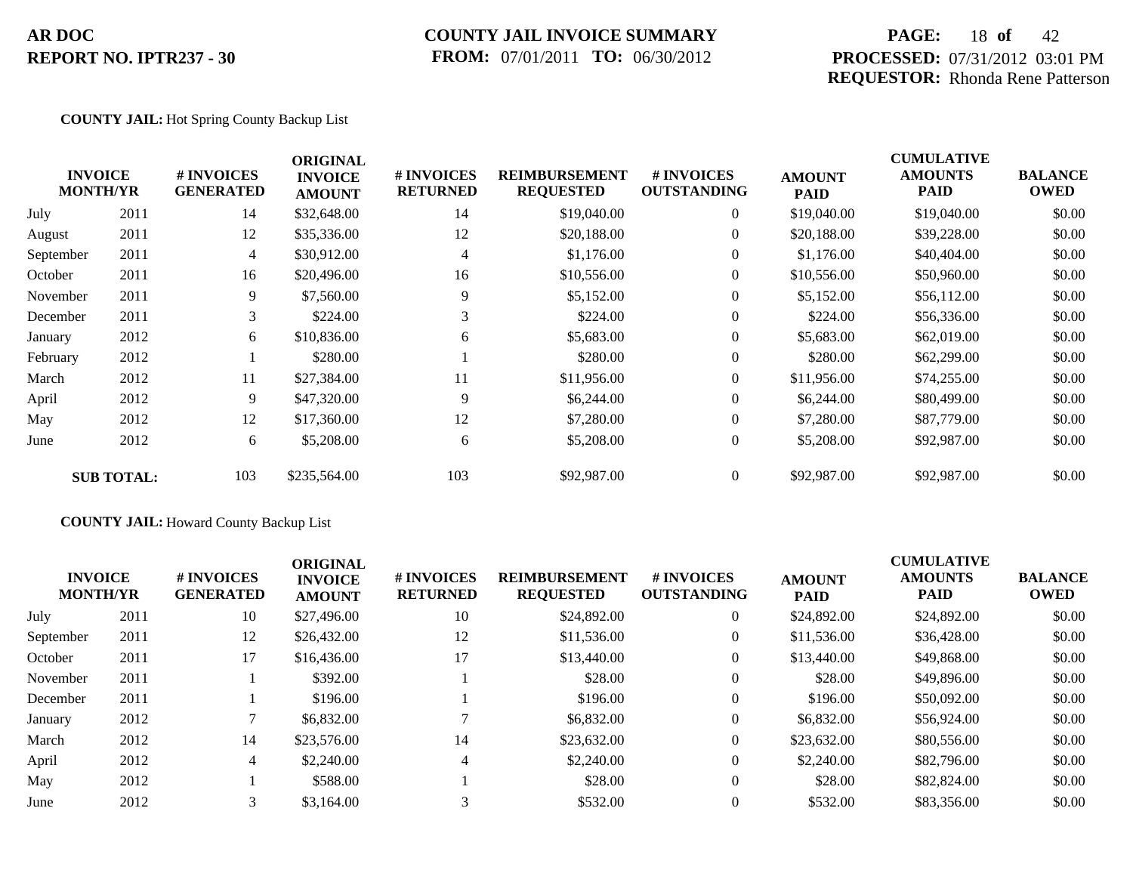# **COUNTY JAIL INVOICE SUMMARY FROM:** 07/01/2011 **TO:** 06/30/2012

# **PAGE:** 18 **of** 42 **PROCESSED:** 07/31/2012 03:01 PM **REQUESTOR:** Rhonda Rene Patterson

## **COUNTY JAIL:** Hot Spring County Backup List

|           | <b>INVOICE</b><br><b>MONTH/YR</b> | # INVOICES<br><b>GENERATED</b> | <b>ORIGINAL</b><br><b>INVOICE</b><br><b>AMOUNT</b> | # INVOICES<br><b>RETURNED</b> | <b>REIMBURSEMENT</b><br><b>REQUESTED</b> | <b># INVOICES</b><br><b>OUTSTANDING</b> | <b>AMOUNT</b><br><b>PAID</b> | <b>CUMULATIVE</b><br><b>AMOUNTS</b><br><b>PAID</b> | <b>BALANCE</b><br><b>OWED</b> |
|-----------|-----------------------------------|--------------------------------|----------------------------------------------------|-------------------------------|------------------------------------------|-----------------------------------------|------------------------------|----------------------------------------------------|-------------------------------|
| July      | 2011                              | 14                             | \$32,648.00                                        | 14                            | \$19,040.00                              | $\overline{0}$                          | \$19,040.00                  | \$19,040.00                                        | \$0.00                        |
| August    | 2011                              | 12                             | \$35,336.00                                        | 12                            | \$20,188.00                              | $\overline{0}$                          | \$20,188.00                  | \$39,228.00                                        | \$0.00                        |
| September | 2011                              | $\overline{4}$                 | \$30,912.00                                        | 4                             | \$1,176.00                               | $\overline{0}$                          | \$1,176.00                   | \$40,404.00                                        | \$0.00                        |
| October   | 2011                              | 16                             | \$20,496.00                                        | 16                            | \$10,556.00                              | $\overline{0}$                          | \$10,556.00                  | \$50,960.00                                        | \$0.00                        |
| November  | 2011                              | 9                              | \$7,560.00                                         | 9                             | \$5,152.00                               | $\overline{0}$                          | \$5,152.00                   | \$56,112.00                                        | \$0.00                        |
| December  | 2011                              | 3                              | \$224.00                                           | 3                             | \$224.00                                 | $\overline{0}$                          | \$224.00                     | \$56,336.00                                        | \$0.00                        |
| January   | 2012                              | 6                              | \$10,836.00                                        | 6                             | \$5,683.00                               | $\overline{0}$                          | \$5,683.00                   | \$62,019.00                                        | \$0.00                        |
| February  | 2012                              |                                | \$280.00                                           |                               | \$280.00                                 | $\overline{0}$                          | \$280.00                     | \$62,299.00                                        | \$0.00                        |
| March     | 2012                              | 11                             | \$27,384.00                                        | 11                            | \$11,956.00                              | $\overline{0}$                          | \$11,956.00                  | \$74,255.00                                        | \$0.00                        |
| April     | 2012                              | 9                              | \$47,320.00                                        | 9                             | \$6,244.00                               | $\overline{0}$                          | \$6,244.00                   | \$80,499.00                                        | \$0.00                        |
| May       | 2012                              | 12                             | \$17,360.00                                        | 12                            | \$7,280.00                               | $\overline{0}$                          | \$7,280.00                   | \$87,779.00                                        | \$0.00                        |
| June      | 2012                              | 6                              | \$5,208.00                                         | 6                             | \$5,208.00                               | $\overline{0}$                          | \$5,208.00                   | \$92,987.00                                        | \$0.00                        |
|           | <b>SUB TOTAL:</b>                 | 103                            | \$235,564.00                                       | 103                           | \$92,987.00                              | $\overline{0}$                          | \$92,987.00                  | \$92,987.00                                        | \$0.00                        |

## **COUNTY JAIL:** Howard County Backup List

| <b>INVOICE</b><br><b>MONTH/YR</b> |      | # INVOICES<br><b>GENERATED</b> | <b>ORIGINAL</b><br><b>INVOICE</b><br><b>AMOUNT</b> | # INVOICES<br><b>RETURNED</b> | <b>REIMBURSEMENT</b><br><b>REQUESTED</b> | # INVOICES<br><b>OUTSTANDING</b> | <b>AMOUNT</b><br><b>PAID</b> | <b>CUMULATIVE</b><br><b>AMOUNTS</b><br><b>PAID</b> | <b>BALANCE</b><br><b>OWED</b> |
|-----------------------------------|------|--------------------------------|----------------------------------------------------|-------------------------------|------------------------------------------|----------------------------------|------------------------------|----------------------------------------------------|-------------------------------|
| July                              | 2011 | 10                             | \$27,496.00                                        | 10                            | \$24,892.00                              | $\overline{0}$                   | \$24,892.00                  | \$24,892.00                                        | \$0.00                        |
| September                         | 2011 | 12                             | \$26,432.00                                        | 12                            | \$11,536.00                              | $\overline{0}$                   | \$11,536.00                  | \$36,428.00                                        | \$0.00                        |
| October                           | 2011 | 17                             | \$16,436.00                                        | 17                            | \$13,440.00                              | $\overline{0}$                   | \$13,440.00                  | \$49,868,00                                        | \$0.00                        |
| November                          | 2011 |                                | \$392.00                                           |                               | \$28.00                                  | $\overline{0}$                   | \$28.00                      | \$49,896.00                                        | \$0.00                        |
| December                          | 2011 |                                | \$196.00                                           |                               | \$196.00                                 | $\overline{0}$                   | \$196.00                     | \$50,092.00                                        | \$0.00                        |
| January                           | 2012 |                                | \$6,832.00                                         |                               | \$6,832.00                               | $\theta$                         | \$6,832.00                   | \$56,924.00                                        | \$0.00                        |
| March                             | 2012 | 14                             | \$23,576.00                                        | 14                            | \$23,632.00                              | $\overline{0}$                   | \$23,632.00                  | \$80,556.00                                        | \$0.00                        |
| April                             | 2012 | $\overline{4}$                 | \$2,240.00                                         | $\overline{4}$                | \$2,240.00                               | $\overline{0}$                   | \$2,240.00                   | \$82,796.00                                        | \$0.00                        |
| May                               | 2012 |                                | \$588.00                                           |                               | \$28.00                                  | $\overline{0}$                   | \$28.00                      | \$82,824.00                                        | \$0.00                        |
| June                              | 2012 |                                | \$3,164.00                                         | $\sim$                        | \$532.00                                 | $\Omega$                         | \$532.00                     | \$83,356.00                                        | \$0.00                        |
|                                   |      |                                |                                                    |                               |                                          |                                  |                              |                                                    |                               |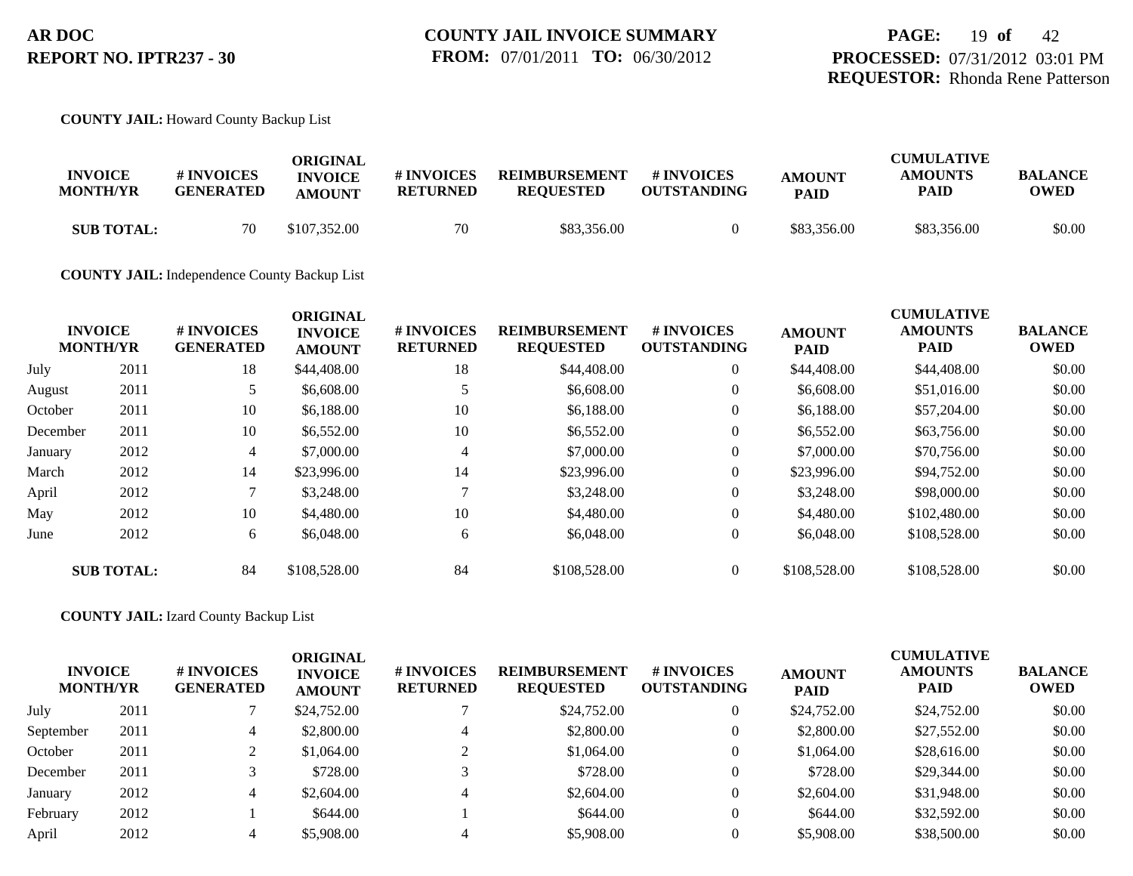## **COUNTY JAIL:** Howard County Backup List

| <b>INVOICE</b><br><b>MONTH/YR</b> | <b>#INVOICES</b><br><b>GENERATED</b> | ORIGINAL<br><b>INVOICE</b><br><b>AMOUNT</b> | # INVOICES<br><b>RETURNED</b> | <b>REIMBURSEMENT</b><br><b>REOUESTED</b> | # INVOICES<br><b>OUTSTANDING</b> | <b>AMOUNT</b><br><b>PAID</b> | <b>CUMULATIVE</b><br><b>AMOUNTS</b><br><b>PAID</b> | <b>BALANCE</b><br><b>OWED</b> |
|-----------------------------------|--------------------------------------|---------------------------------------------|-------------------------------|------------------------------------------|----------------------------------|------------------------------|----------------------------------------------------|-------------------------------|
| <b>SUB TOTAL:</b>                 | 70                                   | \$107,352.00                                | 70                            | \$83,356.00                              |                                  | \$83,356.00                  | \$83,356.00                                        | \$0.00                        |

**COUNTY JAIL:** Independence County Backup List

|          | <b>INVOICE</b><br><b>MONTH/YR</b> | # INVOICES<br><b>GENERATED</b> | <b>ORIGINAL</b><br><b>INVOICE</b><br><b>AMOUNT</b> | # INVOICES<br><b>RETURNED</b> | <b>REIMBURSEMENT</b><br><b>REQUESTED</b> | <b>#INVOICES</b><br><b>OUTSTANDING</b> | <b>AMOUNT</b><br><b>PAID</b> | <b>CUMULATIVE</b><br><b>AMOUNTS</b><br>PAID | <b>BALANCE</b><br><b>OWED</b> |
|----------|-----------------------------------|--------------------------------|----------------------------------------------------|-------------------------------|------------------------------------------|----------------------------------------|------------------------------|---------------------------------------------|-------------------------------|
| July     | 2011                              | 18                             | \$44,408.00                                        | 18                            | \$44,408.00                              | $\overline{0}$                         | \$44,408.00                  | \$44,408.00                                 | \$0.00                        |
| August   | 2011                              |                                | \$6,608.00                                         |                               | \$6,608.00                               | $\overline{0}$                         | \$6,608.00                   | \$51,016.00                                 | \$0.00                        |
| October  | 2011                              | 10                             | \$6,188.00                                         | 10                            | \$6,188.00                               | $\overline{0}$                         | \$6,188.00                   | \$57,204.00                                 | \$0.00                        |
| December | 2011                              | 10                             | \$6,552.00                                         | 10                            | \$6,552.00                               | $\overline{0}$                         | \$6,552.00                   | \$63,756.00                                 | \$0.00                        |
| January  | 2012                              | $\overline{4}$                 | \$7,000.00                                         | 4                             | \$7,000.00                               | $\overline{0}$                         | \$7,000.00                   | \$70,756.00                                 | \$0.00                        |
| March    | 2012                              | 14                             | \$23,996.00                                        | 14                            | \$23,996.00                              | $\overline{0}$                         | \$23,996.00                  | \$94,752.00                                 | \$0.00                        |
| April    | 2012                              |                                | \$3,248.00                                         |                               | \$3,248,00                               | $\overline{0}$                         | \$3,248.00                   | \$98,000.00                                 | \$0.00                        |
| May      | 2012                              | 10                             | \$4,480.00                                         | 10                            | \$4,480.00                               | $\overline{0}$                         | \$4,480.00                   | \$102,480.00                                | \$0.00                        |
| June     | 2012                              | 6                              | \$6,048.00                                         | 6                             | \$6,048.00                               | $\overline{0}$                         | \$6,048.00                   | \$108,528.00                                | \$0.00                        |
|          | <b>SUB TOTAL:</b>                 | 84                             | \$108,528.00                                       | 84                            | \$108,528.00                             | $\overline{0}$                         | \$108,528.00                 | \$108,528.00                                | \$0.00                        |

**COUNTY JAIL:** Izard County Backup List

| <b>INVOICE</b><br><b>MONTH/YR</b> |      | <b># INVOICES</b><br><b>GENERATED</b> | <b>ORIGINAL</b><br><b>INVOICE</b><br><b>AMOUNT</b> | # INVOICES<br><b>RETURNED</b> | <b>REIMBURSEMENT</b><br><b>REQUESTED</b> | <b># INVOICES</b><br><b>OUTSTANDING</b> | <b>AMOUNT</b><br><b>PAID</b> | <b>CUMULATIVE</b><br><b>AMOUNTS</b><br><b>PAID</b> | <b>BALANCE</b><br><b>OWED</b> |
|-----------------------------------|------|---------------------------------------|----------------------------------------------------|-------------------------------|------------------------------------------|-----------------------------------------|------------------------------|----------------------------------------------------|-------------------------------|
| July                              | 2011 |                                       | \$24,752.00                                        |                               | \$24,752.00                              |                                         | \$24,752.00                  | \$24,752.00                                        | \$0.00                        |
| September                         | 2011 |                                       | \$2,800.00                                         |                               | \$2,800.00                               |                                         | \$2,800.00                   | \$27,552.00                                        | \$0.00                        |
| October                           | 2011 |                                       | \$1,064.00                                         |                               | \$1,064.00                               |                                         | \$1,064.00                   | \$28,616.00                                        | \$0.00                        |
| December                          | 2011 |                                       | \$728.00                                           |                               | \$728.00                                 |                                         | \$728.00                     | \$29,344.00                                        | \$0.00                        |
| January                           | 2012 | 4                                     | \$2,604.00                                         |                               | \$2,604.00                               |                                         | \$2,604.00                   | \$31,948.00                                        | \$0.00                        |
| February                          | 2012 |                                       | \$644.00                                           |                               | \$644.00                                 |                                         | \$644.00                     | \$32,592.00                                        | \$0.00                        |
| April                             | 2012 |                                       | \$5,908.00                                         |                               | \$5,908.00                               |                                         | \$5,908.00                   | \$38,500.00                                        | \$0.00                        |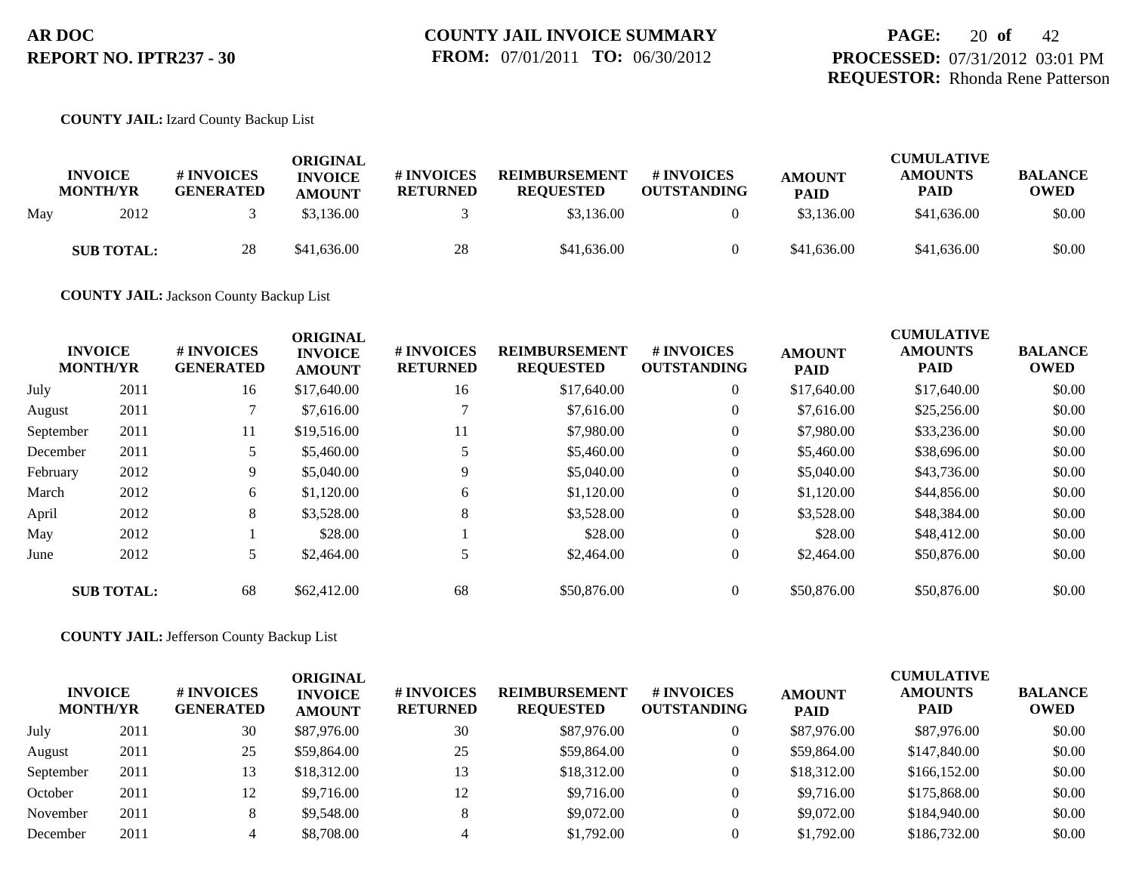## **COUNTY JAIL:** Izard County Backup List

|     | <b>INVOICE</b><br><b>MONTH/YR</b> | # INVOICES<br><b>GENERATED</b> | ORIGINAL<br><b>INVOICE</b><br><b>AMOUNT</b> | # INVOICES<br><b>RETURNED</b> | <b>REIMBURSEMENT</b><br><b>REQUESTED</b> | <b># INVOICES</b><br><b>OUTSTANDING</b> | <b>AMOUNT</b><br><b>PAID</b> | <b>CUMULATIVE</b><br><b>AMOUNTS</b><br><b>PAID</b> | <b>BALANCE</b><br><b>OWED</b> |
|-----|-----------------------------------|--------------------------------|---------------------------------------------|-------------------------------|------------------------------------------|-----------------------------------------|------------------------------|----------------------------------------------------|-------------------------------|
| May | 2012                              |                                | \$3,136.00                                  |                               | \$3,136.00                               |                                         | \$3,136.00                   | \$41,636.00                                        | \$0.00                        |
|     | <b>SUB TOTAL:</b>                 | 28                             | \$41,636.00                                 | 28                            | \$41,636.00                              |                                         | \$41,636.00                  | \$41,636.00                                        | \$0.00                        |

**COUNTY JAIL:** Jackson County Backup List

|           | <b>INVOICE</b><br><b>MONTH/YR</b> | # INVOICES<br><b>GENERATED</b> | <b>ORIGINAL</b><br><b>INVOICE</b><br><b>AMOUNT</b> | # INVOICES<br><b>RETURNED</b> | <b>REIMBURSEMENT</b><br><b>REQUESTED</b> | <b>#INVOICES</b><br><b>OUTSTANDING</b> | <b>AMOUNT</b><br><b>PAID</b> | <b>CUMULATIVE</b><br><b>AMOUNTS</b><br><b>PAID</b> | <b>BALANCE</b><br><b>OWED</b> |
|-----------|-----------------------------------|--------------------------------|----------------------------------------------------|-------------------------------|------------------------------------------|----------------------------------------|------------------------------|----------------------------------------------------|-------------------------------|
| July      | 2011                              | 16                             | \$17,640.00                                        | 16                            | \$17,640.00                              | $\overline{0}$                         | \$17,640.00                  | \$17,640.00                                        | \$0.00                        |
| August    | 2011                              |                                | \$7,616.00                                         |                               | \$7,616.00                               | $\overline{0}$                         | \$7,616.00                   | \$25,256.00                                        | \$0.00                        |
| September | 2011                              | 11                             | \$19,516.00                                        | 11                            | \$7,980.00                               | $\overline{0}$                         | \$7,980.00                   | \$33,236.00                                        | \$0.00                        |
| December  | 2011                              |                                | \$5,460.00                                         |                               | \$5,460.00                               | $\overline{0}$                         | \$5,460.00                   | \$38,696.00                                        | \$0.00                        |
| February  | 2012                              | 9                              | \$5,040.00                                         |                               | \$5,040.00                               | $\overline{0}$                         | \$5,040.00                   | \$43,736.00                                        | \$0.00                        |
| March     | 2012                              | 6                              | \$1,120.00                                         | 6                             | \$1,120.00                               | $\overline{0}$                         | \$1,120.00                   | \$44,856.00                                        | \$0.00                        |
| April     | 2012                              | 8                              | \$3,528.00                                         | 8                             | \$3,528.00                               | $\overline{0}$                         | \$3,528.00                   | \$48,384.00                                        | \$0.00                        |
| May       | 2012                              |                                | \$28.00                                            |                               | \$28.00                                  | $\overline{0}$                         | \$28.00                      | \$48,412.00                                        | \$0.00                        |
| June      | 2012                              |                                | \$2,464.00                                         |                               | \$2,464.00                               | $\overline{0}$                         | \$2,464.00                   | \$50,876.00                                        | \$0.00                        |
|           | <b>SUB TOTAL:</b>                 | 68                             | \$62,412.00                                        | 68                            | \$50,876.00                              | $\theta$                               | \$50,876.00                  | \$50,876.00                                        | \$0.00                        |

**COUNTY JAIL:** Jefferson County Backup List

| <b>INVOICE</b><br><b>MONTH/YR</b> |      | # INVOICES<br><b>GENERATED</b> | ORIGINAL<br><b>INVOICE</b><br><b>AMOUNT</b> | # INVOICES<br><b>RETURNED</b> | <b>REIMBURSEMENT</b><br><b>REQUESTED</b> | # INVOICES<br><b>OUTSTANDING</b> | <b>AMOUNT</b><br><b>PAID</b> | <b>CUMULATIVE</b><br><b>AMOUNTS</b><br><b>PAID</b> | <b>BALANCE</b><br><b>OWED</b> |
|-----------------------------------|------|--------------------------------|---------------------------------------------|-------------------------------|------------------------------------------|----------------------------------|------------------------------|----------------------------------------------------|-------------------------------|
| July                              | 2011 | 30                             | \$87,976.00                                 | 30                            | \$87,976.00                              | 0                                | \$87,976.00                  | \$87,976.00                                        | \$0.00                        |
| August                            | 2011 | 25                             | \$59,864.00                                 | 25                            | \$59,864.00                              | $\theta$                         | \$59,864.00                  | \$147,840.00                                       | \$0.00                        |
| September                         | 2011 |                                | \$18,312.00                                 | 13                            | \$18,312.00                              | $\mathbf{0}$                     | \$18,312.00                  | \$166,152.00                                       | \$0.00                        |
| October                           | 2011 | 12                             | \$9,716.00                                  | 12                            | \$9,716.00                               | $\theta$                         | \$9,716.00                   | \$175,868,00                                       | \$0.00                        |
| November                          | 2011 | 8                              | \$9,548.00                                  | 8                             | \$9,072.00                               | $\overline{0}$                   | \$9,072.00                   | \$184,940.00                                       | \$0.00                        |
| December                          | 2011 |                                | \$8,708.00                                  |                               | \$1,792.00                               | $\Omega$                         | \$1,792.00                   | \$186,732.00                                       | \$0.00                        |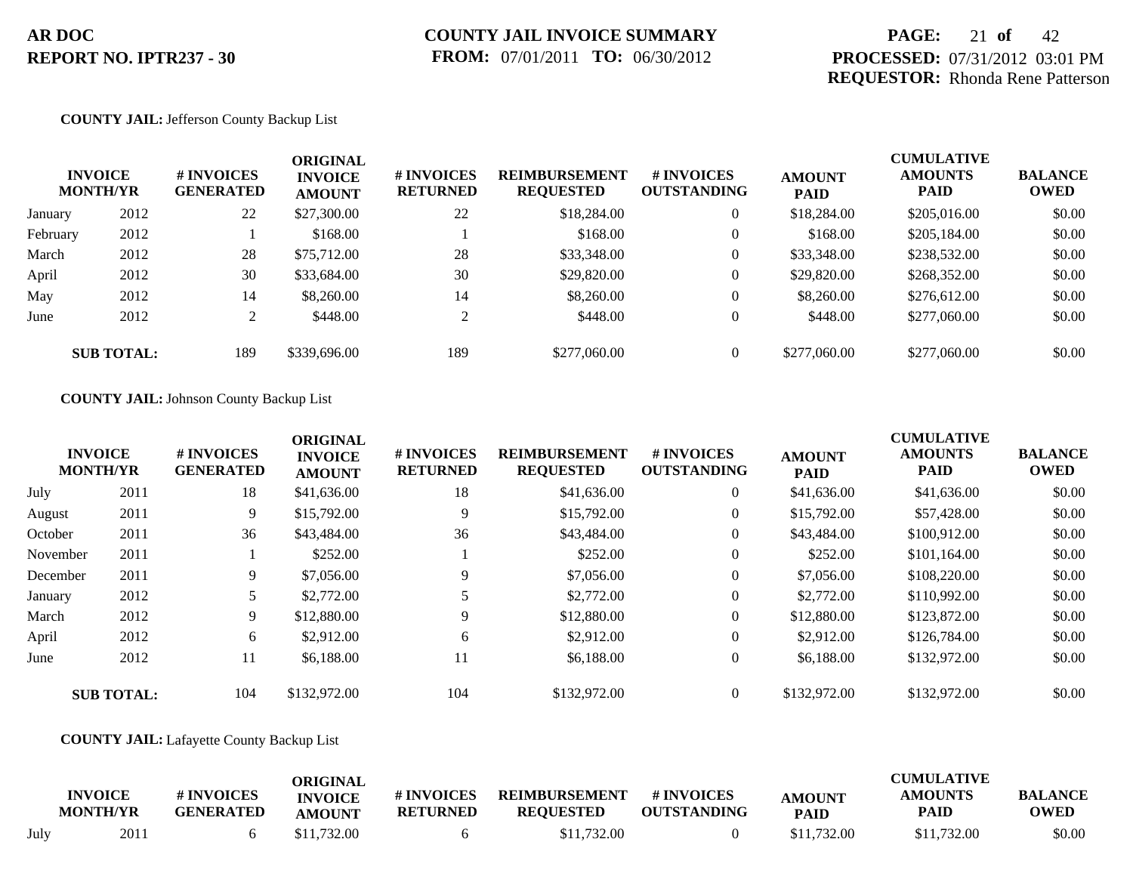# **PAGE:** 21 **of** 42 **PROCESSED:** 07/31/2012 03:01 PM **REQUESTOR:** Rhonda Rene Patterson

#### **COUNTY JAIL:** Jefferson County Backup List

|          | <b>INVOICE</b><br><b>MONTH/YR</b> | # INVOICES<br><b>GENERATED</b> | <b>ORIGINAL</b><br><b>INVOICE</b><br><b>AMOUNT</b> | # INVOICES<br><b>RETURNED</b> | <b>REIMBURSEMENT</b><br><b>REQUESTED</b> | # INVOICES<br><b>OUTSTANDING</b> | <b>AMOUNT</b><br><b>PAID</b> | <b>CUMULATIVE</b><br><b>AMOUNTS</b><br><b>PAID</b> | <b>BALANCE</b><br><b>OWED</b> |
|----------|-----------------------------------|--------------------------------|----------------------------------------------------|-------------------------------|------------------------------------------|----------------------------------|------------------------------|----------------------------------------------------|-------------------------------|
| January  | 2012                              | 22                             | \$27,300.00                                        | 22                            | \$18,284.00                              | $\overline{0}$                   | \$18,284.00                  | \$205,016.00                                       | \$0.00                        |
| February | 2012                              |                                | \$168.00                                           |                               | \$168.00                                 | $\overline{0}$                   | \$168.00                     | \$205,184.00                                       | \$0.00                        |
| March    | 2012                              | 28                             | \$75,712.00                                        | 28                            | \$33,348.00                              | $\overline{0}$                   | \$33,348.00                  | \$238,532.00                                       | \$0.00                        |
| April    | 2012                              | 30                             | \$33,684.00                                        | 30                            | \$29,820.00                              | $\overline{0}$                   | \$29,820.00                  | \$268,352.00                                       | \$0.00                        |
| May      | 2012                              | 14                             | \$8,260.00                                         | 14                            | \$8,260.00                               | $\overline{0}$                   | \$8,260.00                   | \$276,612.00                                       | \$0.00                        |
| June     | 2012                              | ∠                              | \$448.00                                           | $\mathcal{D}$                 | \$448.00                                 | $\overline{0}$                   | \$448.00                     | \$277,060.00                                       | \$0.00                        |
|          | <b>SUB TOTAL:</b>                 | 189                            | \$339,696.00                                       | 189                           | \$277,060.00                             | $\overline{0}$                   | \$277,060.00                 | \$277,060.00                                       | \$0.00                        |

### **COUNTY JAIL:** Johnson County Backup List

|          | <b>INVOICE</b><br><b>MONTH/YR</b> | # INVOICES<br><b>GENERATED</b> | <b>ORIGINAL</b><br><b>INVOICE</b><br><b>AMOUNT</b> | # INVOICES<br><b>RETURNED</b> | <b>REIMBURSEMENT</b><br><b>REQUESTED</b> | # INVOICES<br><b>OUTSTANDING</b> | <b>AMOUNT</b><br><b>PAID</b> | <b>CUMULATIVE</b><br><b>AMOUNTS</b><br><b>PAID</b> | <b>BALANCE</b><br><b>OWED</b> |
|----------|-----------------------------------|--------------------------------|----------------------------------------------------|-------------------------------|------------------------------------------|----------------------------------|------------------------------|----------------------------------------------------|-------------------------------|
| July     | 2011                              | 18                             | \$41,636.00                                        | 18                            | \$41,636.00                              | $\overline{0}$                   | \$41,636.00                  | \$41,636.00                                        | \$0.00                        |
| August   | 2011                              | 9                              | \$15,792.00                                        | 9                             | \$15,792.00                              | $\overline{0}$                   | \$15,792.00                  | \$57,428.00                                        | \$0.00                        |
| October  | 2011                              | 36                             | \$43,484.00                                        | 36                            | \$43,484.00                              | $\overline{0}$                   | \$43,484.00                  | \$100,912.00                                       | \$0.00                        |
| November | 2011                              |                                | \$252.00                                           |                               | \$252.00                                 | $\overline{0}$                   | \$252.00                     | \$101,164.00                                       | \$0.00                        |
| December | 2011                              | 9                              | \$7,056.00                                         | 9                             | \$7,056.00                               | $\overline{0}$                   | \$7,056.00                   | \$108,220.00                                       | \$0.00                        |
| January  | 2012                              |                                | \$2,772.00                                         |                               | \$2,772.00                               | $\overline{0}$                   | \$2,772.00                   | \$110,992.00                                       | \$0.00                        |
| March    | 2012                              | 9                              | \$12,880.00                                        | 9                             | \$12,880.00                              | $\overline{0}$                   | \$12,880.00                  | \$123,872.00                                       | \$0.00                        |
| April    | 2012                              | 6                              | \$2,912.00                                         | 6                             | \$2,912.00                               | $\overline{0}$                   | \$2,912.00                   | \$126,784.00                                       | \$0.00                        |
| June     | 2012                              | 11                             | \$6,188,00                                         | 11                            | \$6,188,00                               | $\overline{0}$                   | \$6,188,00                   | \$132,972.00                                       | \$0.00                        |
|          | <b>SUB TOTAL:</b>                 | 104                            | \$132,972.00                                       | 104                           | \$132,972.00                             | $\overline{0}$                   | \$132,972.00                 | \$132,972.00                                       | \$0.00                        |

### **COUNTY JAIL:** Lafayette County Backup List

|      | <b>INVOICE</b><br><b>MONTH/YR</b> | <b>#INVOICES</b><br><b>GENERATED</b> | ORIGINAL<br><b>INVOICE</b><br><b>AMOUNT</b> | # INVOICES<br><b>RETURNED</b> | <b>REIMBURSEMENT</b><br><b>REOUESTED</b> | # INVOICES<br><b>OUTSTANDING</b> | <b>AMOUNT</b><br><b>PAID</b> | <b>CUMULATIVE</b><br><b>AMOUNTS</b><br>PAID | <b>BALANCE</b><br><b>OWED</b> |
|------|-----------------------------------|--------------------------------------|---------------------------------------------|-------------------------------|------------------------------------------|----------------------------------|------------------------------|---------------------------------------------|-------------------------------|
| July | 2011                              |                                      | \$11,732.00                                 |                               | \$11,732.00                              |                                  | \$11,732.00                  | \$11,732.00                                 | \$0.00                        |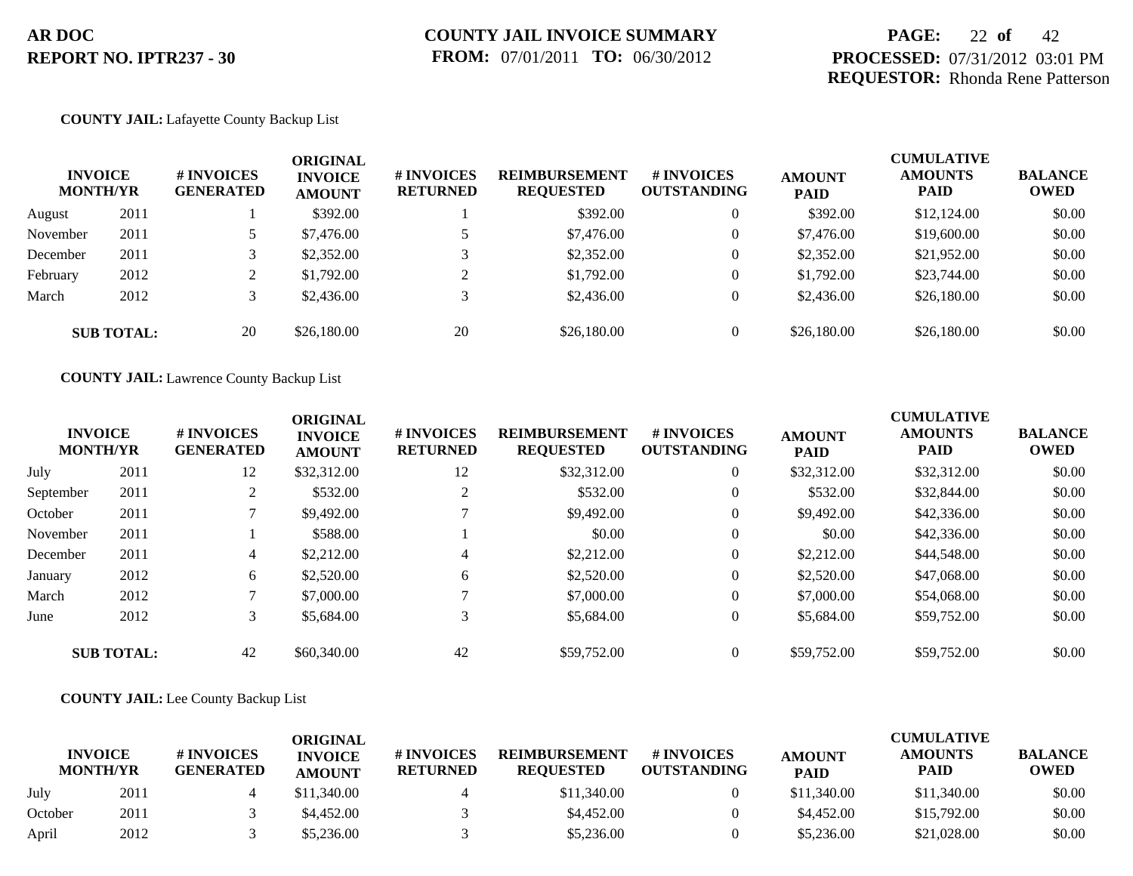# **PAGE:** 22 **of** 42 **PROCESSED:** 07/31/2012 03:01 PM **REQUESTOR:** Rhonda Rene Patterson

### **COUNTY JAIL:** Lafayette County Backup List

| <b>INVOICE</b><br><b>MONTH/YR</b> |                   | <b>#INVOICES</b><br><b>GENERATED</b> | <b>ORIGINAL</b><br><b>INVOICE</b><br><b>AMOUNT</b> | # INVOICES<br><b>RETURNED</b> | <b>REIMBURSEMENT</b><br><b>REQUESTED</b> | <b>#INVOICES</b><br><b>OUTSTANDING</b> | <b>AMOUNT</b><br><b>PAID</b> | <b>CUMULATIVE</b><br><b>AMOUNTS</b><br><b>PAID</b> | <b>BALANCE</b><br><b>OWED</b> |
|-----------------------------------|-------------------|--------------------------------------|----------------------------------------------------|-------------------------------|------------------------------------------|----------------------------------------|------------------------------|----------------------------------------------------|-------------------------------|
| August                            | 2011              |                                      | \$392.00                                           |                               | \$392.00                                 | $\overline{0}$                         | \$392.00                     | \$12,124.00                                        | \$0.00                        |
| November                          | 2011              |                                      | \$7,476.00                                         |                               | \$7,476.00                               | $\overline{0}$                         | \$7,476.00                   | \$19,600.00                                        | \$0.00                        |
| December                          | 2011              |                                      | \$2,352.00                                         |                               | \$2,352.00                               | $\overline{0}$                         | \$2,352.00                   | \$21,952.00                                        | \$0.00                        |
| February                          | 2012              |                                      | \$1,792.00                                         | $\bigcap$                     | \$1,792.00                               | $\overline{0}$                         | \$1,792.00                   | \$23,744.00                                        | \$0.00                        |
| March                             | 2012              |                                      | \$2,436.00                                         | 3                             | \$2,436.00                               | $\overline{0}$                         | \$2,436.00                   | \$26,180.00                                        | \$0.00                        |
|                                   | <b>SUB TOTAL:</b> | 20                                   | \$26,180.00                                        | 20                            | \$26,180.00                              | $\overline{0}$                         | \$26,180.00                  | \$26,180.00                                        | \$0.00                        |

**COUNTY JAIL:** Lawrence County Backup List

|           | <b>INVOICE</b><br><b>MONTH/YR</b> | # INVOICES<br><b>GENERATED</b> | <b>ORIGINAL</b><br><b>INVOICE</b><br><b>AMOUNT</b> | # INVOICES<br><b>RETURNED</b> | <b>REIMBURSEMENT</b><br><b>REQUESTED</b> | # INVOICES<br><b>OUTSTANDING</b> | <b>AMOUNT</b><br><b>PAID</b> | <b>CUMULATIVE</b><br><b>AMOUNTS</b><br><b>PAID</b> | <b>BALANCE</b><br><b>OWED</b> |
|-----------|-----------------------------------|--------------------------------|----------------------------------------------------|-------------------------------|------------------------------------------|----------------------------------|------------------------------|----------------------------------------------------|-------------------------------|
| July      | 2011                              | 12                             | \$32,312.00                                        | 12                            | \$32,312.00                              | $\overline{0}$                   | \$32,312.00                  | \$32,312.00                                        | \$0.00                        |
| September | 2011                              |                                | \$532.00                                           | 2                             | \$532.00                                 | $\overline{0}$                   | \$532.00                     | \$32,844.00                                        | \$0.00                        |
| October   | 2011                              |                                | \$9,492.00                                         |                               | \$9,492.00                               | $\overline{0}$                   | \$9,492.00                   | \$42,336.00                                        | \$0.00                        |
| November  | 2011                              |                                | \$588.00                                           |                               | \$0.00                                   | $\overline{0}$                   | \$0.00                       | \$42,336.00                                        | \$0.00                        |
| December  | 2011                              | 4                              | \$2,212.00                                         | $\overline{4}$                | \$2,212.00                               | $\overline{0}$                   | \$2,212.00                   | \$44,548.00                                        | \$0.00                        |
| January   | 2012                              | 6                              | \$2,520.00                                         | 6                             | \$2,520.00                               | $\overline{0}$                   | \$2,520.00                   | \$47,068.00                                        | \$0.00                        |
| March     | 2012                              |                                | \$7,000.00                                         |                               | \$7,000.00                               | $\overline{0}$                   | \$7,000.00                   | \$54,068.00                                        | \$0.00                        |
| June      | 2012                              | 3                              | \$5,684.00                                         | 3                             | \$5,684.00                               | $\theta$                         | \$5,684.00                   | \$59,752.00                                        | \$0.00                        |
|           | <b>SUB TOTAL:</b>                 | 42                             | \$60,340.00                                        | 42                            | \$59,752.00                              | $\theta$                         | \$59,752.00                  | \$59,752.00                                        | \$0.00                        |

## **COUNTY JAIL:** Lee County Backup List

|         |                                   |                                      | ORIGINAL                        |                                     |                                          |                                  |                              | CUMULATIVE                    |                               |
|---------|-----------------------------------|--------------------------------------|---------------------------------|-------------------------------------|------------------------------------------|----------------------------------|------------------------------|-------------------------------|-------------------------------|
|         | <b>INVOICE</b><br><b>MONTH/YR</b> | <b>#INVOICES</b><br><b>GENERATED</b> | <b>INVOICE</b><br><b>AMOUNT</b> | <b>#INVOICES</b><br><b>RETURNED</b> | <b>REIMBURSEMENT</b><br><b>REOUESTED</b> | # INVOICES<br><b>OUTSTANDING</b> | <b>AMOUNT</b><br><b>PAID</b> | <b>AMOUNTS</b><br><b>PAID</b> | <b>BALANCE</b><br><b>OWED</b> |
| July    | 2011                              |                                      | \$11,340.00                     |                                     | \$11,340.00                              |                                  | \$11,340.00                  | \$11,340.00                   | \$0.00                        |
| October | 2011                              |                                      | \$4,452.00                      |                                     | \$4,452.00                               |                                  | \$4,452.00                   | \$15,792.00                   | \$0.00                        |
| April   | 2012                              |                                      | \$5,236.00                      |                                     | \$5,236.00                               |                                  | \$5,236.00                   | \$21,028.00                   | \$0.00                        |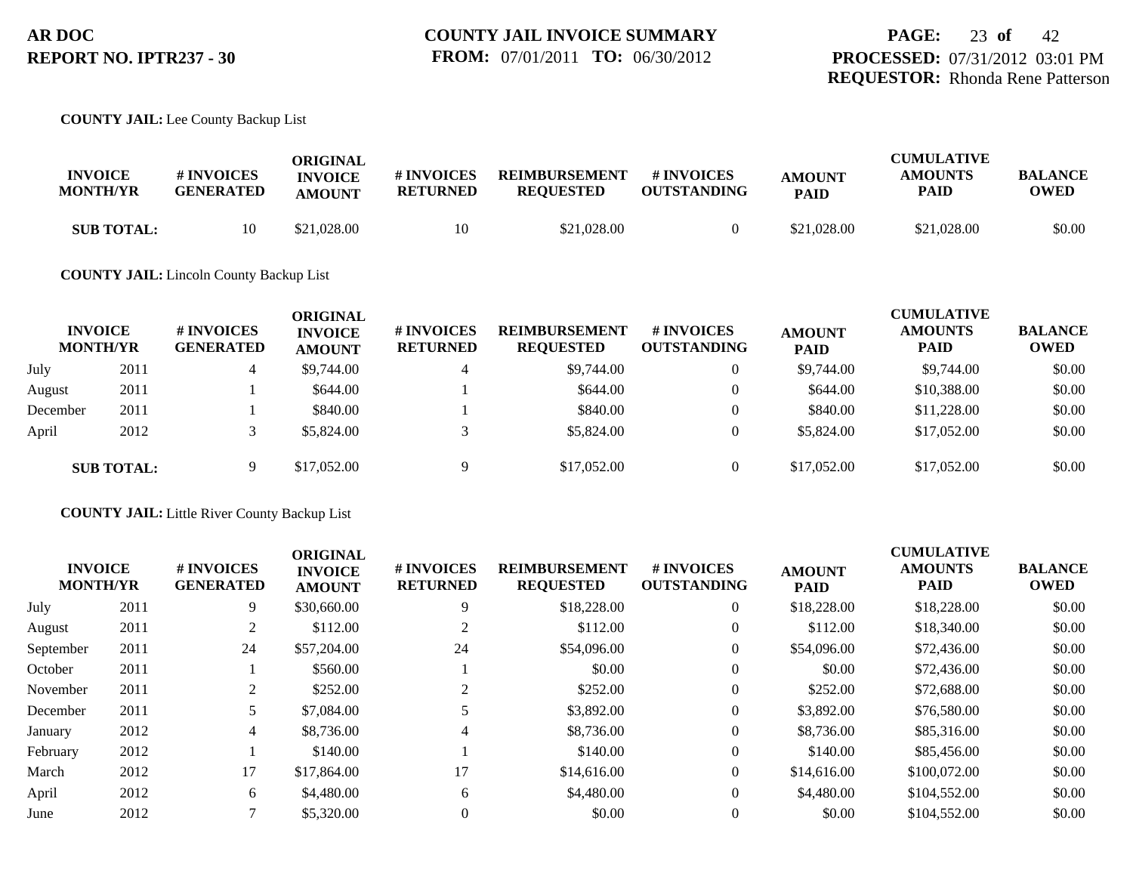## **COUNTY JAIL:** Lee County Backup List

| <b>INVOICE</b><br><b>MONTH/YR</b> | <b>#INVOICES</b><br><b>GENERATED</b> | ORIGINAL<br><b>INVOICE</b><br><b>AMOUNT</b> | # INVOICES<br>RETURNED | <b>REIMBURSEMENT</b><br><b>REOUESTED</b> | # INVOICES<br><b>OUTSTANDING</b> | <b>AMOUNT</b><br><b>PAID</b> | <b>CUMULATIVE</b><br><b>AMOUNTS</b><br>PAID | <b>BALANCE</b><br>OWED |
|-----------------------------------|--------------------------------------|---------------------------------------------|------------------------|------------------------------------------|----------------------------------|------------------------------|---------------------------------------------|------------------------|
| <b>SUB TOTAL:</b>                 | 10                                   | \$21,028.00                                 | 10                     | \$21,028.00                              |                                  | \$21,028.00                  | \$21,028.00                                 | \$0.00                 |

### **COUNTY JAIL:** Lincoln County Backup List

|          | <b>INVOICE</b><br><b>MONTH/YR</b> | # INVOICES<br><b>GENERATED</b> | ORIGINAL<br><b>INVOICE</b><br><b>AMOUNT</b> | # INVOICES<br><b>RETURNED</b> | <b>REIMBURSEMENT</b><br><b>REQUESTED</b> | # INVOICES<br><b>OUTSTANDING</b> | <b>AMOUNT</b><br><b>PAID</b> | <b>CUMULATIVE</b><br><b>AMOUNTS</b><br><b>PAID</b> | <b>BALANCE</b><br><b>OWED</b> |
|----------|-----------------------------------|--------------------------------|---------------------------------------------|-------------------------------|------------------------------------------|----------------------------------|------------------------------|----------------------------------------------------|-------------------------------|
| July     | 2011                              | 4                              | \$9,744.00                                  | $\overline{4}$                | \$9,744.00                               | $\theta$                         | \$9,744.00                   | \$9,744.00                                         | \$0.00                        |
| August   | 2011                              |                                | \$644.00                                    |                               | \$644.00                                 | $\overline{0}$                   | \$644.00                     | \$10,388.00                                        | \$0.00                        |
| December | 2011                              |                                | \$840.00                                    |                               | \$840.00                                 | $\theta$                         | \$840.00                     | \$11,228.00                                        | \$0.00                        |
| April    | 2012                              |                                | \$5,824.00                                  |                               | \$5,824.00                               | $\theta$                         | \$5,824.00                   | \$17,052.00                                        | \$0.00                        |
|          | <b>SUB TOTAL:</b>                 |                                | \$17,052.00                                 | q                             | \$17,052.00                              | $\overline{0}$                   | \$17,052.00                  | \$17,052.00                                        | \$0.00                        |

**COUNTY JAIL:** Little River County Backup List

| <b>INVOICE</b><br><b>MONTH/YR</b> |      | <b>#INVOICES</b><br><b>GENERATED</b> | <b>ORIGINAL</b><br><b>INVOICE</b><br><b>AMOUNT</b> | # INVOICES<br><b>RETURNED</b> | <b>REIMBURSEMENT</b><br><b>REQUESTED</b> | <b>#INVOICES</b><br><b>OUTSTANDING</b> | <b>AMOUNT</b><br><b>PAID</b> | <b>CUMULATIVE</b><br><b>AMOUNTS</b><br><b>PAID</b> | <b>BALANCE</b><br><b>OWED</b> |
|-----------------------------------|------|--------------------------------------|----------------------------------------------------|-------------------------------|------------------------------------------|----------------------------------------|------------------------------|----------------------------------------------------|-------------------------------|
| July                              | 2011 | 9                                    | \$30,660.00                                        | 9                             | \$18,228.00                              | $\overline{0}$                         | \$18,228.00                  | \$18,228.00                                        | \$0.00                        |
| August                            | 2011 | 2                                    | \$112.00                                           | 2                             | \$112.00                                 |                                        | \$112.00                     | \$18,340.00                                        | \$0.00                        |
| September                         | 2011 | 24                                   | \$57,204.00                                        | 24                            | \$54,096.00                              |                                        | \$54,096.00                  | \$72,436.00                                        | \$0.00                        |
| October                           | 2011 |                                      | \$560.00                                           |                               | \$0.00                                   |                                        | \$0.00                       | \$72,436.00                                        | \$0.00                        |
| November                          | 2011 | 2                                    | \$252.00                                           |                               | \$252.00                                 |                                        | \$252.00                     | \$72,688,00                                        | \$0.00                        |
| December                          | 2011 |                                      | \$7,084.00                                         |                               | \$3,892.00                               |                                        | \$3,892.00                   | \$76,580.00                                        | \$0.00                        |
| January                           | 2012 | 4                                    | \$8,736.00                                         |                               | \$8,736.00                               |                                        | \$8,736.00                   | \$85,316.00                                        | \$0.00                        |
| February                          | 2012 |                                      | \$140.00                                           |                               | \$140.00                                 |                                        | \$140.00                     | \$85,456.00                                        | \$0.00                        |
| March                             | 2012 | 17                                   | \$17,864.00                                        | 17                            | \$14,616.00                              |                                        | \$14,616.00                  | \$100,072.00                                       | \$0.00                        |
| April                             | 2012 | 6                                    | \$4,480.00                                         | 6                             | \$4,480.00                               |                                        | \$4,480.00                   | \$104,552.00                                       | \$0.00                        |
| June                              | 2012 |                                      | \$5,320.00                                         |                               | \$0.00                                   |                                        | \$0.00                       | \$104,552.00                                       | \$0.00                        |
|                                   |      |                                      |                                                    |                               |                                          |                                        |                              |                                                    |                               |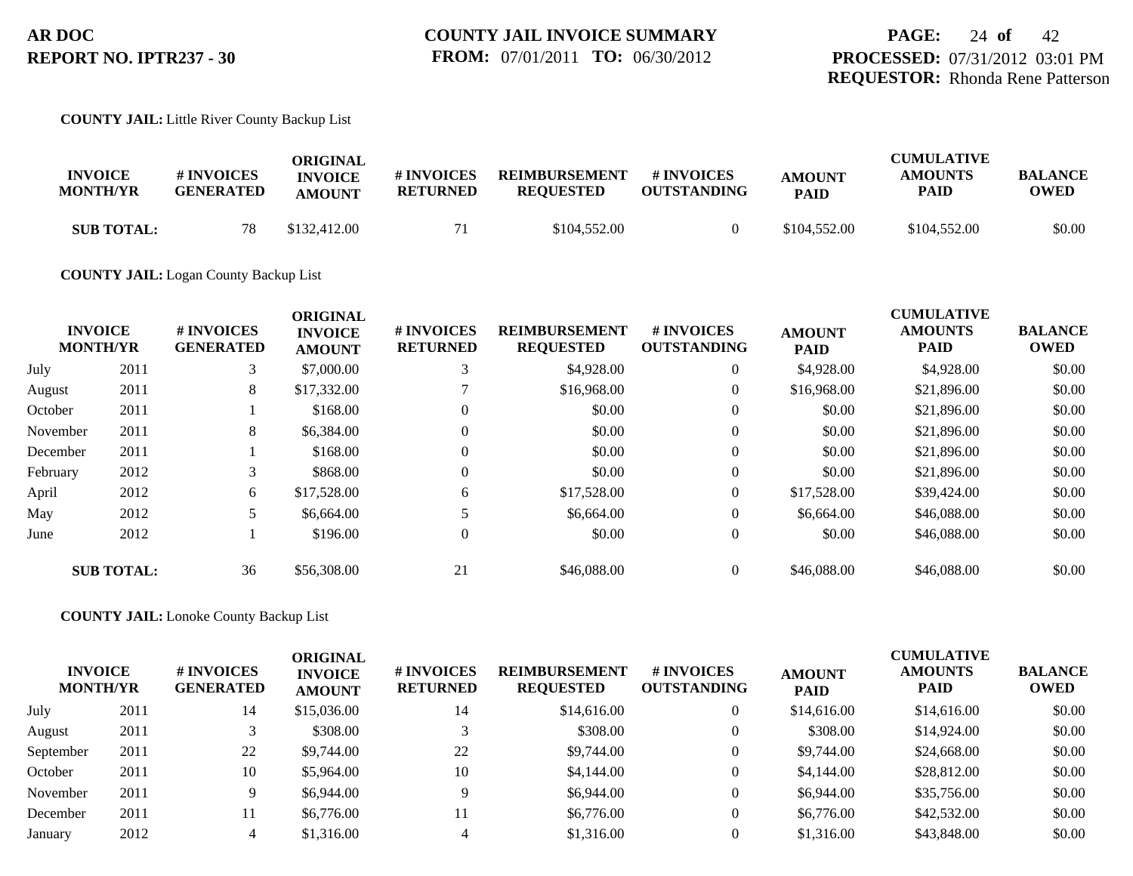**COUNTY JAIL:** Little River County Backup List

| <b>INVOICE</b><br><b>MONTH/YR</b> | # INVOICES<br><b>GENERATED</b> | ORIGINAL<br><b>INVOICE</b> | # INVOICES<br><b>RETURNED</b> | <b>REIMBURSEMENT</b><br><b>REOUESTED</b> | # INVOICES<br><b>OUTSTANDING</b> | <b>AMOUNT</b> | <b>CUMULATIVE</b><br><b>AMOUNTS</b><br>PAID | <b>BALANCE</b><br>OWED |
|-----------------------------------|--------------------------------|----------------------------|-------------------------------|------------------------------------------|----------------------------------|---------------|---------------------------------------------|------------------------|
|                                   |                                | <b>AMOUNT</b>              |                               |                                          |                                  | <b>PAID</b>   |                                             |                        |
| <b>SUB TOTAL:</b>                 | 78                             | \$132,412.00               |                               | \$104,552.00                             |                                  | \$104,552.00  | \$104,552.00                                | \$0.00                 |

**COUNTY JAIL:** Logan County Backup List

| <b>INVOICE</b><br><b>MONTH/YR</b> |                   | # INVOICES<br><b>GENERATED</b> | <b>ORIGINAL</b><br><b>INVOICE</b><br><b>AMOUNT</b> | # INVOICES<br><b>RETURNED</b> | <b>REIMBURSEMENT</b><br><b>REQUESTED</b> | <b>#INVOICES</b><br><b>OUTSTANDING</b> | <b>AMOUNT</b><br><b>PAID</b> | <b>CUMULATIVE</b><br><b>AMOUNTS</b><br><b>PAID</b> | <b>BALANCE</b><br><b>OWED</b> |
|-----------------------------------|-------------------|--------------------------------|----------------------------------------------------|-------------------------------|------------------------------------------|----------------------------------------|------------------------------|----------------------------------------------------|-------------------------------|
| July                              | 2011              | 3                              | \$7,000.00                                         |                               | \$4,928.00                               | $\overline{0}$                         | \$4,928.00                   | \$4,928.00                                         | \$0.00                        |
| August                            | 2011              | 8                              | \$17,332.00                                        |                               | \$16,968.00                              | $\overline{0}$                         | \$16,968.00                  | \$21,896.00                                        | \$0.00                        |
| October                           | 2011              |                                | \$168.00                                           | $\theta$                      | \$0.00                                   | $\overline{0}$                         | \$0.00                       | \$21,896.00                                        | \$0.00                        |
| November                          | 2011              | 8                              | \$6,384.00                                         | $\overline{0}$                | \$0.00                                   | $\overline{0}$                         | \$0.00                       | \$21,896.00                                        | \$0.00                        |
| December                          | 2011              |                                | \$168.00                                           | $\theta$                      | \$0.00                                   | $\Omega$                               | \$0.00                       | \$21,896.00                                        | \$0.00                        |
| February                          | 2012              | 3                              | \$868.00                                           | $\theta$                      | \$0.00                                   | $\theta$                               | \$0.00                       | \$21,896.00                                        | \$0.00                        |
| April                             | 2012              | 6                              | \$17,528.00                                        | 6                             | \$17,528.00                              | $\overline{0}$                         | \$17,528.00                  | \$39,424.00                                        | \$0.00                        |
| May                               | 2012              |                                | \$6,664.00                                         |                               | \$6,664.00                               | $\overline{0}$                         | \$6,664.00                   | \$46,088,00                                        | \$0.00                        |
| June                              | 2012              |                                | \$196.00                                           | $\overline{0}$                | \$0.00                                   | $\overline{0}$                         | \$0.00                       | \$46,088.00                                        | \$0.00                        |
|                                   | <b>SUB TOTAL:</b> | 36                             | \$56,308.00                                        | 21                            | \$46,088.00                              | $\overline{0}$                         | \$46,088,00                  | \$46,088,00                                        | \$0.00                        |

**COUNTY JAIL:** Lonoke County Backup List

| <b>INVOICE</b><br><b>MONTH/YR</b> |      | # INVOICES<br><b>GENERATED</b> | <b>ORIGINAL</b><br><b>INVOICE</b><br><b>AMOUNT</b> | # INVOICES<br><b>RETURNED</b> | <b>REIMBURSEMENT</b><br><b>REQUESTED</b> | # INVOICES<br><b>OUTSTANDING</b> | <b>AMOUNT</b><br><b>PAID</b> | <b>CUMULATIVE</b><br><b>AMOUNTS</b><br><b>PAID</b> | <b>BALANCE</b><br><b>OWED</b> |
|-----------------------------------|------|--------------------------------|----------------------------------------------------|-------------------------------|------------------------------------------|----------------------------------|------------------------------|----------------------------------------------------|-------------------------------|
| July                              | 2011 | 14                             | \$15,036.00                                        | 14                            | \$14,616.00                              | $\overline{0}$                   | \$14,616.00                  | \$14,616.00                                        | \$0.00                        |
| August                            | 2011 |                                | \$308.00                                           |                               | \$308.00                                 | $\overline{0}$                   | \$308.00                     | \$14,924.00                                        | \$0.00                        |
| September                         | 2011 | 22                             | \$9,744.00                                         | 22                            | \$9,744.00                               | $\overline{0}$                   | \$9,744.00                   | \$24,668.00                                        | \$0.00                        |
| October                           | 2011 | 10                             | \$5,964.00                                         | 10                            | \$4,144.00                               | $\overline{0}$                   | \$4,144.00                   | \$28,812.00                                        | \$0.00                        |
| November                          | 2011 | 9                              | \$6,944.00                                         | $\Omega$                      | \$6,944.00                               | $\overline{0}$                   | \$6,944.00                   | \$35,756.00                                        | \$0.00                        |
| December                          | 2011 | 11                             | \$6,776.00                                         |                               | \$6,776.00                               | $\Omega$                         | \$6,776.00                   | \$42,532.00                                        | \$0.00                        |
| January                           | 2012 |                                | \$1,316.00                                         |                               | \$1,316.00                               |                                  | \$1,316.00                   | \$43,848.00                                        | \$0.00                        |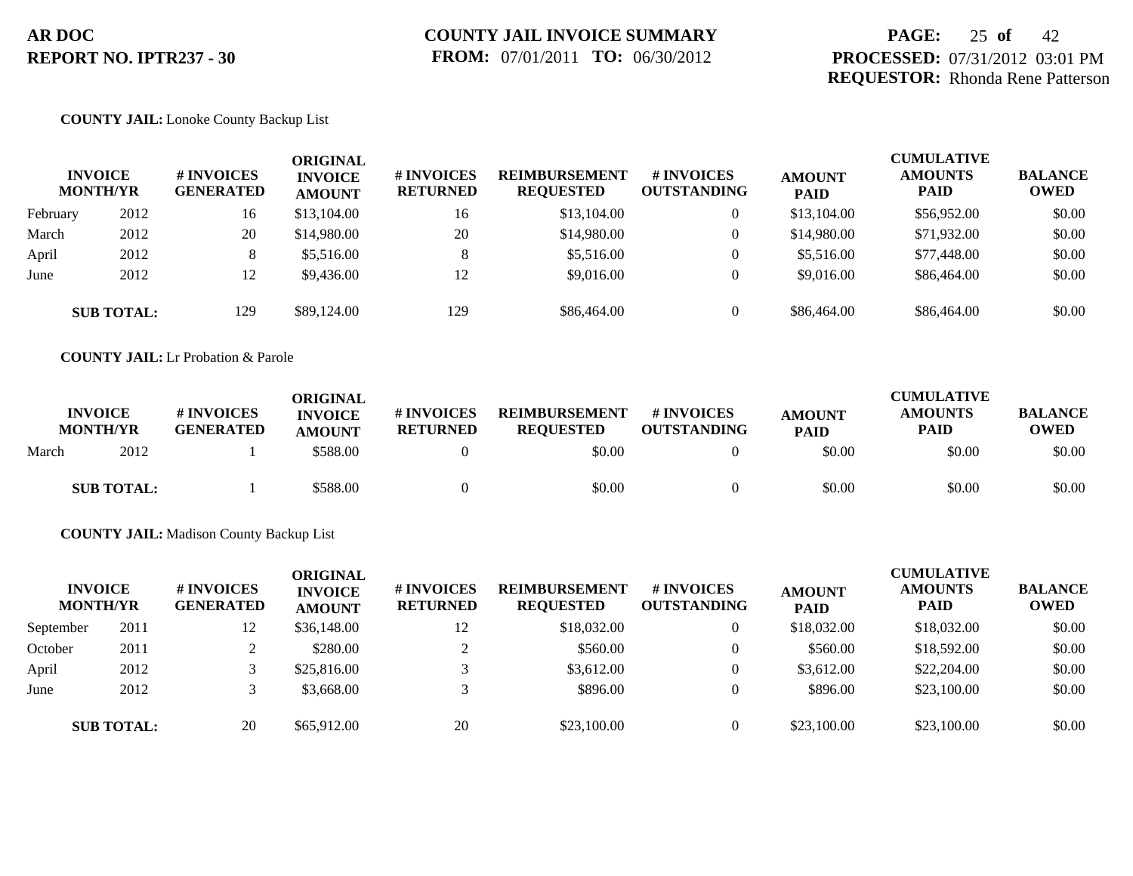# **PAGE:** 25 **of** 42 **PROCESSED:** 07/31/2012 03:01 PM **REQUESTOR:** Rhonda Rene Patterson

## **COUNTY JAIL:** Lonoke County Backup List

|          | <b>INVOICE</b><br><b>MONTH/YR</b> | <b>#INVOICES</b><br><b>GENERATED</b> | ORIGINAL<br><b>INVOICE</b><br><b>AMOUNT</b> | <b># INVOICES</b><br><b>RETURNED</b> | <b>REIMBURSEMENT</b><br><b>REQUESTED</b> | # INVOICES<br><b>OUTSTANDING</b> | <b>AMOUNT</b><br><b>PAID</b> | <b>CUMULATIVE</b><br><b>AMOUNTS</b><br><b>PAID</b> | <b>BALANCE</b><br><b>OWED</b> |
|----------|-----------------------------------|--------------------------------------|---------------------------------------------|--------------------------------------|------------------------------------------|----------------------------------|------------------------------|----------------------------------------------------|-------------------------------|
| February | 2012                              | 16                                   | \$13,104.00                                 | 16                                   | \$13,104.00                              | $\mathbf{0}$                     | \$13,104.00                  | \$56,952.00                                        | \$0.00                        |
| March    | 2012                              | 20                                   | \$14,980.00                                 | 20                                   | \$14,980.00                              | $\mathbf{0}$                     | \$14,980.00                  | \$71,932.00                                        | \$0.00                        |
| April    | 2012                              | 8                                    | \$5,516.00                                  | 8                                    | \$5,516.00                               | $\overline{0}$                   | \$5,516.00                   | \$77,448.00                                        | \$0.00                        |
| June     | 2012                              | 12                                   | \$9,436.00                                  | 12                                   | \$9,016.00                               | $\overline{0}$                   | \$9,016.00                   | \$86,464.00                                        | \$0.00                        |
|          | <b>SUB TOTAL:</b>                 | 129                                  | \$89,124.00                                 | 129                                  | \$86,464.00                              | $\Omega$                         | \$86,464.00                  | \$86,464.00                                        | \$0.00                        |

**COUNTY JAIL:** Lr Probation & Parole

|       | <b>INVOICE</b><br><b>MONTH/YR</b> | # INVOICES<br><b>GENERATED</b> | ORIGINAL<br><b>INVOICE</b><br><b>AMOUNT</b> | <b>#INVOICES</b><br><b>RETURNED</b> | <b>REIMBURSEMENT</b><br><b>REQUESTED</b> | # INVOICES<br><b>OUTSTANDING</b> | <b>AMOUNT</b><br><b>PAID</b> | <b>CUMULATIVE</b><br><b>AMOUNTS</b><br>PAID | <b>BALANCE</b><br><b>OWED</b> |
|-------|-----------------------------------|--------------------------------|---------------------------------------------|-------------------------------------|------------------------------------------|----------------------------------|------------------------------|---------------------------------------------|-------------------------------|
| March | 2012                              |                                | \$588.00                                    |                                     | \$0.00                                   |                                  | \$0.00                       | \$0.00                                      | \$0.00                        |
|       | <b>SUB TOTAL:</b>                 |                                | \$588.00                                    |                                     | \$0.00                                   |                                  | \$0.00                       | \$0.00                                      | \$0.00                        |

**COUNTY JAIL:** Madison County Backup List

| <b>MONTH/YR</b> | <b>INVOICE</b>    | # INVOICES<br><b>GENERATED</b> | <b>ORIGINAL</b><br><b>INVOICE</b><br><b>AMOUNT</b> | <b>#INVOICES</b><br><b>RETURNED</b> | <b>REIMBURSEMENT</b><br><b>REQUESTED</b> | <b># INVOICES</b><br><b>OUTSTANDING</b> | <b>AMOUNT</b><br><b>PAID</b> | <b>CUMULATIVE</b><br><b>AMOUNTS</b><br><b>PAID</b> | <b>BALANCE</b><br><b>OWED</b> |
|-----------------|-------------------|--------------------------------|----------------------------------------------------|-------------------------------------|------------------------------------------|-----------------------------------------|------------------------------|----------------------------------------------------|-------------------------------|
| September       | 2011              | 12                             | \$36,148.00                                        | 12                                  | \$18,032.00                              |                                         | \$18,032.00                  | \$18,032.00                                        | \$0.00                        |
| October         | 2011              |                                | \$280.00                                           | $\sim$                              | \$560.00                                 |                                         | \$560.00                     | \$18,592.00                                        | \$0.00                        |
| April           | 2012              |                                | \$25,816.00                                        |                                     | \$3,612.00                               |                                         | \$3,612.00                   | \$22,204.00                                        | \$0.00                        |
| June            | 2012              |                                | \$3,668.00                                         |                                     | \$896.00                                 |                                         | \$896.00                     | \$23,100.00                                        | \$0.00                        |
|                 | <b>SUB TOTAL:</b> | 20                             | \$65,912.00                                        | 20                                  | \$23,100.00                              |                                         | \$23,100.00                  | \$23,100.00                                        | \$0.00                        |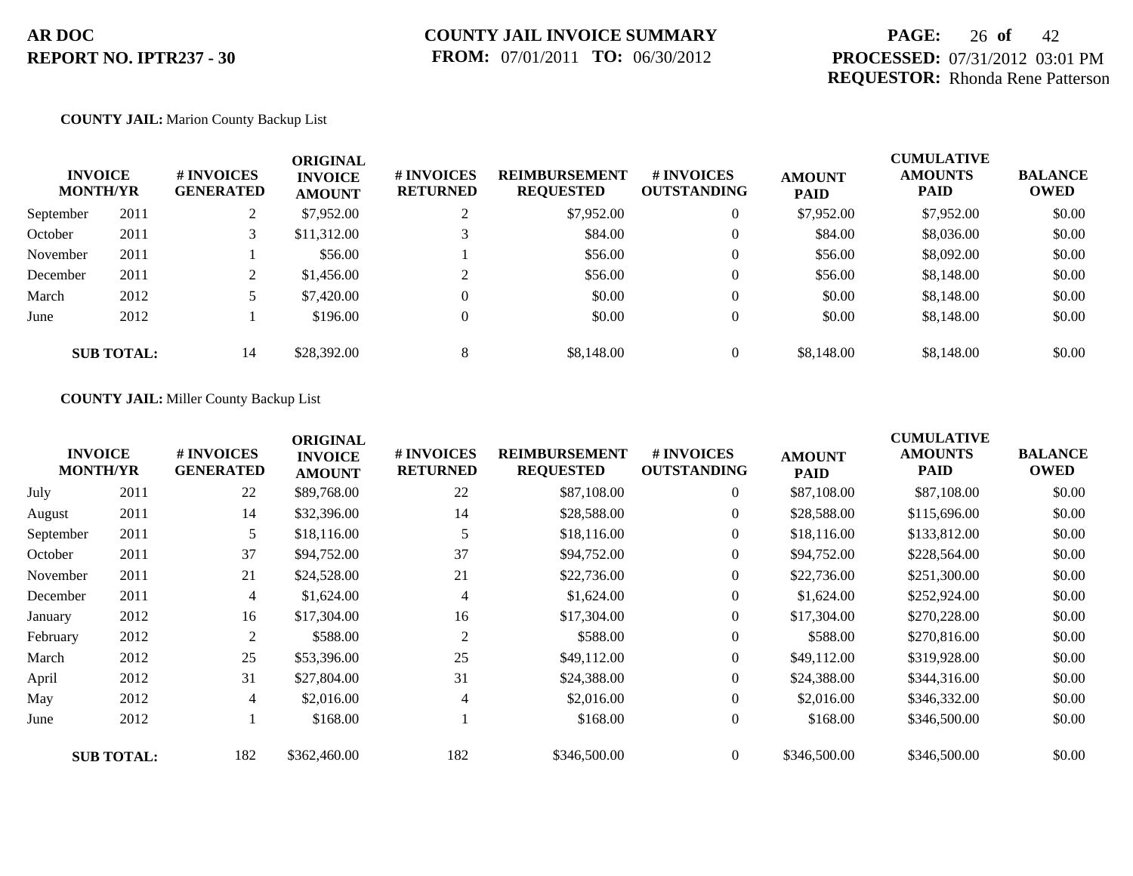# **PAGE:** 26 **of** 42 **PROCESSED:** 07/31/2012 03:01 PM **REQUESTOR:** Rhonda Rene Patterson

## **COUNTY JAIL:** Marion County Backup List

|           | <b>INVOICE</b><br><b>MONTH/YR</b> | # INVOICES<br><b>GENERATED</b> | <b>ORIGINAL</b><br><b>INVOICE</b><br><b>AMOUNT</b> | # INVOICES<br><b>RETURNED</b> | <b>REIMBURSEMENT</b><br><b>REQUESTED</b> | # INVOICES<br><b>OUTSTANDING</b> | <b>AMOUNT</b><br><b>PAID</b> | <b>CUMULATIVE</b><br><b>AMOUNTS</b><br><b>PAID</b> | <b>BALANCE</b><br><b>OWED</b> |
|-----------|-----------------------------------|--------------------------------|----------------------------------------------------|-------------------------------|------------------------------------------|----------------------------------|------------------------------|----------------------------------------------------|-------------------------------|
| September | 2011                              | 2                              | \$7,952.00                                         |                               | \$7,952.00                               | $\mathbf{0}$                     | \$7,952.00                   | \$7,952.00                                         | \$0.00                        |
| October   | 2011                              | 3                              | \$11,312.00                                        |                               | \$84.00                                  | $\theta$                         | \$84.00                      | \$8,036.00                                         | \$0.00                        |
| November  | 2011                              |                                | \$56.00                                            |                               | \$56.00                                  | $\theta$                         | \$56.00                      | \$8,092.00                                         | \$0.00                        |
| December  | 2011                              | $\mathcal{L}$<br>∠             | \$1,456.00                                         | ◠                             | \$56.00                                  | $\theta$                         | \$56.00                      | \$8,148.00                                         | \$0.00                        |
| March     | 2012                              |                                | \$7,420.00                                         | $\Omega$                      | \$0.00                                   | $\overline{0}$                   | \$0.00                       | \$8,148.00                                         | \$0.00                        |
| June      | 2012                              |                                | \$196.00                                           | $\mathbf{0}$                  | \$0.00                                   | $\overline{0}$                   | \$0.00                       | \$8,148.00                                         | \$0.00                        |
|           | <b>SUB TOTAL:</b>                 | 14                             | \$28,392.00                                        | 8                             | \$8,148.00                               | $\theta$                         | \$8,148.00                   | \$8,148.00                                         | \$0.00                        |

### **COUNTY JAIL:** Miller County Backup List

|           | <b>INVOICE</b><br><b>MONTH/YR</b> | # INVOICES<br><b>GENERATED</b> | <b>ORIGINAL</b><br><b>INVOICE</b><br><b>AMOUNT</b> | # INVOICES<br><b>RETURNED</b> | <b>REIMBURSEMENT</b><br><b>REQUESTED</b> | # INVOICES<br><b>OUTSTANDING</b> | <b>AMOUNT</b><br><b>PAID</b> | <b>CUMULATIVE</b><br><b>AMOUNTS</b><br>PAID | <b>BALANCE</b><br><b>OWED</b> |
|-----------|-----------------------------------|--------------------------------|----------------------------------------------------|-------------------------------|------------------------------------------|----------------------------------|------------------------------|---------------------------------------------|-------------------------------|
| July      | 2011                              | 22                             | \$89,768.00                                        | 22                            | \$87,108.00                              | $\overline{0}$                   | \$87,108.00                  | \$87,108.00                                 | \$0.00                        |
| August    | 2011                              | 14                             | \$32,396.00                                        | 14                            | \$28,588.00                              | $\overline{0}$                   | \$28,588.00                  | \$115,696.00                                | \$0.00                        |
| September | 2011                              | 5                              | \$18,116.00                                        | 5                             | \$18,116.00                              | $\overline{0}$                   | \$18,116.00                  | \$133,812.00                                | \$0.00                        |
| October   | 2011                              | 37                             | \$94,752.00                                        | 37                            | \$94,752.00                              | $\overline{0}$                   | \$94,752.00                  | \$228,564.00                                | \$0.00                        |
| November  | 2011                              | 21                             | \$24,528.00                                        | 21                            | \$22,736.00                              | $\overline{0}$                   | \$22,736.00                  | \$251,300.00                                | \$0.00                        |
| December  | 2011                              | 4                              | \$1,624.00                                         | $\overline{4}$                | \$1,624.00                               | $\overline{0}$                   | \$1,624.00                   | \$252,924.00                                | \$0.00                        |
| January   | 2012                              | 16                             | \$17,304.00                                        | 16                            | \$17,304.00                              | $\overline{0}$                   | \$17,304.00                  | \$270,228.00                                | \$0.00                        |
| February  | 2012                              | 2                              | \$588.00                                           | 2                             | \$588.00                                 | $\overline{0}$                   | \$588.00                     | \$270,816.00                                | \$0.00                        |
| March     | 2012                              | 25                             | \$53,396.00                                        | 25                            | \$49,112.00                              | $\overline{0}$                   | \$49,112.00                  | \$319,928.00                                | \$0.00                        |
| April     | 2012                              | 31                             | \$27,804.00                                        | 31                            | \$24,388.00                              | $\overline{0}$                   | \$24,388.00                  | \$344,316.00                                | \$0.00                        |
| May       | 2012                              | 4                              | \$2,016.00                                         | 4                             | \$2,016.00                               | $\overline{0}$                   | \$2,016.00                   | \$346,332.00                                | \$0.00                        |
| June      | 2012                              |                                | \$168.00                                           |                               | \$168.00                                 | $\overline{0}$                   | \$168.00                     | \$346,500.00                                | \$0.00                        |
|           | <b>SUB TOTAL:</b>                 | 182                            | \$362,460.00                                       | 182                           | \$346,500.00                             | $\Omega$                         | \$346,500.00                 | \$346,500.00                                | \$0.00                        |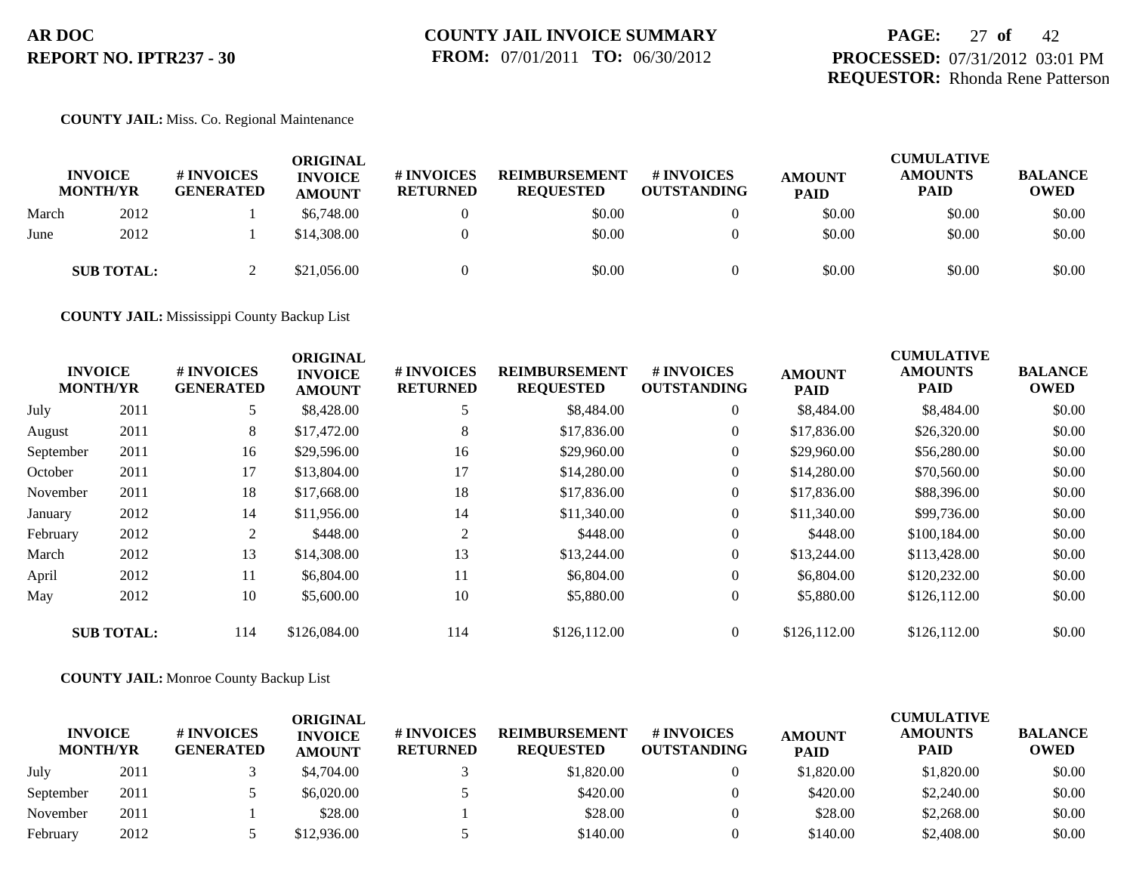# **PAGE:** 27 **of** 42 **PROCESSED:** 07/31/2012 03:01 PM **REQUESTOR:** Rhonda Rene Patterson

### **COUNTY JAIL:** Miss. Co. Regional Maintenance

|       | <b>INVOICE</b><br><b>MONTH/YR</b> | # INVOICES<br><b>GENERATED</b> | <b>ORIGINAL</b><br><b>INVOICE</b><br><b>AMOUNT</b> | <b>#INVOICES</b><br><b>RETURNED</b> | <b>REIMBURSEMENT</b><br><b>REQUESTED</b> | <b>#INVOICES</b><br><b>OUTSTANDING</b> | <b>AMOUNT</b><br><b>PAID</b> | <b>CUMULATIVE</b><br><b>AMOUNTS</b><br><b>PAID</b> | <b>BALANCE</b><br><b>OWED</b> |
|-------|-----------------------------------|--------------------------------|----------------------------------------------------|-------------------------------------|------------------------------------------|----------------------------------------|------------------------------|----------------------------------------------------|-------------------------------|
| March | 2012                              |                                | \$6,748.00                                         |                                     | \$0.00                                   |                                        | \$0.00                       | \$0.00                                             | \$0.00                        |
| June  | 2012                              |                                | \$14,308.00                                        |                                     | \$0.00                                   |                                        | \$0.00                       | \$0.00                                             | \$0.00                        |
|       | <b>SUB TOTAL:</b>                 |                                | \$21,056.00                                        |                                     | \$0.00                                   |                                        | \$0.00                       | \$0.00                                             | \$0.00                        |

**COUNTY JAIL:** Mississippi County Backup List

|           | <b>INVOICE</b><br><b>MONTH/YR</b> | # INVOICES<br><b>GENERATED</b> | <b>ORIGINAL</b><br><b>INVOICE</b><br><b>AMOUNT</b> | # INVOICES<br><b>RETURNED</b> | <b>REIMBURSEMENT</b><br><b>REQUESTED</b> | <b># INVOICES</b><br><b>OUTSTANDING</b> | <b>AMOUNT</b><br><b>PAID</b> | <b>CUMULATIVE</b><br><b>AMOUNTS</b><br><b>PAID</b> | <b>BALANCE</b><br><b>OWED</b> |
|-----------|-----------------------------------|--------------------------------|----------------------------------------------------|-------------------------------|------------------------------------------|-----------------------------------------|------------------------------|----------------------------------------------------|-------------------------------|
| July      | 2011                              | 5                              | \$8,428.00                                         |                               | \$8,484.00                               | $\overline{0}$                          | \$8,484.00                   | \$8,484.00                                         | \$0.00                        |
| August    | 2011                              | 8                              | \$17,472.00                                        | 8                             | \$17,836.00                              | $\overline{0}$                          | \$17,836.00                  | \$26,320.00                                        | \$0.00                        |
| September | 2011                              | 16                             | \$29,596.00                                        | 16                            | \$29,960.00                              | $\overline{0}$                          | \$29,960.00                  | \$56,280.00                                        | \$0.00                        |
| October   | 2011                              | 17                             | \$13,804.00                                        | 17                            | \$14,280.00                              | $\overline{0}$                          | \$14,280.00                  | \$70,560.00                                        | \$0.00                        |
| November  | 2011                              | 18                             | \$17,668.00                                        | 18                            | \$17,836.00                              | $\overline{0}$                          | \$17,836.00                  | \$88,396.00                                        | \$0.00                        |
| January   | 2012                              | 14                             | \$11,956.00                                        | 14                            | \$11,340.00                              | $\overline{0}$                          | \$11,340.00                  | \$99,736.00                                        | \$0.00                        |
| February  | 2012                              | 2                              | \$448.00                                           | 2                             | \$448.00                                 | $\overline{0}$                          | \$448.00                     | \$100,184.00                                       | \$0.00                        |
| March     | 2012                              | 13                             | \$14,308.00                                        | 13                            | \$13,244.00                              | $\Omega$                                | \$13,244.00                  | \$113,428.00                                       | \$0.00                        |
| April     | 2012                              | 11                             | \$6,804.00                                         | 11                            | \$6,804.00                               | $\overline{0}$                          | \$6,804.00                   | \$120,232.00                                       | \$0.00                        |
| May       | 2012                              | 10                             | \$5,600.00                                         | 10                            | \$5,880.00                               | $\overline{0}$                          | \$5,880.00                   | \$126,112.00                                       | \$0.00                        |
|           | <b>SUB TOTAL:</b>                 | 114                            | \$126,084.00                                       | 114                           | \$126,112.00                             | $\theta$                                | \$126,112.00                 | \$126,112.00                                       | \$0.00                        |

### **COUNTY JAIL:** Monroe County Backup List

| <b>INVOICE</b><br><b>MONTH/YR</b> |      | <b>#INVOICES</b><br><b>GENERATED</b> | ORIGINAL<br><b>INVOICE</b><br><b>AMOUNT</b> | # INVOICES<br><b>RETURNED</b> | <b>REIMBURSEMENT</b><br><b>REQUESTED</b> | <b>#INVOICES</b><br><b>OUTSTANDING</b> | <b>AMOUNT</b><br><b>PAID</b> | <b>CUMULATIVE</b><br><b>AMOUNTS</b><br><b>PAID</b> | <b>BALANCE</b><br><b>OWED</b> |
|-----------------------------------|------|--------------------------------------|---------------------------------------------|-------------------------------|------------------------------------------|----------------------------------------|------------------------------|----------------------------------------------------|-------------------------------|
| July                              | 2011 |                                      | \$4,704.00                                  |                               | \$1,820.00                               |                                        | \$1,820.00                   | \$1,820.00                                         | \$0.00                        |
| September                         | 2011 |                                      | \$6,020.00                                  |                               | \$420.00                                 |                                        | \$420.00                     | \$2,240.00                                         | \$0.00                        |
| November                          | 2011 |                                      | \$28.00                                     |                               | \$28.00                                  |                                        | \$28.00                      | \$2,268.00                                         | \$0.00                        |
| February                          | 2012 |                                      | \$12,936.00                                 |                               | \$140.00                                 |                                        | \$140.00                     | \$2,408.00                                         | \$0.00                        |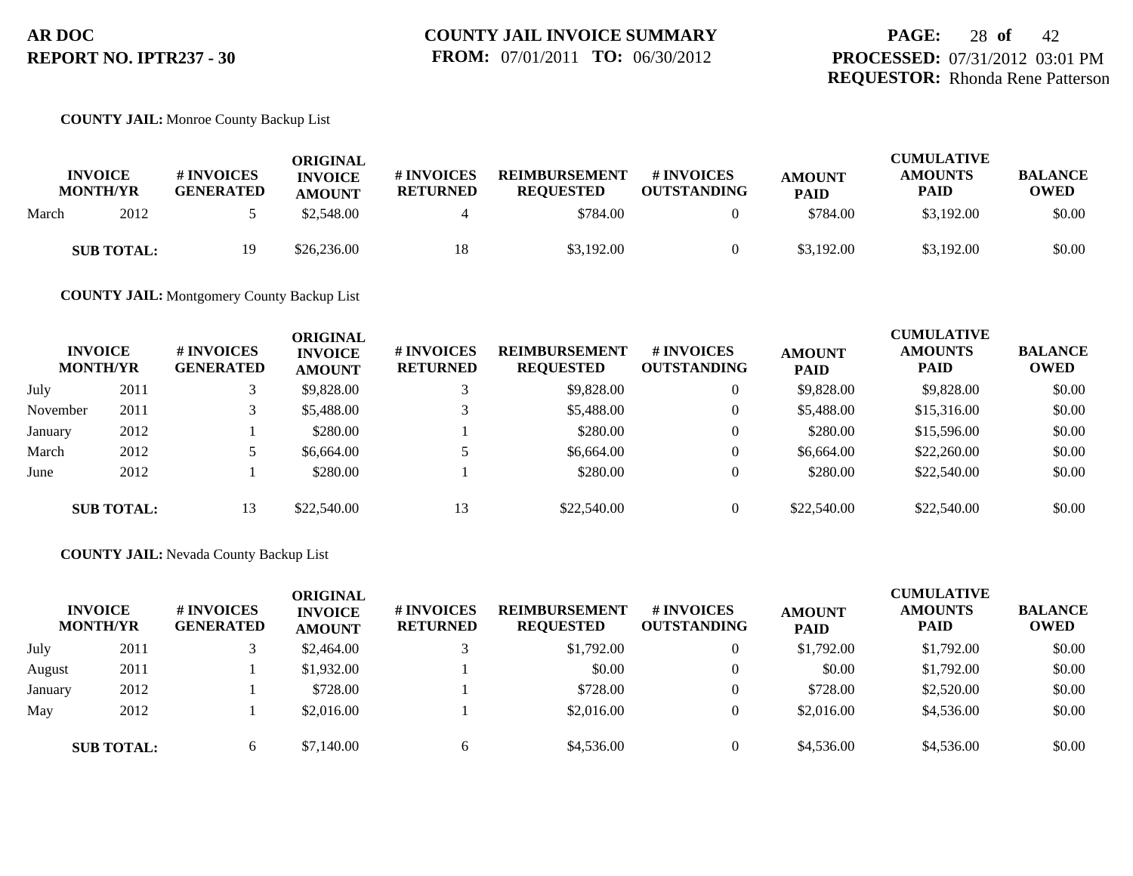# **PAGE:** 28 **of** 42 **PROCESSED:** 07/31/2012 03:01 PM **REQUESTOR:** Rhonda Rene Patterson

## **COUNTY JAIL:** Monroe County Backup List

| <b>INVOICE</b><br><b>MONTH/YR</b> | <b># INVOICES</b><br><b>GENERATED</b> | ORIGINAL<br><b>INVOICE</b><br><b>AMOUNT</b> | <b>#INVOICES</b><br><b>RETURNED</b> | <b>REIMBURSEMENT</b><br><b>REOUESTED</b> | <b># INVOICES</b><br><b>OUTSTANDING</b> | <b>AMOUNT</b><br><b>PAID</b> | <b>CUMULATIVE</b><br><b>AMOUNTS</b><br>PAID | <b>BALANCE</b><br><b>OWED</b> |
|-----------------------------------|---------------------------------------|---------------------------------------------|-------------------------------------|------------------------------------------|-----------------------------------------|------------------------------|---------------------------------------------|-------------------------------|
| 2012<br>March                     |                                       | \$2,548.00                                  |                                     | \$784.00                                 |                                         | \$784.00                     | \$3,192.00                                  | \$0.00                        |
| <b>SUB TOTAL:</b>                 | 19                                    | \$26,236.00                                 | 18                                  | \$3,192,00                               |                                         | \$3,192.00                   | \$3,192.00                                  | \$0.00                        |

**COUNTY JAIL:** Montgomery County Backup List

| <b>INVOICE</b><br><b>MONTH/YR</b> |                   | <b>#INVOICES</b><br><b>GENERATED</b> | <b>ORIGINAL</b><br><b>INVOICE</b><br><b>AMOUNT</b> | # INVOICES<br><b>RETURNED</b> | <b>REIMBURSEMENT</b><br><b>REQUESTED</b> | # INVOICES<br><b>OUTSTANDING</b> | <b>AMOUNT</b><br><b>PAID</b> | <b>CUMULATIVE</b><br><b>AMOUNTS</b><br><b>PAID</b> | <b>BALANCE</b><br><b>OWED</b> |
|-----------------------------------|-------------------|--------------------------------------|----------------------------------------------------|-------------------------------|------------------------------------------|----------------------------------|------------------------------|----------------------------------------------------|-------------------------------|
| July                              | 2011              |                                      | \$9,828,00                                         |                               | \$9,828.00                               | $\overline{0}$                   | \$9,828.00                   | \$9,828,00                                         | \$0.00                        |
| November                          | 2011              |                                      | \$5,488.00                                         |                               | \$5,488.00                               | $\overline{0}$                   | \$5,488.00                   | \$15,316.00                                        | \$0.00                        |
| January                           | 2012              |                                      | \$280.00                                           |                               | \$280.00                                 | $\Omega$                         | \$280.00                     | \$15,596.00                                        | \$0.00                        |
| March                             | 2012              |                                      | \$6,664.00                                         |                               | \$6,664.00                               |                                  | \$6,664.00                   | \$22,260.00                                        | \$0.00                        |
| June                              | 2012              |                                      | \$280.00                                           |                               | \$280.00                                 | $\Omega$                         | \$280.00                     | \$22,540.00                                        | \$0.00                        |
|                                   | <b>SUB TOTAL:</b> | 13                                   | \$22,540.00                                        | 13                            | \$22,540.00                              |                                  | \$22,540.00                  | \$22,540.00                                        | \$0.00                        |

#### **COUNTY JAIL:** Nevada County Backup List

|         | <b>INVOICE</b><br><b>MONTH/YR</b> | # INVOICES<br><b>GENERATED</b> | ORIGINAL<br><b>INVOICE</b><br><b>AMOUNT</b> | # INVOICES<br><b>RETURNED</b> | <b>REIMBURSEMENT</b><br><b>REQUESTED</b> | # INVOICES<br><b>OUTSTANDING</b> | <b>AMOUNT</b><br><b>PAID</b> | <b>CUMULATIVE</b><br><b>AMOUNTS</b><br><b>PAID</b> | <b>BALANCE</b><br><b>OWED</b> |
|---------|-----------------------------------|--------------------------------|---------------------------------------------|-------------------------------|------------------------------------------|----------------------------------|------------------------------|----------------------------------------------------|-------------------------------|
| July    | 2011                              |                                | \$2,464.00                                  |                               | \$1,792.00                               |                                  | \$1,792.00                   | \$1,792.00                                         | \$0.00                        |
| August  | 2011                              |                                | \$1,932.00                                  |                               | \$0.00                                   |                                  | \$0.00                       | \$1,792.00                                         | \$0.00                        |
| January | 2012                              |                                | \$728.00                                    |                               | \$728.00                                 |                                  | \$728.00                     | \$2,520.00                                         | \$0.00                        |
| May     | 2012                              |                                | \$2,016.00                                  |                               | \$2,016.00                               |                                  | \$2,016.00                   | \$4,536.00                                         | \$0.00                        |
|         | <b>SUB TOTAL:</b>                 | 6.                             | \$7,140.00                                  | <sub>6</sub>                  | \$4,536.00                               |                                  | \$4,536.00                   | \$4,536.00                                         | \$0.00                        |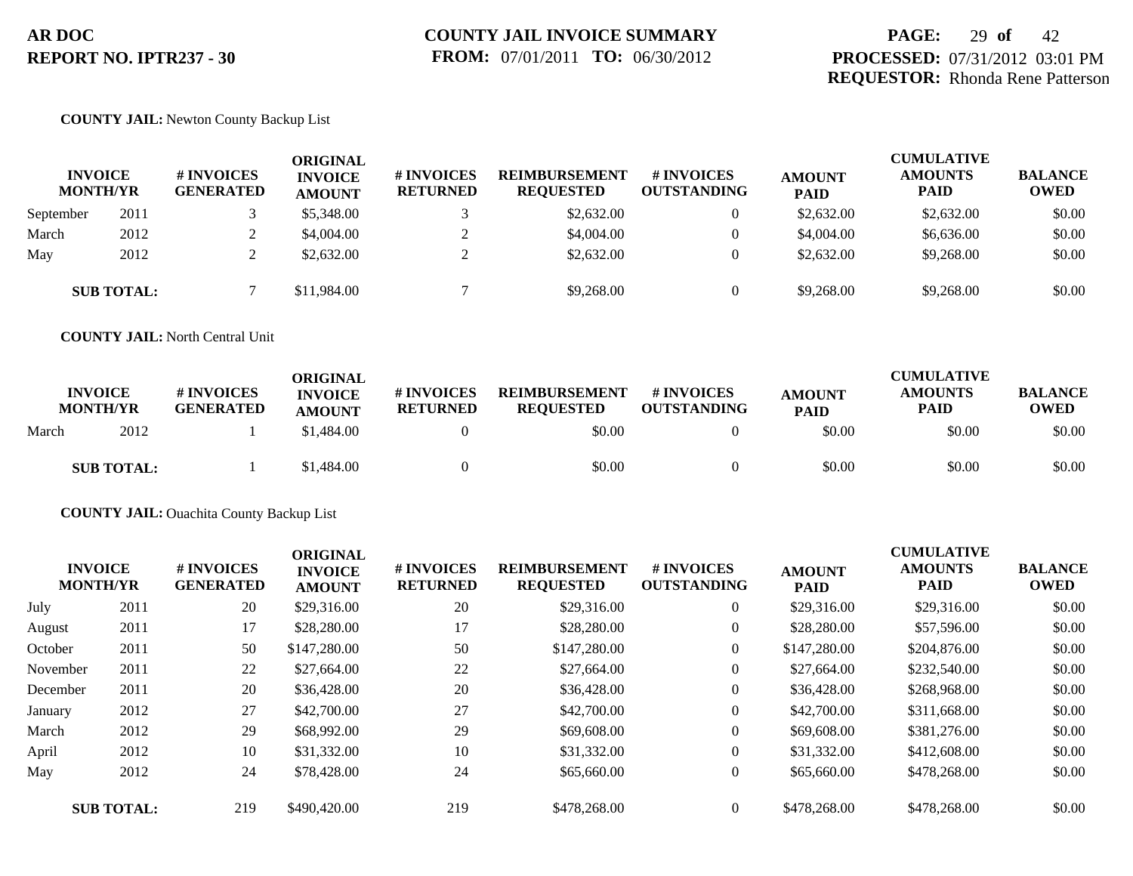# **PAGE:** 29 **of** 42 **PROCESSED:** 07/31/2012 03:01 PM **REQUESTOR:** Rhonda Rene Patterson

### **COUNTY JAIL:** Newton County Backup List

| <b>INVOICE</b><br><b>MONTH/YR</b> |                   | # INVOICES<br><b>GENERATED</b> | ORIGINAL<br><b>INVOICE</b><br><b>AMOUNT</b> | # INVOICES<br><b>RETURNED</b> | <b>REIMBURSEMENT</b><br><b>REQUESTED</b> | # INVOICES<br><b>OUTSTANDING</b> | <b>AMOUNT</b><br><b>PAID</b> | <b>CUMULATIVE</b><br><b>AMOUNTS</b><br><b>PAID</b> | <b>BALANCE</b><br><b>OWED</b> |
|-----------------------------------|-------------------|--------------------------------|---------------------------------------------|-------------------------------|------------------------------------------|----------------------------------|------------------------------|----------------------------------------------------|-------------------------------|
| September                         | 2011              |                                | \$5,348.00                                  |                               | \$2,632.00                               | $\overline{0}$                   | \$2,632.00                   | \$2,632.00                                         | \$0.00                        |
| March                             | 2012              |                                | \$4,004.00                                  |                               | \$4,004.00                               | $\overline{0}$                   | \$4,004.00                   | \$6,636.00                                         | \$0.00                        |
| May                               | 2012              |                                | \$2,632.00                                  |                               | \$2,632.00                               | $\theta$                         | \$2,632.00                   | \$9,268,00                                         | \$0.00                        |
|                                   | <b>SUB TOTAL:</b> |                                | \$11,984.00                                 |                               | \$9,268.00                               |                                  | \$9,268.00                   | \$9,268.00                                         | \$0.00                        |

**COUNTY JAIL:** North Central Unit

| <b>INVOICE</b><br><b>MONTH/YR</b> |                   | # INVOICES<br><b>GENERATED</b> | ORIGINAL<br><b>INVOICE</b><br><b>AMOUNT</b> | <b>#INVOICES</b><br><b>RETURNED</b> | <b>REIMBURSEMENT</b><br><b>REQUESTED</b> | <b>#INVOICES</b><br>OUTSTANDING | <b>AMOUNT</b><br><b>PAID</b> | <b>CUMULATIVE</b><br><b>AMOUNTS</b><br><b>PAID</b> | <b>BALANCE</b><br><b>OWED</b> |
|-----------------------------------|-------------------|--------------------------------|---------------------------------------------|-------------------------------------|------------------------------------------|---------------------------------|------------------------------|----------------------------------------------------|-------------------------------|
| March                             | 2012              |                                | \$1,484.00                                  |                                     | \$0.00                                   |                                 | \$0.00                       | \$0.00                                             | \$0.00                        |
|                                   | <b>SUB TOTAL:</b> |                                | \$1,484.00                                  |                                     | \$0.00                                   | $\theta$                        | \$0.00                       | \$0.00                                             | \$0.00                        |

**COUNTY JAIL:** Ouachita County Backup List

|          | <b>INVOICE</b><br><b>MONTH/YR</b> | # INVOICES<br><b>GENERATED</b> | <b>ORIGINAL</b><br><b>INVOICE</b><br><b>AMOUNT</b> | # INVOICES<br><b>RETURNED</b> | <b>REIMBURSEMENT</b><br><b>REQUESTED</b> | # INVOICES<br><b>OUTSTANDING</b> | <b>AMOUNT</b><br><b>PAID</b> | <b>CUMULATIVE</b><br><b>AMOUNTS</b><br><b>PAID</b> | <b>BALANCE</b><br><b>OWED</b> |
|----------|-----------------------------------|--------------------------------|----------------------------------------------------|-------------------------------|------------------------------------------|----------------------------------|------------------------------|----------------------------------------------------|-------------------------------|
| July     | 2011                              | 20                             | \$29,316.00                                        | 20                            | \$29,316.00                              | $\overline{0}$                   | \$29,316.00                  | \$29,316.00                                        | \$0.00                        |
| August   | 2011                              | 17                             | \$28,280.00                                        | 17                            | \$28,280.00                              | $\overline{0}$                   | \$28,280.00                  | \$57,596.00                                        | \$0.00                        |
| October  | 2011                              | 50                             | \$147,280.00                                       | 50                            | \$147,280.00                             | $\overline{0}$                   | \$147,280.00                 | \$204,876.00                                       | \$0.00                        |
| November | 2011                              | 22                             | \$27,664.00                                        | 22                            | \$27,664.00                              | $\overline{0}$                   | \$27,664.00                  | \$232,540.00                                       | \$0.00                        |
| December | 2011                              | 20                             | \$36,428.00                                        | 20                            | \$36,428.00                              | $\overline{0}$                   | \$36,428.00                  | \$268,968.00                                       | \$0.00                        |
| January  | 2012                              | 27                             | \$42,700.00                                        | 27                            | \$42,700.00                              | $\overline{0}$                   | \$42,700.00                  | \$311,668.00                                       | \$0.00                        |
| March    | 2012                              | 29                             | \$68,992.00                                        | 29                            | \$69,608.00                              | $\overline{0}$                   | \$69,608.00                  | \$381,276.00                                       | \$0.00                        |
| April    | 2012                              | 10                             | \$31,332.00                                        | 10                            | \$31,332.00                              | $\overline{0}$                   | \$31,332.00                  | \$412,608.00                                       | \$0.00                        |
| May      | 2012                              | 24                             | \$78,428.00                                        | 24                            | \$65,660.00                              | $\overline{0}$                   | \$65,660.00                  | \$478,268,00                                       | \$0.00                        |
|          | <b>SUB TOTAL:</b>                 | 219                            | \$490,420.00                                       | 219                           | \$478,268,00                             | $\Omega$                         | \$478,268.00                 | \$478,268,00                                       | \$0.00                        |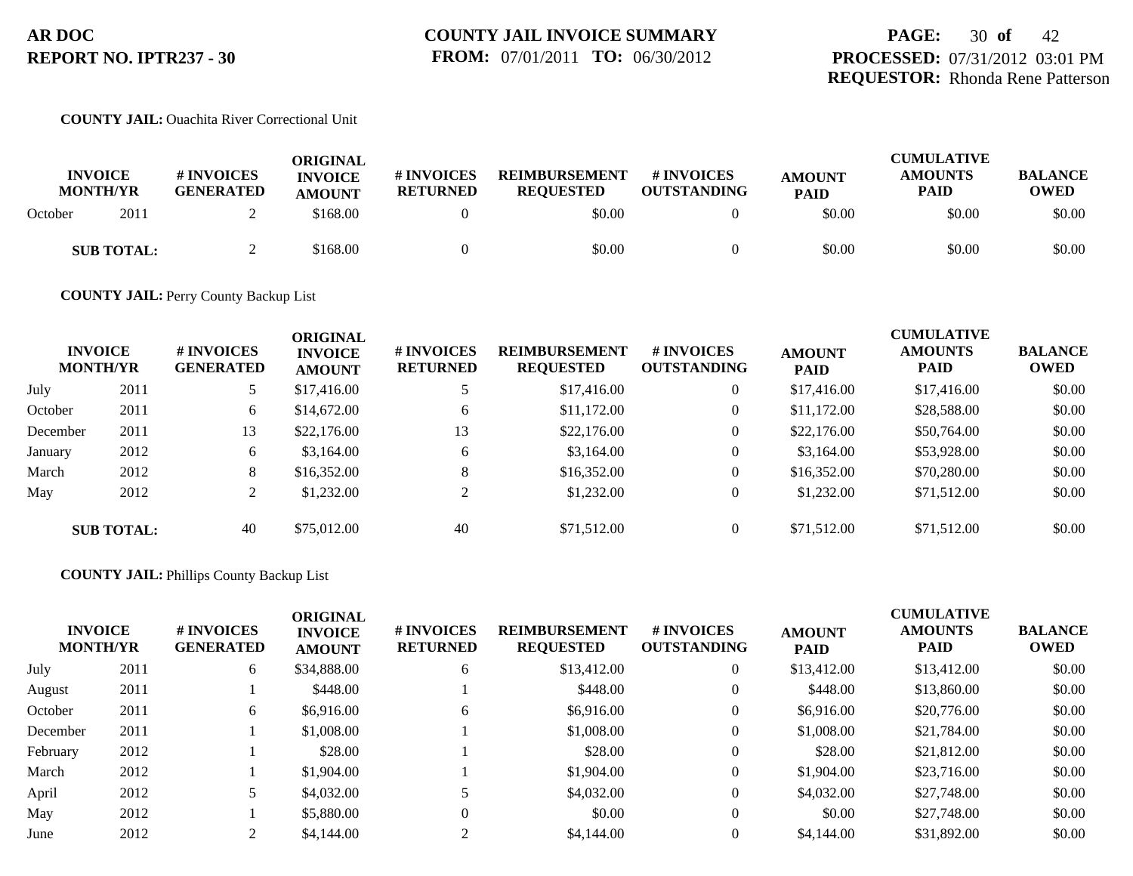## **COUNTY JAIL:** Ouachita River Correctional Unit

| <b>INVOICE</b><br><b>MONTH/YR</b> |                   | # INVOICES<br><b>GENERATED</b> | ORIGINAL<br><b>INVOICE</b><br><b>AMOUNT</b> | # INVOICES<br><b>RETURNED</b> | <b>REIMBURSEMENT</b><br><b>REOUESTED</b> | # INVOICES<br><b>OUTSTANDING</b> | <b>AMOUNT</b><br><b>PAID</b> | <b>CUMULATIVE</b><br><b>AMOUNTS</b><br>PAID | <b>BALANCE</b><br><b>OWED</b> |
|-----------------------------------|-------------------|--------------------------------|---------------------------------------------|-------------------------------|------------------------------------------|----------------------------------|------------------------------|---------------------------------------------|-------------------------------|
| October                           | 2011              |                                | \$168.00                                    |                               | \$0.00                                   |                                  | \$0.00                       | \$0.00                                      | \$0.00                        |
|                                   | <b>SUB TOTAL:</b> |                                | \$168.00                                    |                               | \$0.00                                   |                                  | \$0.00                       | \$0.00                                      | \$0.00                        |

**COUNTY JAIL:** Perry County Backup List

|          | <b>INVOICE</b><br><b>MONTH/YR</b> | # INVOICES<br><b>GENERATED</b> | <b>ORIGINAL</b><br><b>INVOICE</b><br><b>AMOUNT</b> | # INVOICES<br><b>RETURNED</b> | <b>REIMBURSEMENT</b><br><b>REQUESTED</b> | <b># INVOICES</b><br><b>OUTSTANDING</b> | <b>AMOUNT</b><br><b>PAID</b> | <b>CUMULATIVE</b><br><b>AMOUNTS</b><br><b>PAID</b> | <b>BALANCE</b><br><b>OWED</b> |
|----------|-----------------------------------|--------------------------------|----------------------------------------------------|-------------------------------|------------------------------------------|-----------------------------------------|------------------------------|----------------------------------------------------|-------------------------------|
| July     | 2011                              |                                | \$17,416.00                                        |                               | \$17,416.00                              | $\overline{0}$                          | \$17,416.00                  | \$17,416.00                                        | \$0.00                        |
| October  | 2011                              | 6                              | \$14,672.00                                        | 6                             | \$11,172.00                              | $\overline{0}$                          | \$11,172.00                  | \$28,588.00                                        | \$0.00                        |
| December | 2011                              | 13                             | \$22,176.00                                        | 13                            | \$22,176.00                              | $\overline{0}$                          | \$22,176.00                  | \$50,764.00                                        | \$0.00                        |
| January  | 2012                              | 6                              | \$3,164.00                                         | 6                             | \$3,164.00                               | $\overline{0}$                          | \$3,164.00                   | \$53,928.00                                        | \$0.00                        |
| March    | 2012                              | 8                              | \$16,352.00                                        | 8                             | \$16,352.00                              | $\overline{0}$                          | \$16,352.00                  | \$70,280.00                                        | \$0.00                        |
| May      | 2012                              | $\gamma$<br>∠                  | \$1,232.00                                         |                               | \$1,232.00                               | $\overline{0}$                          | \$1,232.00                   | \$71,512.00                                        | \$0.00                        |
|          | <b>SUB TOTAL:</b>                 | 40                             | \$75,012.00                                        | 40                            | \$71,512.00                              | $\Omega$                                | \$71,512.00                  | \$71,512.00                                        | \$0.00                        |

## **COUNTY JAIL:** Phillips County Backup List

| <b>INVOICE</b><br><b>MONTH/YR</b> |      | # INVOICES<br><b>GENERATED</b> | <b>ORIGINAL</b><br><b>INVOICE</b><br><b>AMOUNT</b> | # INVOICES<br><b>RETURNED</b> | <b>REIMBURSEMENT</b><br><b>REQUESTED</b> | # INVOICES<br><b>OUTSTANDING</b> | <b>AMOUNT</b><br><b>PAID</b> | <b>CUMULATIVE</b><br><b>AMOUNTS</b><br><b>PAID</b> | <b>BALANCE</b><br><b>OWED</b> |
|-----------------------------------|------|--------------------------------|----------------------------------------------------|-------------------------------|------------------------------------------|----------------------------------|------------------------------|----------------------------------------------------|-------------------------------|
| July                              | 2011 | 6                              | \$34,888.00                                        | 6                             | \$13,412.00                              | $\overline{0}$                   | \$13,412.00                  | \$13,412.00                                        | \$0.00                        |
| August                            | 2011 |                                | \$448.00                                           |                               | \$448.00                                 | $\mathbf{0}$                     | \$448.00                     | \$13,860.00                                        | \$0.00                        |
| October                           | 2011 | 6                              | \$6,916.00                                         | 6                             | \$6,916.00                               | $\mathbf{0}$                     | \$6,916.00                   | \$20,776.00                                        | \$0.00                        |
| December                          | 2011 |                                | \$1,008.00                                         |                               | \$1,008.00                               | $\overline{0}$                   | \$1,008.00                   | \$21,784.00                                        | \$0.00                        |
| February                          | 2012 |                                | \$28.00                                            |                               | \$28.00                                  | $\Omega$                         | \$28.00                      | \$21,812.00                                        | \$0.00                        |
| March                             | 2012 |                                | \$1,904.00                                         |                               | \$1,904.00                               | $\mathbf{0}$                     | \$1,904.00                   | \$23,716.00                                        | \$0.00                        |
| April                             | 2012 |                                | \$4,032.00                                         |                               | \$4,032.00                               | $\mathbf{0}$                     | \$4,032.00                   | \$27,748.00                                        | \$0.00                        |
| May                               | 2012 |                                | \$5,880.00                                         | $\Omega$                      | \$0.00                                   | $\Omega$                         | \$0.00                       | \$27,748.00                                        | \$0.00                        |
| June                              | 2012 |                                | \$4,144.00                                         | $\bigcap$                     | \$4,144.00                               |                                  | \$4,144.00                   | \$31,892.00                                        | \$0.00                        |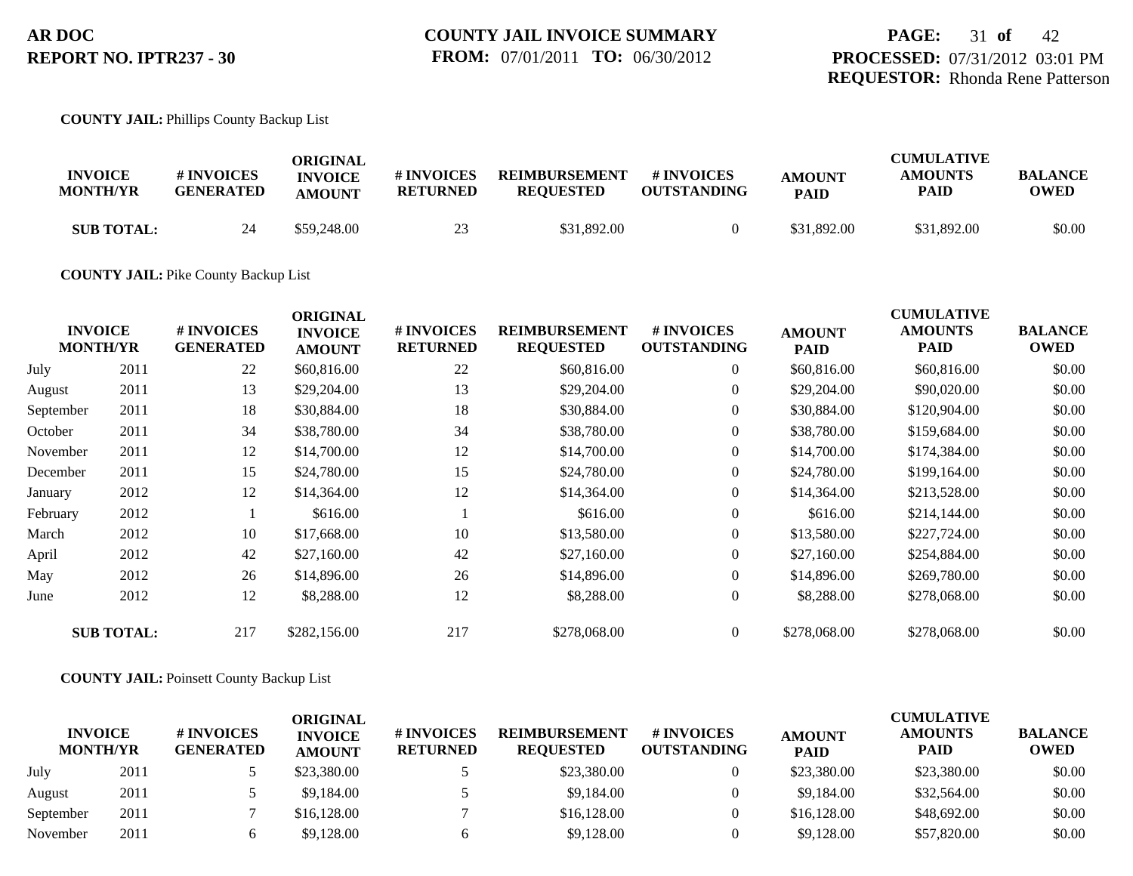## **COUNTY JAIL:** Phillips County Backup List

| <b>INVOICE</b><br><b>MONTH/YR</b> | <b>#INVOICES</b><br><b>GENERATED</b> | ORIGINAL<br><b>INVOICE</b><br><b>AMOUNT</b> | # INVOICES<br><b>RETURNED</b> | <b>REIMBURSEMENT</b><br><b>REQUESTED</b> | # INVOICES<br><b>OUTSTANDING</b> | <b>AMOUNT</b><br><b>PAID</b> | <b>CUMULATIVE</b><br><b>AMOUNTS</b><br>PAID | <b>BALANCE</b><br>OWED |
|-----------------------------------|--------------------------------------|---------------------------------------------|-------------------------------|------------------------------------------|----------------------------------|------------------------------|---------------------------------------------|------------------------|
| <b>SUB TOTAL:</b>                 | 24                                   | \$59,248.00                                 |                               | \$31,892.00                              |                                  | \$31,892.00                  | \$31,892.00                                 | \$0.00                 |

### **COUNTY JAIL:** Pike County Backup List

|                       | # INVOICES<br><b>GENERATED</b>                         | <b>ORIGINAL</b><br><b>INVOICE</b><br><b>AMOUNT</b> | # INVOICES<br><b>RETURNED</b> | <b>REIMBURSEMENT</b><br><b>REQUESTED</b> | # INVOICES<br><b>OUTSTANDING</b> | <b>AMOUNT</b><br><b>PAID</b> | <b>CUMULATIVE</b><br><b>AMOUNTS</b><br><b>PAID</b> | <b>BALANCE</b><br><b>OWED</b> |
|-----------------------|--------------------------------------------------------|----------------------------------------------------|-------------------------------|------------------------------------------|----------------------------------|------------------------------|----------------------------------------------------|-------------------------------|
| 2011                  | 22                                                     | \$60,816.00                                        | 22                            | \$60,816.00                              | $\overline{0}$                   | \$60,816.00                  | \$60,816.00                                        | \$0.00                        |
| 2011                  | 13                                                     | \$29,204.00                                        | 13                            | \$29,204.00                              | $\overline{0}$                   | \$29,204.00                  | \$90,020.00                                        | \$0.00                        |
| 2011                  | 18                                                     | \$30,884.00                                        | 18                            | \$30,884.00                              | $\overline{0}$                   | \$30,884.00                  | \$120,904.00                                       | \$0.00                        |
| 2011                  | 34                                                     | \$38,780.00                                        | 34                            | \$38,780.00                              | $\overline{0}$                   | \$38,780.00                  | \$159,684.00                                       | \$0.00                        |
| 2011                  | 12                                                     | \$14,700.00                                        | 12                            | \$14,700.00                              | $\overline{0}$                   | \$14,700.00                  | \$174,384.00                                       | \$0.00                        |
| 2011                  | 15                                                     | \$24,780.00                                        | 15                            | \$24,780.00                              | $\overline{0}$                   | \$24,780.00                  | \$199,164.00                                       | \$0.00                        |
| 2012                  | 12                                                     | \$14,364.00                                        | 12                            | \$14,364.00                              | $\overline{0}$                   | \$14,364.00                  | \$213,528.00                                       | \$0.00                        |
| 2012                  |                                                        | \$616.00                                           |                               | \$616.00                                 | $\overline{0}$                   | \$616.00                     | \$214,144.00                                       | \$0.00                        |
| 2012                  | 10                                                     | \$17,668.00                                        | 10                            | \$13,580.00                              | $\overline{0}$                   | \$13,580.00                  | \$227,724.00                                       | \$0.00                        |
| 2012                  | 42                                                     | \$27,160.00                                        | 42                            | \$27,160.00                              | $\overline{0}$                   | \$27,160.00                  | \$254,884.00                                       | \$0.00                        |
| 2012                  | 26                                                     | \$14,896.00                                        | 26                            | \$14,896.00                              | $\overline{0}$                   | \$14,896.00                  | \$269,780.00                                       | \$0.00                        |
| 2012                  | 12                                                     | \$8,288.00                                         | 12                            | \$8,288.00                               | $\overline{0}$                   | \$8,288.00                   | \$278,068.00                                       | \$0.00                        |
|                       | 217                                                    | \$282,156.00                                       | 217                           | \$278,068.00                             | $\overline{0}$                   | \$278,068.00                 | \$278,068.00                                       | \$0.00                        |
| September<br>November | <b>INVOICE</b><br><b>MONTH/YR</b><br><b>SUB TOTAL:</b> |                                                    |                               |                                          |                                  |                              |                                                    |                               |

## **COUNTY JAIL:** Poinsett County Backup List

| <b>INVOICE</b><br><b>MONTH/YR</b> |      | # INVOICES<br><b>GENERATED</b> | ORIGINAL<br><b>INVOICE</b><br><b>AMOUNT</b> | <b># INVOICES</b><br><b>RETURNED</b> | <b>REIMBURSEMENT</b><br><b>REQUESTED</b> | # INVOICES<br><b>OUTSTANDING</b> | <b>AMOUNT</b><br><b>PAID</b> | <b>CUMULATIVE</b><br><b>AMOUNTS</b><br>PAID | <b>BALANCE</b><br><b>OWED</b> |
|-----------------------------------|------|--------------------------------|---------------------------------------------|--------------------------------------|------------------------------------------|----------------------------------|------------------------------|---------------------------------------------|-------------------------------|
| July                              | 2011 |                                | \$23,380.00                                 |                                      | \$23,380.00                              |                                  | \$23,380.00                  | \$23,380.00                                 | \$0.00                        |
| August                            | 2011 |                                | \$9,184.00                                  |                                      | \$9,184.00                               |                                  | \$9,184.00                   | \$32,564.00                                 | \$0.00                        |
| September                         | 2011 |                                | \$16,128.00                                 |                                      | \$16,128.00                              |                                  | \$16,128.00                  | \$48,692,00                                 | \$0.00                        |
| November                          | 2011 |                                | \$9,128.00                                  |                                      | \$9,128.00                               |                                  | \$9,128,00                   | \$57,820.00                                 | \$0.00                        |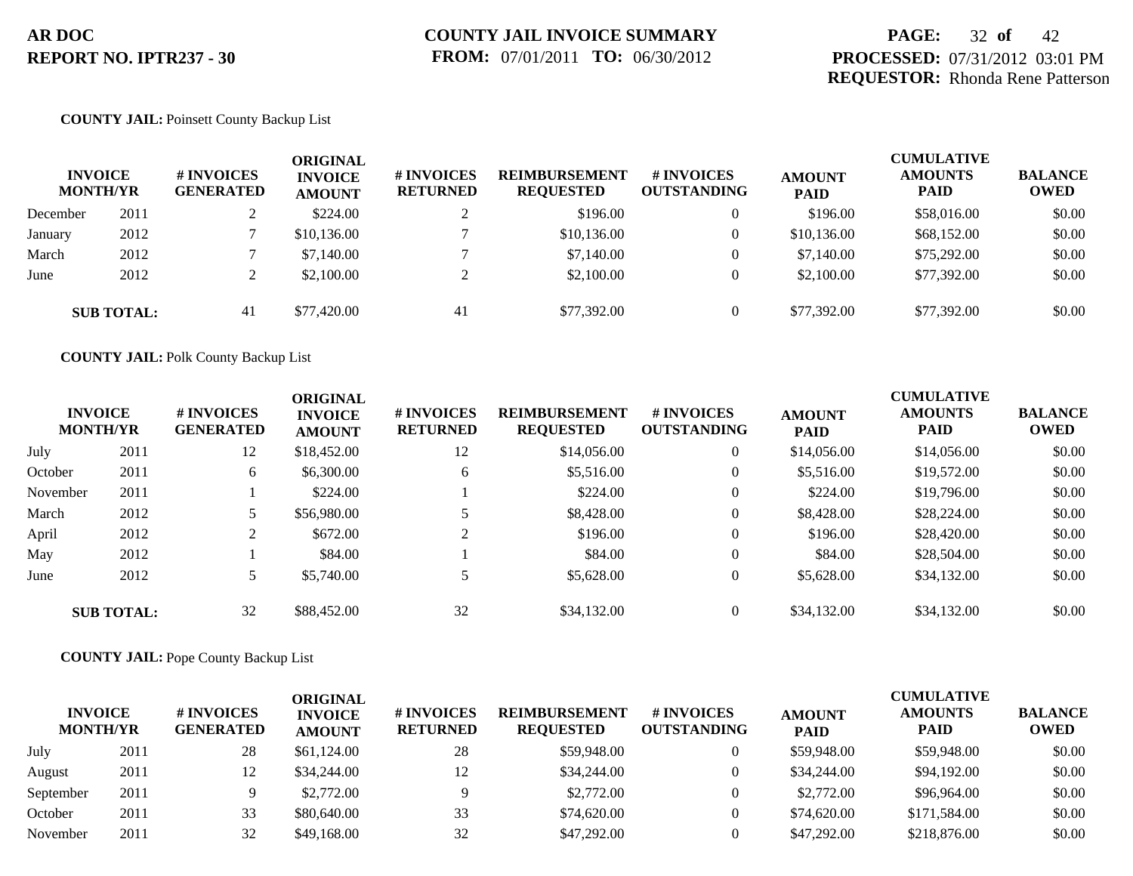# **PAGE:** 32 **of** 42 **PROCESSED:** 07/31/2012 03:01 PM **REQUESTOR:** Rhonda Rene Patterson

## **COUNTY JAIL:** Poinsett County Backup List

|          | <b>INVOICE</b><br><b>MONTH/YR</b> | # INVOICES<br><b>GENERATED</b> | ORIGINAL<br><b>INVOICE</b><br><b>AMOUNT</b> | <b># INVOICES</b><br><b>RETURNED</b> | <b>REIMBURSEMENT</b><br><b>REQUESTED</b> | # INVOICES<br><b>OUTSTANDING</b> | <b>AMOUNT</b><br><b>PAID</b> | <b>CUMULATIVE</b><br><b>AMOUNTS</b><br><b>PAID</b> | <b>BALANCE</b><br><b>OWED</b> |
|----------|-----------------------------------|--------------------------------|---------------------------------------------|--------------------------------------|------------------------------------------|----------------------------------|------------------------------|----------------------------------------------------|-------------------------------|
| December | 2011                              |                                | \$224.00                                    |                                      | \$196.00                                 | $\overline{0}$                   | \$196.00                     | \$58,016.00                                        | \$0.00                        |
| January  | 2012                              |                                | \$10,136.00                                 |                                      | \$10,136.00                              | $\mathbf{0}$                     | \$10,136.00                  | \$68,152.00                                        | \$0.00                        |
| March    | 2012                              |                                | \$7,140.00                                  |                                      | \$7,140.00                               | $\theta$                         | \$7,140.00                   | \$75,292.00                                        | \$0.00                        |
| June     | 2012                              |                                | \$2,100.00                                  |                                      | \$2,100.00                               | $\mathbf{0}$                     | \$2,100.00                   | \$77,392.00                                        | \$0.00                        |
|          | <b>SUB TOTAL:</b>                 | 41                             | \$77,420.00                                 | 41                                   | \$77,392.00                              | $\Omega$                         | \$77,392.00                  | \$77,392.00                                        | \$0.00                        |

**COUNTY JAIL:** Polk County Backup List

| <b>INVOICE</b> | <b>MONTH/YR</b>   | # INVOICES<br><b>GENERATED</b> | <b>ORIGINAL</b><br><b>INVOICE</b><br><b>AMOUNT</b> | # INVOICES<br><b>RETURNED</b> | <b>REIMBURSEMENT</b><br><b>REQUESTED</b> | # INVOICES<br><b>OUTSTANDING</b> | <b>AMOUNT</b><br><b>PAID</b> | <b>CUMULATIVE</b><br><b>AMOUNTS</b><br><b>PAID</b> | <b>BALANCE</b><br><b>OWED</b> |
|----------------|-------------------|--------------------------------|----------------------------------------------------|-------------------------------|------------------------------------------|----------------------------------|------------------------------|----------------------------------------------------|-------------------------------|
| July           | 2011              | 12                             | \$18,452.00                                        | 12                            | \$14,056.00                              | $\theta$                         | \$14,056.00                  | \$14,056.00                                        | \$0.00                        |
| October        | 2011              | 6                              | \$6,300.00                                         | 6                             | \$5,516.00                               | $\mathbf{0}$                     | \$5,516.00                   | \$19,572.00                                        | \$0.00                        |
| November       | 2011              |                                | \$224.00                                           |                               | \$224.00                                 | $\mathbf{0}$                     | \$224.00                     | \$19,796.00                                        | \$0.00                        |
| March          | 2012              | 5                              | \$56,980.00                                        |                               | \$8,428.00                               | $\mathbf{0}$                     | \$8,428.00                   | \$28,224.00                                        | \$0.00                        |
| April          | 2012              | 2                              | \$672.00                                           | $\bigcap$                     | \$196.00                                 | $\theta$                         | \$196.00                     | \$28,420.00                                        | \$0.00                        |
| May            | 2012              |                                | \$84.00                                            |                               | \$84.00                                  | $\mathbf{0}$                     | \$84.00                      | \$28,504.00                                        | \$0.00                        |
| June           | 2012              |                                | \$5,740.00                                         |                               | \$5,628.00                               | $\mathbf{0}$                     | \$5,628.00                   | \$34,132.00                                        | \$0.00                        |
|                | <b>SUB TOTAL:</b> | 32                             | \$88,452.00                                        | 32                            | \$34,132.00                              | $\Omega$                         | \$34,132.00                  | \$34,132.00                                        | \$0.00                        |

# **COUNTY JAIL:** Pope County Backup List

| <b>INVOICE</b><br><b>MONTH/YR</b> |      | <b>#INVOICES</b><br><b>GENERATED</b> | ORIGINAL<br><b>INVOICE</b><br><b>AMOUNT</b> | # INVOICES<br><b>RETURNED</b> | <b>REIMBURSEMENT</b><br><b>REQUESTED</b> | # INVOICES<br><b>OUTSTANDING</b> | <b>AMOUNT</b><br><b>PAID</b> | <b>CUMULATIVE</b><br><b>AMOUNTS</b><br><b>PAID</b> | <b>BALANCE</b><br><b>OWED</b> |
|-----------------------------------|------|--------------------------------------|---------------------------------------------|-------------------------------|------------------------------------------|----------------------------------|------------------------------|----------------------------------------------------|-------------------------------|
| July                              | 2011 | 28                                   | \$61,124.00                                 | 28                            | \$59,948.00                              |                                  | \$59,948.00                  | \$59,948.00                                        | \$0.00                        |
| August                            | 2011 | 12                                   | \$34,244.00                                 | 12                            | \$34,244.00                              |                                  | \$34,244.00                  | \$94,192,00                                        | \$0.00                        |
| September                         | 2011 |                                      | \$2,772.00                                  |                               | \$2,772.00                               |                                  | \$2,772.00                   | \$96,964.00                                        | \$0.00                        |
| October                           | 2011 | 33                                   | \$80,640.00                                 | 33                            | \$74,620.00                              |                                  | \$74,620.00                  | \$171,584.00                                       | \$0.00                        |
| November                          | 2011 | 32                                   | \$49,168,00                                 | 32                            | \$47,292,00                              |                                  | \$47,292,00                  | \$218,876.00                                       | \$0.00                        |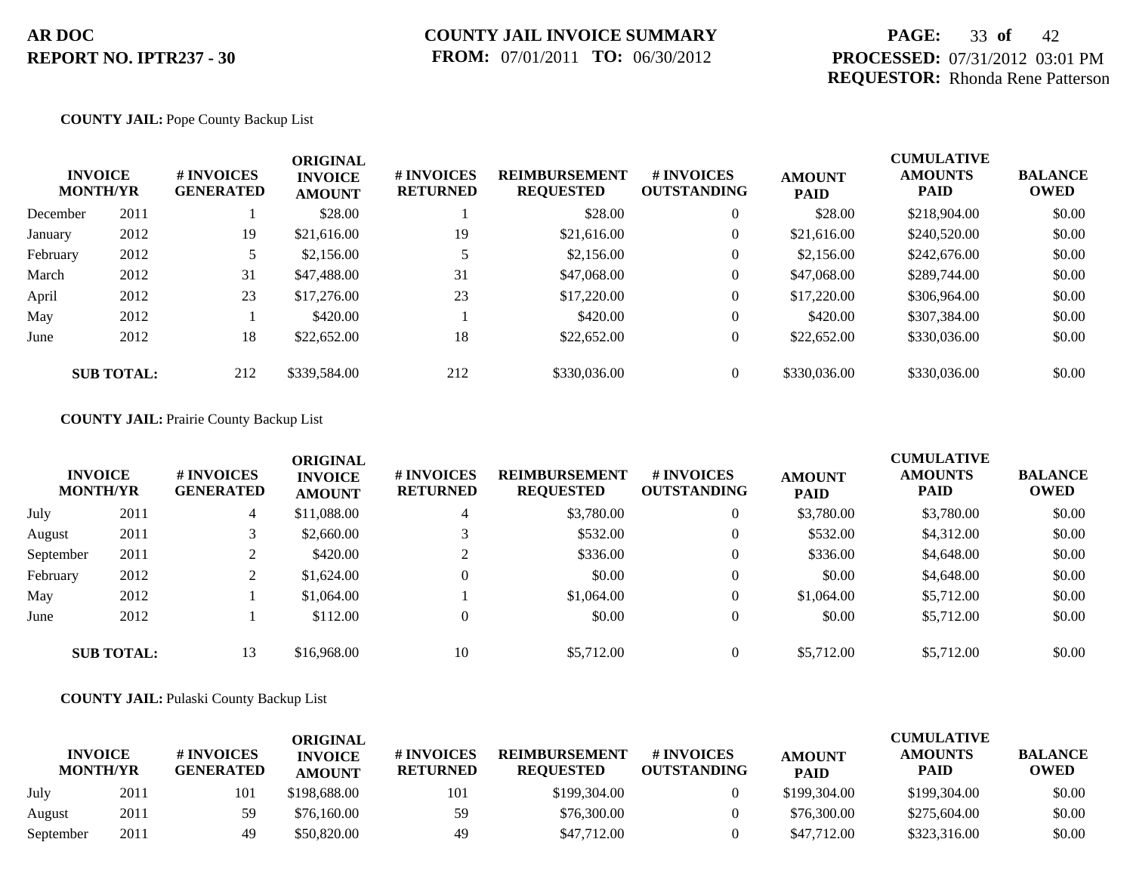# **PAGE:** 33 **of** 42 **PROCESSED:** 07/31/2012 03:01 PM **REQUESTOR:** Rhonda Rene Patterson

## **COUNTY JAIL:** Pope County Backup List

|          | <b>INVOICE</b><br><b>MONTH/YR</b> | # INVOICES<br><b>GENERATED</b> | <b>ORIGINAL</b><br><b>INVOICE</b><br><b>AMOUNT</b> | # INVOICES<br><b>RETURNED</b> | <b>REIMBURSEMENT</b><br><b>REQUESTED</b> | <b>#INVOICES</b><br><b>OUTSTANDING</b> | <b>AMOUNT</b><br><b>PAID</b> | <b>CUMULATIVE</b><br><b>AMOUNTS</b><br><b>PAID</b> | <b>BALANCE</b><br><b>OWED</b> |
|----------|-----------------------------------|--------------------------------|----------------------------------------------------|-------------------------------|------------------------------------------|----------------------------------------|------------------------------|----------------------------------------------------|-------------------------------|
| December | 2011                              |                                | \$28.00                                            |                               | \$28.00                                  | $\theta$                               | \$28.00                      | \$218,904.00                                       | \$0.00                        |
| January  | 2012                              | 19                             | \$21,616.00                                        | 19                            | \$21,616.00                              | $\theta$                               | \$21,616.00                  | \$240,520.00                                       | \$0.00                        |
| February | 2012                              |                                | \$2,156.00                                         |                               | \$2,156.00                               | $\theta$                               | \$2,156.00                   | \$242,676.00                                       | \$0.00                        |
| March    | 2012                              | 31                             | \$47,488.00                                        | 31                            | \$47,068.00                              | $\overline{0}$                         | \$47,068.00                  | \$289,744.00                                       | \$0.00                        |
| April    | 2012                              | 23                             | \$17,276.00                                        | 23                            | \$17,220.00                              | $\theta$                               | \$17,220.00                  | \$306,964.00                                       | \$0.00                        |
| May      | 2012                              |                                | \$420.00                                           |                               | \$420.00                                 | $\overline{0}$                         | \$420.00                     | \$307,384.00                                       | \$0.00                        |
| June     | 2012                              | 18                             | \$22,652.00                                        | 18                            | \$22,652.00                              | $\overline{0}$                         | \$22,652.00                  | \$330,036.00                                       | \$0.00                        |
|          | <b>SUB TOTAL:</b>                 | 212                            | \$339,584.00                                       | 212                           | \$330,036.00                             | $\overline{0}$                         | \$330,036.00                 | \$330,036,00                                       | \$0.00                        |

### **COUNTY JAIL:** Prairie County Backup List

| <b>INVOICE</b><br><b>MONTH/YR</b> |                   | # INVOICES<br><b>GENERATED</b> | <b>ORIGINAL</b><br><b>INVOICE</b><br><b>AMOUNT</b> | # INVOICES<br><b>RETURNED</b> | <b>REIMBURSEMENT</b><br><b>REQUESTED</b> | # INVOICES<br><b>OUTSTANDING</b> | <b>AMOUNT</b><br><b>PAID</b> | <b>CUMULATIVE</b><br><b>AMOUNTS</b><br><b>PAID</b> | <b>BALANCE</b><br><b>OWED</b> |
|-----------------------------------|-------------------|--------------------------------|----------------------------------------------------|-------------------------------|------------------------------------------|----------------------------------|------------------------------|----------------------------------------------------|-------------------------------|
| July                              | 2011              | 4                              | \$11,088.00                                        | $\overline{4}$                | \$3,780.00                               | $\theta$                         | \$3,780.00                   | \$3,780.00                                         | \$0.00                        |
| August                            | 2011              |                                | \$2,660.00                                         |                               | \$532.00                                 | $\overline{0}$                   | \$532.00                     | \$4,312.00                                         | \$0.00                        |
| September                         | 2011              |                                | \$420.00                                           |                               | \$336.00                                 | $\overline{0}$                   | \$336.00                     | \$4,648.00                                         | \$0.00                        |
| February                          | 2012              |                                | \$1,624.00                                         | $\overline{0}$                | \$0.00                                   | $\overline{0}$                   | \$0.00                       | \$4,648.00                                         | \$0.00                        |
| May                               | 2012              |                                | \$1,064.00                                         |                               | \$1,064.00                               | $\theta$                         | \$1,064.00                   | \$5,712.00                                         | \$0.00                        |
| June                              | 2012              |                                | \$112.00                                           |                               | \$0.00                                   | $\overline{0}$                   | \$0.00                       | \$5,712.00                                         | \$0.00                        |
|                                   | <b>SUB TOTAL:</b> | 13                             | \$16,968.00                                        | 10                            | \$5,712.00                               | $\overline{0}$                   | \$5,712.00                   | \$5,712.00                                         | \$0.00                        |

### **COUNTY JAIL:** Pulaski County Backup List

|                                   |      |                                | <b>ORIGINAL</b>                 |                               |                                          |                                        |                              | <b>CUMULATIVE</b>      |                               |
|-----------------------------------|------|--------------------------------|---------------------------------|-------------------------------|------------------------------------------|----------------------------------------|------------------------------|------------------------|-------------------------------|
| <b>INVOICE</b><br><b>MONTH/YR</b> |      | # INVOICES<br><b>GENERATED</b> | <b>INVOICE</b><br><b>AMOUNT</b> | # INVOICES<br><b>RETURNED</b> | <b>REIMBURSEMENT</b><br><b>REOUESTED</b> | <b>#INVOICES</b><br><b>OUTSTANDING</b> | <b>AMOUNT</b><br><b>PAID</b> | <b>AMOUNTS</b><br>PAID | <b>BALANCE</b><br><b>OWED</b> |
| July                              | 2011 | 101                            | \$198,688.00                    | 101                           | \$199,304.00                             |                                        | \$199,304.00                 | \$199,304.00           | \$0.00                        |
| August                            | 2011 | 59                             | \$76,160.00                     | 59                            | \$76,300.00                              |                                        | \$76,300.00                  | \$275,604.00           | \$0.00                        |
| September                         | 2011 | 49                             | \$50,820.00                     | 49                            | \$47,712.00                              |                                        | \$47,712.00                  | \$323,316.00           | \$0.00                        |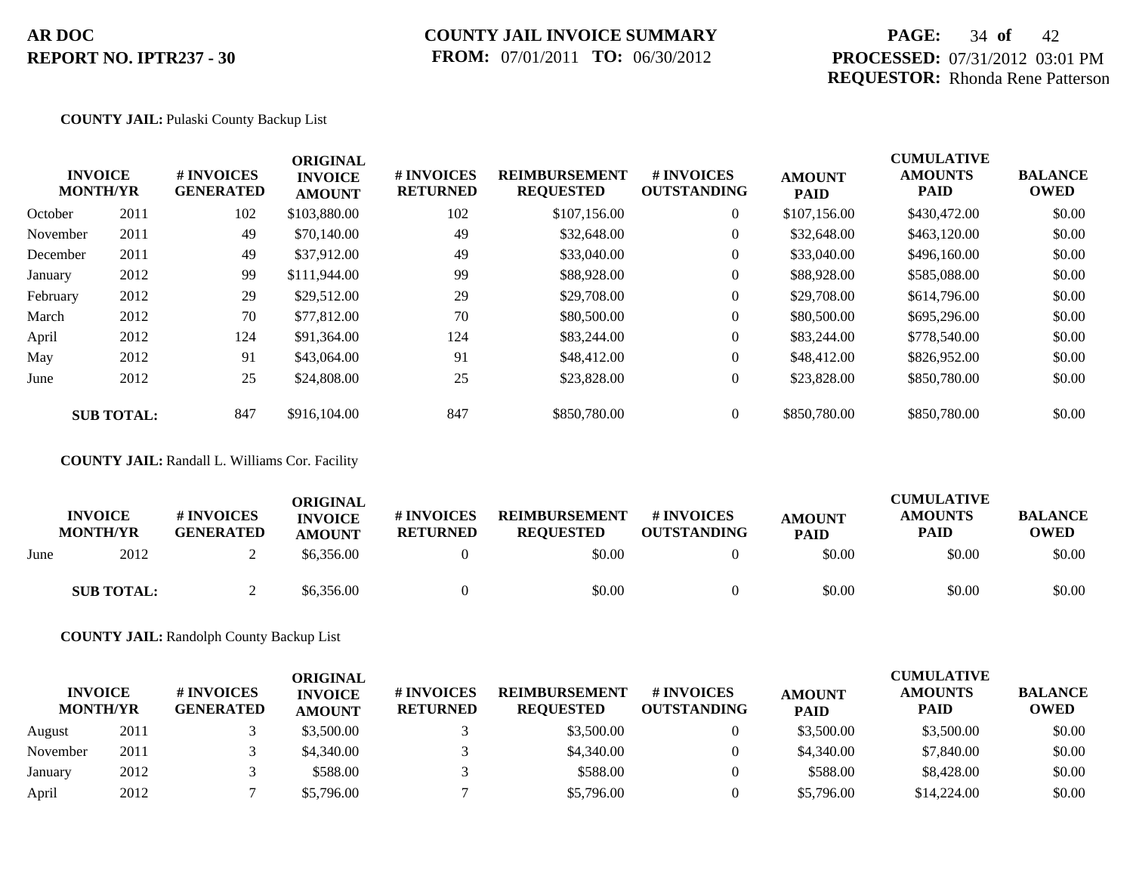## **COUNTY JAIL INVOICE SUMMARY FROM:** 07/01/2011 **TO:** 06/30/2012

# **PAGE:** 34 **of** 42 **PROCESSED:** 07/31/2012 03:01 PM **REQUESTOR:** Rhonda Rene Patterson

## **COUNTY JAIL:** Pulaski County Backup List

|          | <b>INVOICE</b><br><b>MONTH/YR</b> | # INVOICES<br><b>GENERATED</b> | <b>ORIGINAL</b><br><b>INVOICE</b><br><b>AMOUNT</b> | # INVOICES<br><b>RETURNED</b> | <b>REIMBURSEMENT</b><br><b>REQUESTED</b> | <b>#INVOICES</b><br><b>OUTSTANDING</b> | <b>AMOUNT</b><br><b>PAID</b> | <b>CUMULATIVE</b><br><b>AMOUNTS</b><br>PAID | <b>BALANCE</b><br><b>OWED</b> |
|----------|-----------------------------------|--------------------------------|----------------------------------------------------|-------------------------------|------------------------------------------|----------------------------------------|------------------------------|---------------------------------------------|-------------------------------|
| October  | 2011                              | 102                            | \$103,880.00                                       | 102                           | \$107,156.00                             | $\overline{0}$                         | \$107,156.00                 | \$430,472.00                                | \$0.00                        |
| November | 2011                              | 49                             | \$70,140.00                                        | 49                            | \$32,648.00                              | $\overline{0}$                         | \$32,648.00                  | \$463,120.00                                | \$0.00                        |
| December | 2011                              | 49                             | \$37,912.00                                        | 49                            | \$33,040.00                              | $\overline{0}$                         | \$33,040.00                  | \$496,160.00                                | \$0.00                        |
| January  | 2012                              | 99                             | \$111,944.00                                       | 99                            | \$88,928.00                              | $\overline{0}$                         | \$88,928.00                  | \$585,088.00                                | \$0.00                        |
| February | 2012                              | 29                             | \$29,512.00                                        | 29                            | \$29,708.00                              | $\overline{0}$                         | \$29,708.00                  | \$614,796.00                                | \$0.00                        |
| March    | 2012                              | 70                             | \$77,812.00                                        | 70                            | \$80,500.00                              | $\overline{0}$                         | \$80,500.00                  | \$695,296.00                                | \$0.00                        |
| April    | 2012                              | 124                            | \$91,364.00                                        | 124                           | \$83,244.00                              | $\overline{0}$                         | \$83,244.00                  | \$778,540.00                                | \$0.00                        |
| May      | 2012                              | 91                             | \$43,064.00                                        | 91                            | \$48,412.00                              | $\overline{0}$                         | \$48,412.00                  | \$826,952.00                                | \$0.00                        |
| June     | 2012                              | 25                             | \$24,808.00                                        | 25                            | \$23,828.00                              | $\overline{0}$                         | \$23,828.00                  | \$850,780.00                                | \$0.00                        |
|          | <b>SUB TOTAL:</b>                 | 847                            | \$916,104.00                                       | 847                           | \$850,780.00                             | $\overline{0}$                         | \$850,780.00                 | \$850,780.00                                | \$0.00                        |

**COUNTY JAIL:** Randall L. Williams Cor. Facility

|      | <b>INVOICE</b><br><b>MONTH/YR</b> | <b>#INVOICES</b><br><b>GENERATED</b> | <b>ORIGINAL</b><br><b>INVOICE</b><br><b>AMOUNT</b> | # INVOICES<br><b>RETURNED</b> | <b>REIMBURSEMENT</b><br><b>REOUESTED</b> | # INVOICES<br><b>OUTSTANDING</b> | <b>AMOUNT</b><br><b>PAID</b> | <b>CUMULATIVE</b><br><b>AMOUNTS</b><br><b>PAID</b> | <b>BALANCE</b><br><b>OWED</b> |
|------|-----------------------------------|--------------------------------------|----------------------------------------------------|-------------------------------|------------------------------------------|----------------------------------|------------------------------|----------------------------------------------------|-------------------------------|
| June | 2012                              | ∼                                    | \$6,356.00                                         |                               | \$0.00                                   |                                  | \$0.00                       | \$0.00                                             | \$0.00                        |
|      | <b>SUB TOTAL:</b>                 |                                      | \$6,356.00                                         |                               | \$0.00                                   |                                  | \$0.00                       | \$0.00                                             | \$0.00                        |

**COUNTY JAIL:** Randolph County Backup List

| <b>INVOICE</b><br><b>MONTH/YR</b> |      | # INVOICES<br><b>GENERATED</b> | ORIGINAL<br><b>INVOICE</b><br><b>AMOUNT</b> | # INVOICES<br><b>RETURNED</b> | <b>REIMBURSEMENT</b><br><b>REQUESTED</b> | # INVOICES<br><b>OUTSTANDING</b> | <b>AMOUNT</b><br><b>PAID</b> | <b>CUMULATIVE</b><br><b>AMOUNTS</b><br><b>PAID</b> | <b>BALANCE</b><br><b>OWED</b> |
|-----------------------------------|------|--------------------------------|---------------------------------------------|-------------------------------|------------------------------------------|----------------------------------|------------------------------|----------------------------------------------------|-------------------------------|
| August                            | 2011 |                                | \$3,500.00                                  |                               | \$3,500.00                               |                                  | \$3,500.00                   | \$3,500.00                                         | \$0.00                        |
| November                          | 2011 |                                | \$4,340.00                                  |                               | \$4,340.00                               |                                  | \$4,340.00                   | \$7,840.00                                         | \$0.00                        |
| January                           | 2012 |                                | \$588.00                                    |                               | \$588.00                                 |                                  | \$588.00                     | \$8,428.00                                         | \$0.00                        |
| April                             | 2012 |                                | \$5,796.00                                  |                               | \$5,796.00                               |                                  | \$5,796.00                   | \$14,224.00                                        | \$0.00                        |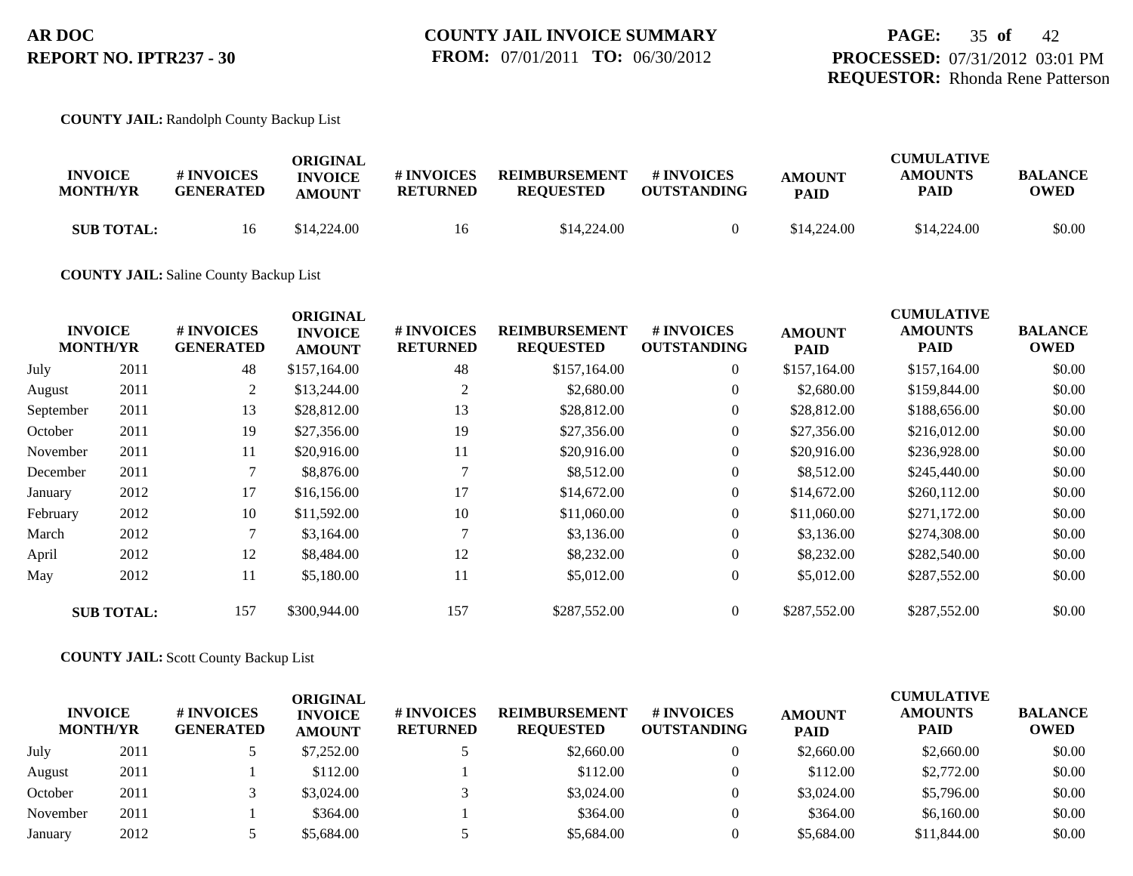### **COUNTY JAIL:** Randolph County Backup List

| <b>INVOICE</b><br><b>MONTH/YR</b> | <b>#INVOICES</b><br><b>GENERATED</b> | ORIGINAL<br><b>INVOICE</b><br><b>AMOUNT</b> | # INVOICES<br><b>RETURNED</b> | <b>REIMBURSEMENT</b><br><b>REQUESTED</b> | # INVOICES<br><b>OUTSTANDING</b> | <b>AMOUNT</b><br><b>PAID</b> | <b>CUMULATIVE</b><br><b>AMOUNTS</b><br>PAID | <b>BALANCE</b><br>OWED |
|-----------------------------------|--------------------------------------|---------------------------------------------|-------------------------------|------------------------------------------|----------------------------------|------------------------------|---------------------------------------------|------------------------|
| <b>SUB TOTAL:</b>                 | 16                                   | \$14,224.00                                 | 16                            | \$14,224.00                              |                                  | \$14,224.00                  | \$14,224.00                                 | \$0.00                 |

### **COUNTY JAIL:** Saline County Backup List

|           |                                   |                                | <b>ORIGINAL</b>                 |                               |                                          |                                  |                              | <b>CUMULATIVE</b>             |                               |
|-----------|-----------------------------------|--------------------------------|---------------------------------|-------------------------------|------------------------------------------|----------------------------------|------------------------------|-------------------------------|-------------------------------|
|           | <b>INVOICE</b><br><b>MONTH/YR</b> | # INVOICES<br><b>GENERATED</b> | <b>INVOICE</b><br><b>AMOUNT</b> | # INVOICES<br><b>RETURNED</b> | <b>REIMBURSEMENT</b><br><b>REQUESTED</b> | # INVOICES<br><b>OUTSTANDING</b> | <b>AMOUNT</b><br><b>PAID</b> | <b>AMOUNTS</b><br><b>PAID</b> | <b>BALANCE</b><br><b>OWED</b> |
| July      | 2011                              | 48                             | \$157,164.00                    | 48                            | \$157,164.00                             | $\overline{0}$                   | \$157,164.00                 | \$157,164.00                  | \$0.00                        |
| August    | 2011                              | 2                              | \$13,244.00                     | 2                             | \$2,680.00                               | $\overline{0}$                   | \$2,680.00                   | \$159,844.00                  | \$0.00                        |
| September | 2011                              | 13                             | \$28,812.00                     | 13                            | \$28,812.00                              | $\overline{0}$                   | \$28,812.00                  | \$188,656.00                  | \$0.00                        |
| October   | 2011                              | 19                             | \$27,356.00                     | 19                            | \$27,356.00                              | $\overline{0}$                   | \$27,356.00                  | \$216,012.00                  | \$0.00                        |
| November  | 2011                              | 11                             | \$20,916.00                     | 11                            | \$20,916.00                              | $\overline{0}$                   | \$20,916.00                  | \$236,928.00                  | \$0.00                        |
| December  | 2011                              |                                | \$8,876.00                      | $\mathcal{L}$                 | \$8,512.00                               | $\overline{0}$                   | \$8,512.00                   | \$245,440.00                  | \$0.00                        |
| January   | 2012                              | 17                             | \$16,156.00                     | 17                            | \$14,672.00                              | $\overline{0}$                   | \$14,672.00                  | \$260,112.00                  | \$0.00                        |
| February  | 2012                              | 10                             | \$11,592.00                     | 10                            | \$11,060.00                              | $\overline{0}$                   | \$11,060.00                  | \$271,172.00                  | \$0.00                        |
| March     | 2012                              | 7                              | \$3,164.00                      |                               | \$3,136.00                               | $\overline{0}$                   | \$3,136.00                   | \$274,308.00                  | \$0.00                        |
| April     | 2012                              | 12                             | \$8,484.00                      | 12                            | \$8,232.00                               | $\overline{0}$                   | \$8,232.00                   | \$282,540.00                  | \$0.00                        |
| May       | 2012                              | 11                             | \$5,180.00                      | 11                            | \$5,012.00                               | $\overline{0}$                   | \$5,012.00                   | \$287,552.00                  | \$0.00                        |
|           | <b>SUB TOTAL:</b>                 | 157                            | \$300,944.00                    | 157                           | \$287,552.00                             | $\Omega$                         | \$287,552.00                 | \$287,552.00                  | \$0.00                        |

### **COUNTY JAIL:** Scott County Backup List

| <b>INVOICE</b><br><b>MONTH/YR</b> |      | # INVOICES<br><b>GENERATED</b> | ORIGINAL<br><b>INVOICE</b><br><b>AMOUNT</b> | # INVOICES<br><b>RETURNED</b> | <b>REIMBURSEMENT</b><br><b>REQUESTED</b> | # INVOICES<br><b>OUTSTANDING</b> | <b>AMOUNT</b><br><b>PAID</b> | <b>CUMULATIVE</b><br><b>AMOUNTS</b><br><b>PAID</b> | <b>BALANCE</b><br><b>OWED</b> |
|-----------------------------------|------|--------------------------------|---------------------------------------------|-------------------------------|------------------------------------------|----------------------------------|------------------------------|----------------------------------------------------|-------------------------------|
| July                              | 2011 |                                | \$7,252.00                                  |                               | \$2,660.00                               | $\overline{0}$                   | \$2,660.00                   | \$2,660.00                                         | \$0.00                        |
| August                            | 2011 |                                | \$112.00                                    |                               | \$112.00                                 |                                  | \$112.00                     | \$2,772.00                                         | \$0.00                        |
| October                           | 2011 |                                | \$3,024.00                                  |                               | \$3,024.00                               |                                  | \$3,024.00                   | \$5,796.00                                         | \$0.00                        |
| November                          | 2011 |                                | \$364.00                                    |                               | \$364.00                                 |                                  | \$364.00                     | \$6,160.00                                         | \$0.00                        |
| January                           | 2012 |                                | \$5,684.00                                  |                               | \$5,684.00                               |                                  | \$5,684.00                   | \$11,844.00                                        | \$0.00                        |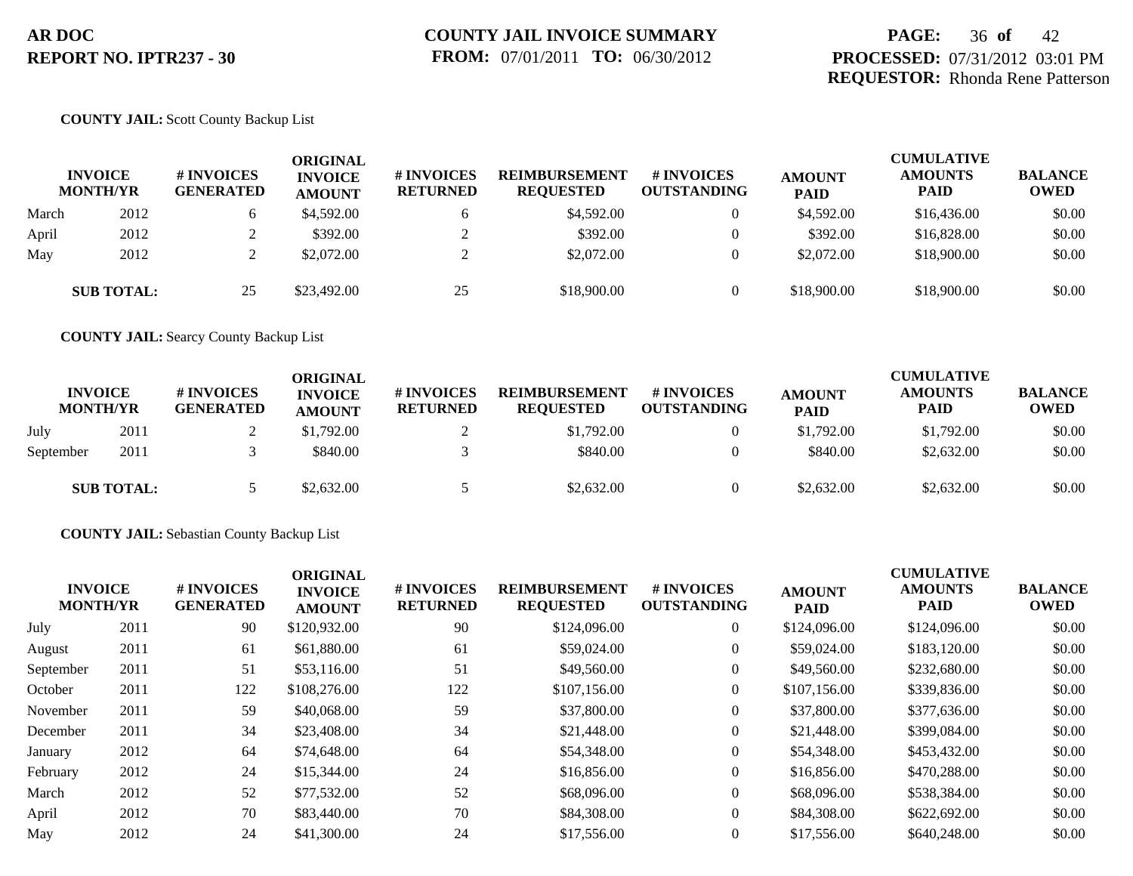# **PAGE:** 36 **of** 42 **PROCESSED:** 07/31/2012 03:01 PM **REQUESTOR:** Rhonda Rene Patterson

## **COUNTY JAIL:** Scott County Backup List

| <b>INVOICE</b><br><b>MONTH/YR</b> |                   | <b>#INVOICES</b><br><b>GENERATED</b> | <b>ORIGINAL</b><br><b>INVOICE</b><br><b>AMOUNT</b> | <b># INVOICES</b><br><b>RETURNED</b> | <b>REIMBURSEMENT</b><br><b>REQUESTED</b> | # INVOICES<br><b>OUTSTANDING</b> | <b>AMOUNT</b><br><b>PAID</b> | <b>CUMULATIVE</b><br><b>AMOUNTS</b><br><b>PAID</b> | <b>BALANCE</b><br><b>OWED</b> |
|-----------------------------------|-------------------|--------------------------------------|----------------------------------------------------|--------------------------------------|------------------------------------------|----------------------------------|------------------------------|----------------------------------------------------|-------------------------------|
| March                             | 2012              |                                      | \$4,592.00                                         | <sub>0</sub>                         | \$4,592.00                               | $\overline{0}$                   | \$4,592.00                   | \$16,436.00                                        | \$0.00                        |
| April                             | 2012              |                                      | \$392.00                                           |                                      | \$392.00                                 |                                  | \$392.00                     | \$16,828.00                                        | \$0.00                        |
| May                               | 2012              |                                      | \$2,072.00                                         |                                      | \$2,072.00                               |                                  | \$2,072.00                   | \$18,900.00                                        | \$0.00                        |
|                                   | <b>SUB TOTAL:</b> | 25                                   | \$23,492.00                                        | 25                                   | \$18,900.00                              |                                  | \$18,900.00                  | \$18,900.00                                        | \$0.00                        |

**COUNTY JAIL:** Searcy County Backup List

| <b>INVOICE</b><br><b>MONTH/YR</b> |                   | # INVOICES<br><b>GENERATED</b> | <b>ORIGINAL</b><br><b>INVOICE</b><br><b>AMOUNT</b> | # INVOICES<br><b>RETURNED</b> | <b>REIMBURSEMENT</b><br><b>REQUESTED</b> | # INVOICES<br><b>OUTSTANDING</b> | <b>AMOUNT</b><br><b>PAID</b> | <b>CUMULATIVE</b><br><b>AMOUNTS</b><br><b>PAID</b> | <b>BALANCE</b><br><b>OWED</b> |
|-----------------------------------|-------------------|--------------------------------|----------------------------------------------------|-------------------------------|------------------------------------------|----------------------------------|------------------------------|----------------------------------------------------|-------------------------------|
| July                              | 2011              |                                | \$1,792.00                                         |                               | \$1,792.00                               |                                  | \$1,792.00                   | \$1,792.00                                         | \$0.00                        |
| September                         | 2011              |                                | \$840.00                                           |                               | \$840.00                                 |                                  | \$840.00                     | \$2,632.00                                         | \$0.00                        |
|                                   | <b>SUB TOTAL:</b> |                                | \$2,632.00                                         |                               | \$2,632.00                               |                                  | \$2,632.00                   | \$2,632.00                                         | \$0.00                        |

**COUNTY JAIL:** Sebastian County Backup List

| <b>INVOICE</b><br><b>MONTH/YR</b> | # INVOICES<br><b>GENERATED</b> | <b>INVOICE</b><br><b>AMOUNT</b> | # INVOICES<br><b>RETURNED</b> | <b>REIMBURSEMENT</b><br><b>REQUESTED</b> | <b>#INVOICES</b><br><b>OUTSTANDING</b> | <b>AMOUNT</b><br><b>PAID</b> | <b>AMOUNTS</b><br><b>PAID</b> | <b>BALANCE</b><br><b>OWED</b>        |
|-----------------------------------|--------------------------------|---------------------------------|-------------------------------|------------------------------------------|----------------------------------------|------------------------------|-------------------------------|--------------------------------------|
| 2011                              | 90                             | \$120,932.00                    | 90                            | \$124,096.00                             | $\overline{0}$                         | \$124,096.00                 | \$124,096.00                  | \$0.00                               |
| 2011                              | 61                             | \$61,880.00                     | 61                            | \$59,024.00                              | $\overline{0}$                         | \$59,024.00                  | \$183,120.00                  | \$0.00                               |
| 2011                              | 51                             | \$53,116.00                     | 51                            | \$49,560.00                              | $\overline{0}$                         | \$49,560.00                  | \$232,680.00                  | \$0.00                               |
| 2011                              | 122                            | \$108,276.00                    | 122                           | \$107,156.00                             | $\overline{0}$                         | \$107,156.00                 | \$339,836.00                  | \$0.00                               |
| 2011                              | 59                             | \$40,068.00                     | 59                            | \$37,800.00                              | $\overline{0}$                         | \$37,800.00                  | \$377,636.00                  | \$0.00                               |
| 2011                              | 34                             | \$23,408.00                     | 34                            | \$21,448.00                              | $\overline{0}$                         | \$21,448.00                  | \$399,084.00                  | \$0.00                               |
| 2012                              | 64                             | \$74,648.00                     | 64                            | \$54,348.00                              | $\overline{0}$                         | \$54,348.00                  | \$453,432.00                  | \$0.00                               |
| 2012                              | 24                             | \$15,344.00                     | 24                            | \$16,856.00                              | $\overline{0}$                         | \$16,856.00                  | \$470,288.00                  | \$0.00                               |
| 2012                              | 52                             | \$77,532.00                     | 52                            | \$68,096.00                              | $\overline{0}$                         | \$68,096.00                  | \$538,384.00                  | \$0.00                               |
| 2012                              | 70                             | \$83,440.00                     | 70                            | \$84,308.00                              | $\overline{0}$                         | \$84,308,00                  | \$622,692.00                  | \$0.00                               |
| 2012                              | 24                             | \$41,300.00                     | 24                            | \$17,556.00                              | $\overline{0}$                         | \$17,556.00                  | \$640,248.00                  | \$0.00                               |
|                                   |                                |                                 |                               |                                          |                                        |                              |                               | <b>CUMULATIVE</b><br><b>ORIGINAL</b> |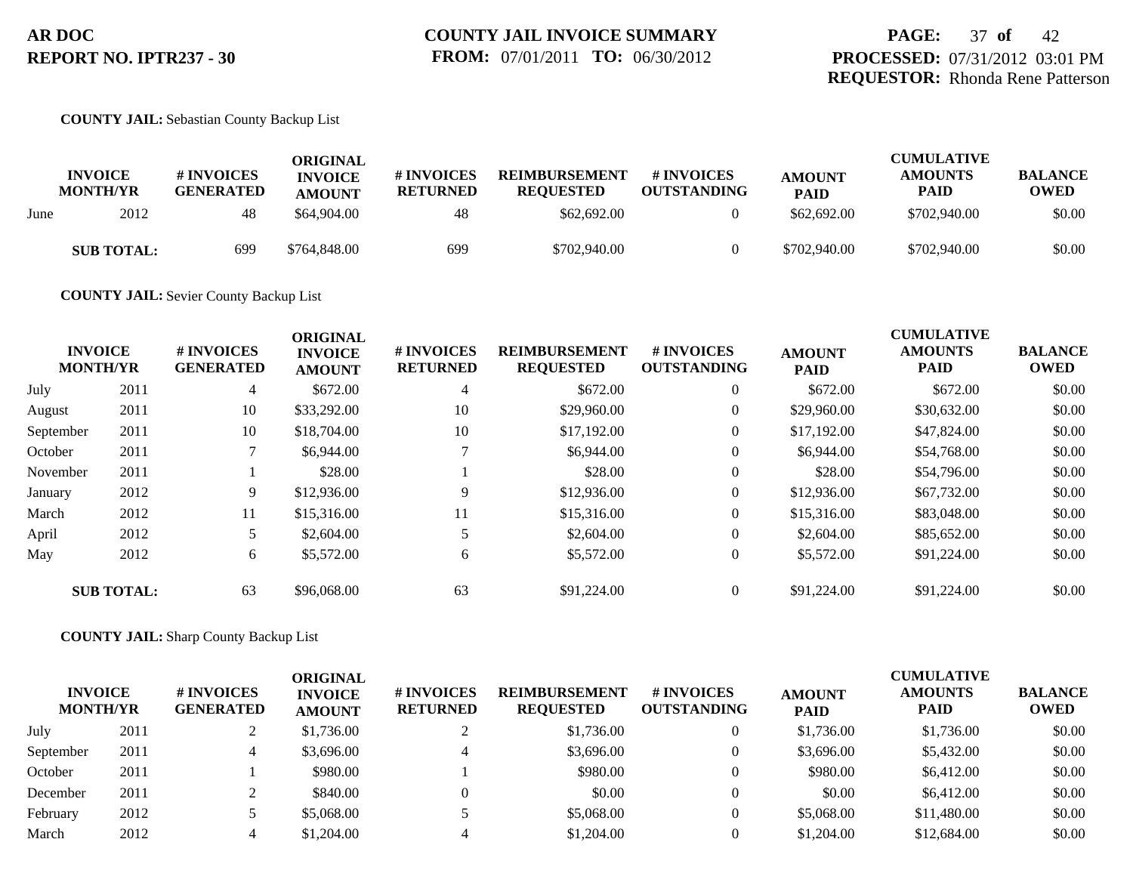### **COUNTY JAIL:** Sebastian County Backup List

|      | <b>INVOICE</b><br><b>MONTH/YR</b> | <b>#INVOICES</b><br><b>GENERATED</b> | ORIGINAL<br><b>INVOICE</b><br><b>AMOUNT</b> | # INVOICES<br><b>RETURNED</b> | <b>REIMBURSEMENT</b><br><b>REQUESTED</b> | # INVOICES<br><b>OUTSTANDING</b> | <b>AMOUNT</b><br><b>PAID</b> | <b>CUMULATIVE</b><br><b>AMOUNTS</b><br><b>PAID</b> | <b>BALANCE</b><br><b>OWED</b> |
|------|-----------------------------------|--------------------------------------|---------------------------------------------|-------------------------------|------------------------------------------|----------------------------------|------------------------------|----------------------------------------------------|-------------------------------|
| June | 2012                              | 48                                   | \$64,904.00                                 | 48                            | \$62,692.00                              |                                  | \$62,692.00                  | \$702,940.00                                       | \$0.00                        |
|      | <b>SUB TOTAL:</b>                 | 699                                  | \$764,848,00                                | 699                           | \$702,940.00                             |                                  | \$702,940.00                 | \$702,940.00                                       | \$0.00                        |

**COUNTY JAIL:** Sevier County Backup List

|           | <b>INVOICE</b><br><b>MONTH/YR</b> | # INVOICES<br><b>GENERATED</b> | <b>ORIGINAL</b><br><b>INVOICE</b><br><b>AMOUNT</b> | # INVOICES<br><b>RETURNED</b> | <b>REIMBURSEMENT</b><br><b>REQUESTED</b> | <b>#INVOICES</b><br><b>OUTSTANDING</b> | <b>AMOUNT</b><br><b>PAID</b> | <b>CUMULATIVE</b><br><b>AMOUNTS</b><br><b>PAID</b> | <b>BALANCE</b><br><b>OWED</b> |
|-----------|-----------------------------------|--------------------------------|----------------------------------------------------|-------------------------------|------------------------------------------|----------------------------------------|------------------------------|----------------------------------------------------|-------------------------------|
| July      | 2011                              | 4                              | \$672.00                                           | 4                             | \$672.00                                 | $\overline{0}$                         | \$672.00                     | \$672.00                                           | \$0.00                        |
| August    | 2011                              | 10                             | \$33,292.00                                        | 10                            | \$29,960.00                              | $\overline{0}$                         | \$29,960.00                  | \$30,632.00                                        | \$0.00                        |
| September | 2011                              | 10                             | \$18,704.00                                        | 10                            | \$17,192.00                              | $\overline{0}$                         | \$17,192.00                  | \$47,824.00                                        | \$0.00                        |
| October   | 2011                              |                                | \$6,944.00                                         |                               | \$6,944.00                               | $\overline{0}$                         | \$6,944.00                   | \$54,768.00                                        | \$0.00                        |
| November  | 2011                              |                                | \$28.00                                            |                               | \$28.00                                  | $\overline{0}$                         | \$28.00                      | \$54,796.00                                        | \$0.00                        |
| January   | 2012                              | 9                              | \$12,936.00                                        | 9                             | \$12,936.00                              | $\overline{0}$                         | \$12,936.00                  | \$67,732.00                                        | \$0.00                        |
| March     | 2012                              | 11                             | \$15,316.00                                        | 11                            | \$15,316.00                              | $\overline{0}$                         | \$15,316.00                  | \$83,048.00                                        | \$0.00                        |
| April     | 2012                              | 5.                             | \$2,604.00                                         |                               | \$2,604.00                               | $\overline{0}$                         | \$2,604.00                   | \$85,652.00                                        | \$0.00                        |
| May       | 2012                              | 6                              | \$5,572.00                                         | 6                             | \$5,572.00                               | $\overline{0}$                         | \$5,572.00                   | \$91,224.00                                        | \$0.00                        |
|           | <b>SUB TOTAL:</b>                 | 63                             | \$96,068.00                                        | 63                            | \$91,224.00                              | $\theta$                               | \$91,224.00                  | \$91,224.00                                        | \$0.00                        |

**COUNTY JAIL:** Sharp County Backup List

| <b>INVOICE</b><br><b>MONTH/YR</b> |      | # INVOICES<br><b>GENERATED</b> | ORIGINAL<br><b>INVOICE</b><br><b>AMOUNT</b> | # INVOICES<br><b>RETURNED</b> | <b>REIMBURSEMENT</b><br><b>REQUESTED</b> | # INVOICES<br><b>OUTSTANDING</b> | <b>AMOUNT</b><br><b>PAID</b> | <b>CUMULATIVE</b><br><b>AMOUNTS</b><br><b>PAID</b> | <b>BALANCE</b><br><b>OWED</b> |
|-----------------------------------|------|--------------------------------|---------------------------------------------|-------------------------------|------------------------------------------|----------------------------------|------------------------------|----------------------------------------------------|-------------------------------|
| July                              | 2011 |                                | \$1,736.00                                  |                               | \$1,736.00                               | $\theta$                         | \$1,736.00                   | \$1,736.00                                         | \$0.00                        |
| September                         | 2011 |                                | \$3,696.00                                  | 4                             | \$3,696.00                               | $\overline{0}$                   | \$3,696.00                   | \$5,432.00                                         | \$0.00                        |
| October                           | 2011 |                                | \$980.00                                    |                               | \$980.00                                 | $\Omega$                         | \$980.00                     | \$6,412.00                                         | \$0.00                        |
| December                          | 2011 |                                | \$840.00                                    |                               | \$0.00                                   | $\Omega$                         | \$0.00                       | \$6,412.00                                         | \$0.00                        |
| February                          | 2012 |                                | \$5,068.00                                  |                               | \$5,068.00                               | $\theta$                         | \$5,068.00                   | \$11,480.00                                        | \$0.00                        |
| March                             | 2012 |                                | \$1,204.00                                  |                               | \$1,204.00                               |                                  | \$1,204.00                   | \$12,684.00                                        | \$0.00                        |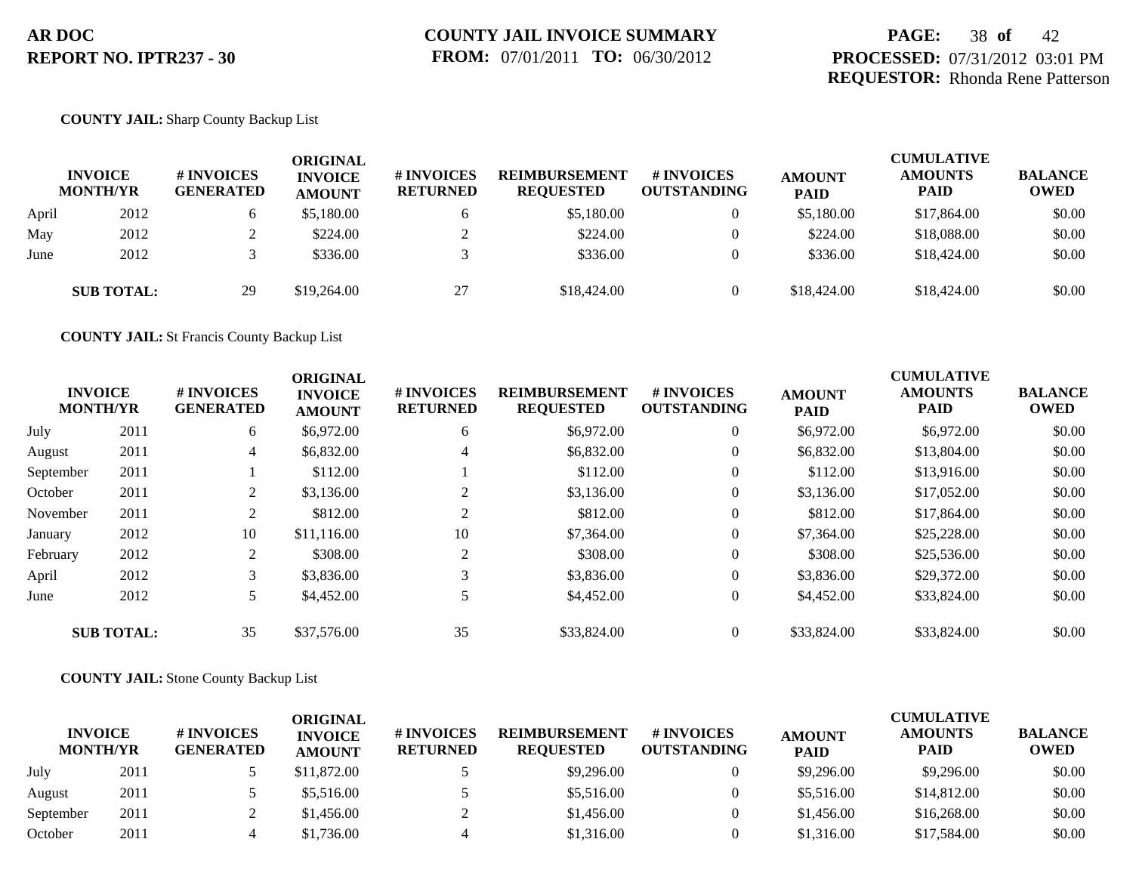# **PAGE:** 38 **of** 42 **PROCESSED:** 07/31/2012 03:01 PM **REQUESTOR:** Rhonda Rene Patterson

## **COUNTY JAIL:** Sharp County Backup List

|       | <b>INVOICE</b><br><b>MONTH/YR</b> | # INVOICES<br><b>GENERATED</b> | ORIGINAL<br><b>INVOICE</b><br><b>AMOUNT</b> | # INVOICES<br><b>RETURNED</b> | <b>REIMBURSEMENT</b><br><b>REQUESTED</b> | # INVOICES<br><b>OUTSTANDING</b> | <b>AMOUNT</b><br><b>PAID</b> | <b>CUMULATIVE</b><br><b>AMOUNTS</b><br><b>PAID</b> | <b>BALANCE</b><br><b>OWED</b> |
|-------|-----------------------------------|--------------------------------|---------------------------------------------|-------------------------------|------------------------------------------|----------------------------------|------------------------------|----------------------------------------------------|-------------------------------|
| April | 2012                              |                                | \$5,180.00                                  | b                             | \$5,180.00                               | $\overline{0}$                   | \$5,180.00                   | \$17,864.00                                        | \$0.00                        |
| May   | 2012                              |                                | \$224.00                                    |                               | \$224.00                                 |                                  | \$224.00                     | \$18,088,00                                        | \$0.00                        |
| June  | 2012                              |                                | \$336.00                                    |                               | \$336.00                                 | $\theta$                         | \$336.00                     | \$18,424.00                                        | \$0.00                        |
|       | <b>SUB TOTAL:</b>                 | 29                             | \$19,264.00                                 | 27                            | \$18,424.00                              | $\theta$                         | \$18,424.00                  | \$18,424.00                                        | \$0.00                        |

**COUNTY JAIL:** St Francis County Backup List

|           | <b>INVOICE</b><br><b>MONTH/YR</b> | # INVOICES<br><b>GENERATED</b> | <b>ORIGINAL</b><br><b>INVOICE</b><br><b>AMOUNT</b> | # INVOICES<br><b>RETURNED</b> | <b>REIMBURSEMENT</b><br><b>REQUESTED</b> | # INVOICES<br><b>OUTSTANDING</b> | <b>AMOUNT</b><br><b>PAID</b> | <b>CUMULATIVE</b><br><b>AMOUNTS</b><br><b>PAID</b> | <b>BALANCE</b><br><b>OWED</b> |
|-----------|-----------------------------------|--------------------------------|----------------------------------------------------|-------------------------------|------------------------------------------|----------------------------------|------------------------------|----------------------------------------------------|-------------------------------|
| July      | 2011                              | 6                              | \$6,972.00                                         | 6                             | \$6,972.00                               | $\overline{0}$                   | \$6,972.00                   | \$6,972.00                                         | \$0.00                        |
| August    | 2011                              | 4                              | \$6,832.00                                         | 4                             | \$6,832.00                               | $\overline{0}$                   | \$6,832.00                   | \$13,804.00                                        | \$0.00                        |
| September | 2011                              |                                | \$112.00                                           |                               | \$112.00                                 | $\theta$                         | \$112.00                     | \$13,916.00                                        | \$0.00                        |
| October   | 2011                              | 2                              | \$3,136.00                                         | 2                             | \$3,136.00                               | $\overline{0}$                   | \$3,136.00                   | \$17,052.00                                        | \$0.00                        |
| November  | 2011                              | 2                              | \$812.00                                           | 2                             | \$812.00                                 | $\theta$                         | \$812.00                     | \$17,864.00                                        | \$0.00                        |
| January   | 2012                              | 10                             | \$11,116.00                                        | 10                            | \$7,364.00                               | $\overline{0}$                   | \$7,364.00                   | \$25,228.00                                        | \$0.00                        |
| February  | 2012                              | 2                              | \$308.00                                           | 2                             | \$308.00                                 | $\theta$                         | \$308.00                     | \$25,536.00                                        | \$0.00                        |
| April     | 2012                              | 3                              | \$3,836.00                                         | 3                             | \$3,836.00                               | $\theta$                         | \$3,836.00                   | \$29,372.00                                        | \$0.00                        |
| June      | 2012                              |                                | \$4,452.00                                         |                               | \$4,452.00                               | $\overline{0}$                   | \$4,452.00                   | \$33,824.00                                        | \$0.00                        |
|           | <b>SUB TOTAL:</b>                 | 35                             | \$37,576.00                                        | 35                            | \$33,824.00                              | $\overline{0}$                   | \$33,824.00                  | \$33,824.00                                        | \$0.00                        |

## **COUNTY JAIL:** Stone County Backup List

| <b>INVOICE</b><br><b>MONTH/YR</b> |      | # INVOICES<br><b>GENERATED</b> | ORIGINAL<br><b>INVOICE</b><br><b>AMOUNT</b> | <b># INVOICES</b><br><b>RETURNED</b> | <b>REIMBURSEMENT</b><br><b>REOUESTED</b> | <b>#INVOICES</b><br><b>OUTSTANDING</b> | <b>AMOUNT</b><br><b>PAID</b> | <b>CUMULATIVE</b><br><b>AMOUNTS</b><br><b>PAID</b> | <b>BALANCE</b><br><b>OWED</b> |
|-----------------------------------|------|--------------------------------|---------------------------------------------|--------------------------------------|------------------------------------------|----------------------------------------|------------------------------|----------------------------------------------------|-------------------------------|
| July                              | 2011 |                                | \$11,872.00                                 |                                      | \$9,296.00                               |                                        | \$9,296.00                   | \$9,296.00                                         | \$0.00                        |
| August                            | 2011 |                                | \$5,516.00                                  |                                      | \$5,516.00                               |                                        | \$5,516.00                   | \$14,812.00                                        | \$0.00                        |
| September                         | 2011 |                                | \$1,456.00                                  |                                      | \$1,456.00                               |                                        | \$1,456.00                   | \$16,268,00                                        | \$0.00                        |
| October                           | 2011 |                                | \$1,736.00                                  |                                      | \$1,316.00                               |                                        | \$1,316.00                   | \$17,584.00                                        | \$0.00                        |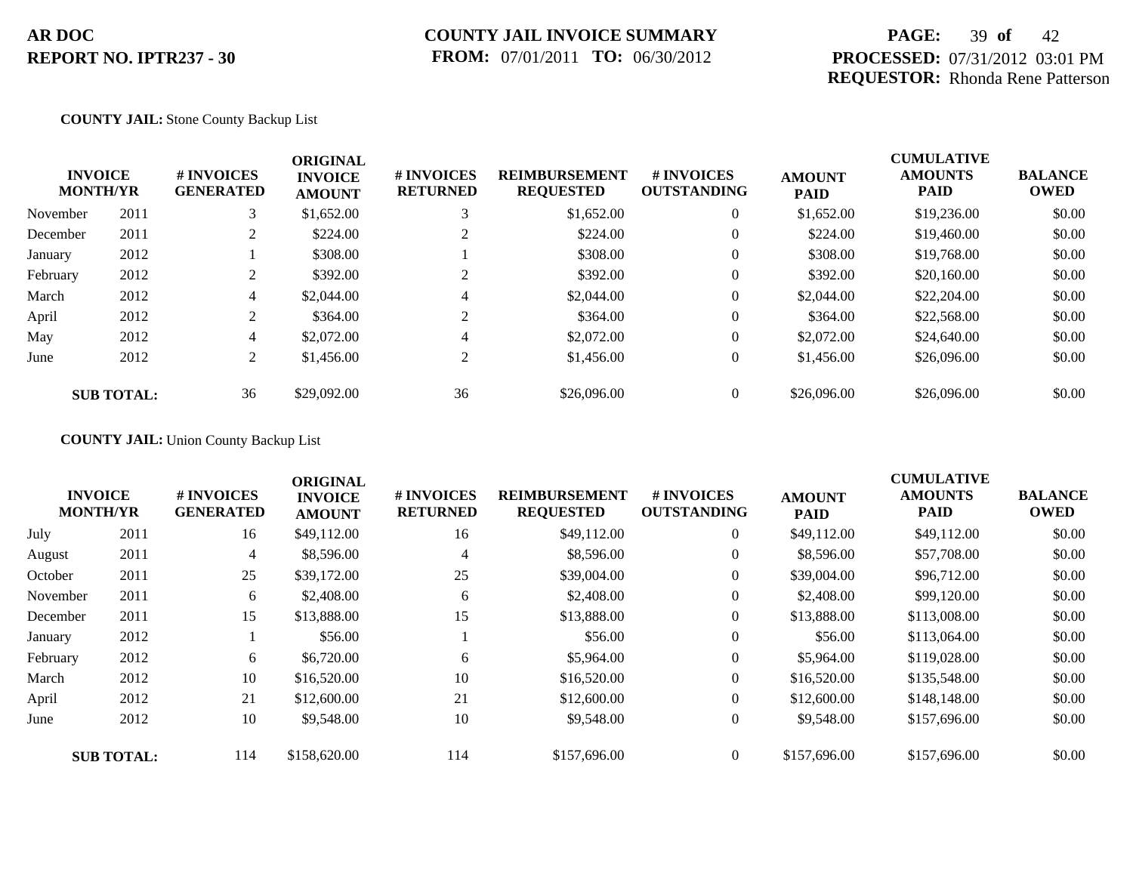# **COUNTY JAIL INVOICE SUMMARY FROM:** 07/01/2011 **TO:** 06/30/2012

# **PAGE:** 39 **of** 42 **PROCESSED:** 07/31/2012 03:01 PM **REQUESTOR:** Rhonda Rene Patterson

## **COUNTY JAIL:** Stone County Backup List

| <b>INVOICE</b><br><b>MONTH/YR</b> |                   | # INVOICES<br><b>GENERATED</b> | <b>ORIGINAL</b><br><b>INVOICE</b><br><b>AMOUNT</b> | # INVOICES<br><b>RETURNED</b> | <b>REIMBURSEMENT</b><br><b>REQUESTED</b> | <b>#INVOICES</b><br><b>OUTSTANDING</b> | <b>AMOUNT</b><br><b>PAID</b> | <b>CUMULATIVE</b><br><b>AMOUNTS</b><br><b>PAID</b> | <b>BALANCE</b><br><b>OWED</b> |
|-----------------------------------|-------------------|--------------------------------|----------------------------------------------------|-------------------------------|------------------------------------------|----------------------------------------|------------------------------|----------------------------------------------------|-------------------------------|
| November                          | 2011              | 3                              | \$1,652.00                                         |                               | \$1,652.00                               | $\theta$                               | \$1,652.00                   | \$19,236.00                                        | \$0.00                        |
| December                          | 2011              |                                | \$224.00                                           |                               | \$224.00                                 | $\theta$                               | \$224.00                     | \$19,460.00                                        | \$0.00                        |
| January                           | 2012              |                                | \$308.00                                           |                               | \$308.00                                 | $\theta$                               | \$308.00                     | \$19,768.00                                        | \$0.00                        |
| February                          | 2012              | 2                              | \$392.00                                           |                               | \$392.00                                 | $\theta$                               | \$392.00                     | \$20,160.00                                        | \$0.00                        |
| March                             | 2012              | $\overline{4}$                 | \$2,044.00                                         | 4                             | \$2,044.00                               | $\overline{0}$                         | \$2,044.00                   | \$22,204.00                                        | \$0.00                        |
| April                             | 2012              | $\mathcal{L}$                  | \$364.00                                           | ◠                             | \$364.00                                 | $\theta$                               | \$364.00                     | \$22,568.00                                        | \$0.00                        |
| May                               | 2012              | $\overline{4}$                 | \$2,072.00                                         | 4                             | \$2,072.00                               | $\overline{0}$                         | \$2,072.00                   | \$24,640.00                                        | \$0.00                        |
| June                              | 2012              | 2                              | \$1,456.00                                         | 2                             | \$1,456.00                               | $\theta$                               | \$1,456.00                   | \$26,096.00                                        | \$0.00                        |
|                                   | <b>SUB TOTAL:</b> | 36                             | \$29,092.00                                        | 36                            | \$26,096.00                              | $\theta$                               | \$26,096.00                  | \$26,096.00                                        | \$0.00                        |

## **COUNTY JAIL:** Union County Backup List

|          | <b>INVOICE</b><br><b>MONTH/YR</b> | # INVOICES<br><b>GENERATED</b> | <b>ORIGINAL</b><br><b>INVOICE</b><br><b>AMOUNT</b> | # INVOICES<br><b>RETURNED</b> | <b>REIMBURSEMENT</b><br><b>REQUESTED</b> | <b>#INVOICES</b><br><b>OUTSTANDING</b> | <b>AMOUNT</b><br><b>PAID</b> | <b>CUMULATIVE</b><br><b>AMOUNTS</b><br>PAID | <b>BALANCE</b><br><b>OWED</b> |
|----------|-----------------------------------|--------------------------------|----------------------------------------------------|-------------------------------|------------------------------------------|----------------------------------------|------------------------------|---------------------------------------------|-------------------------------|
| July     | 2011                              | 16                             | \$49,112.00                                        | 16                            | \$49,112.00                              | $\overline{0}$                         | \$49,112.00                  | \$49,112.00                                 | \$0.00                        |
| August   | 2011                              | 4                              | \$8,596.00                                         | 4                             | \$8,596.00                               | $\theta$                               | \$8,596.00                   | \$57,708.00                                 | \$0.00                        |
| October  | 2011                              | 25                             | \$39,172.00                                        | 25                            | \$39,004.00                              | $\theta$                               | \$39,004.00                  | \$96,712.00                                 | \$0.00                        |
| November | 2011                              | 6                              | \$2,408.00                                         | 6                             | \$2,408.00                               | $\overline{0}$                         | \$2,408.00                   | \$99,120.00                                 | \$0.00                        |
| December | 2011                              | 15                             | \$13,888.00                                        | 15                            | \$13,888.00                              | $\overline{0}$                         | \$13,888.00                  | \$113,008.00                                | \$0.00                        |
| January  | 2012                              |                                | \$56.00                                            |                               | \$56.00                                  | $\overline{0}$                         | \$56.00                      | \$113,064.00                                | \$0.00                        |
| February | 2012                              | 6                              | \$6,720.00                                         | 6                             | \$5,964.00                               | $\overline{0}$                         | \$5,964.00                   | \$119,028.00                                | \$0.00                        |
| March    | 2012                              | 10                             | \$16,520.00                                        | 10                            | \$16,520.00                              | $\overline{0}$                         | \$16,520.00                  | \$135,548.00                                | \$0.00                        |
| April    | 2012                              | 21                             | \$12,600.00                                        | 21                            | \$12,600.00                              | $\overline{0}$                         | \$12,600.00                  | \$148,148.00                                | \$0.00                        |
| June     | 2012                              | 10                             | \$9,548.00                                         | 10                            | \$9,548.00                               | $\overline{0}$                         | \$9,548.00                   | \$157,696.00                                | \$0.00                        |
|          | <b>SUB TOTAL:</b>                 | 114                            | \$158,620.00                                       | 114                           | \$157,696.00                             | $\overline{0}$                         | \$157,696.00                 | \$157,696.00                                | \$0.00                        |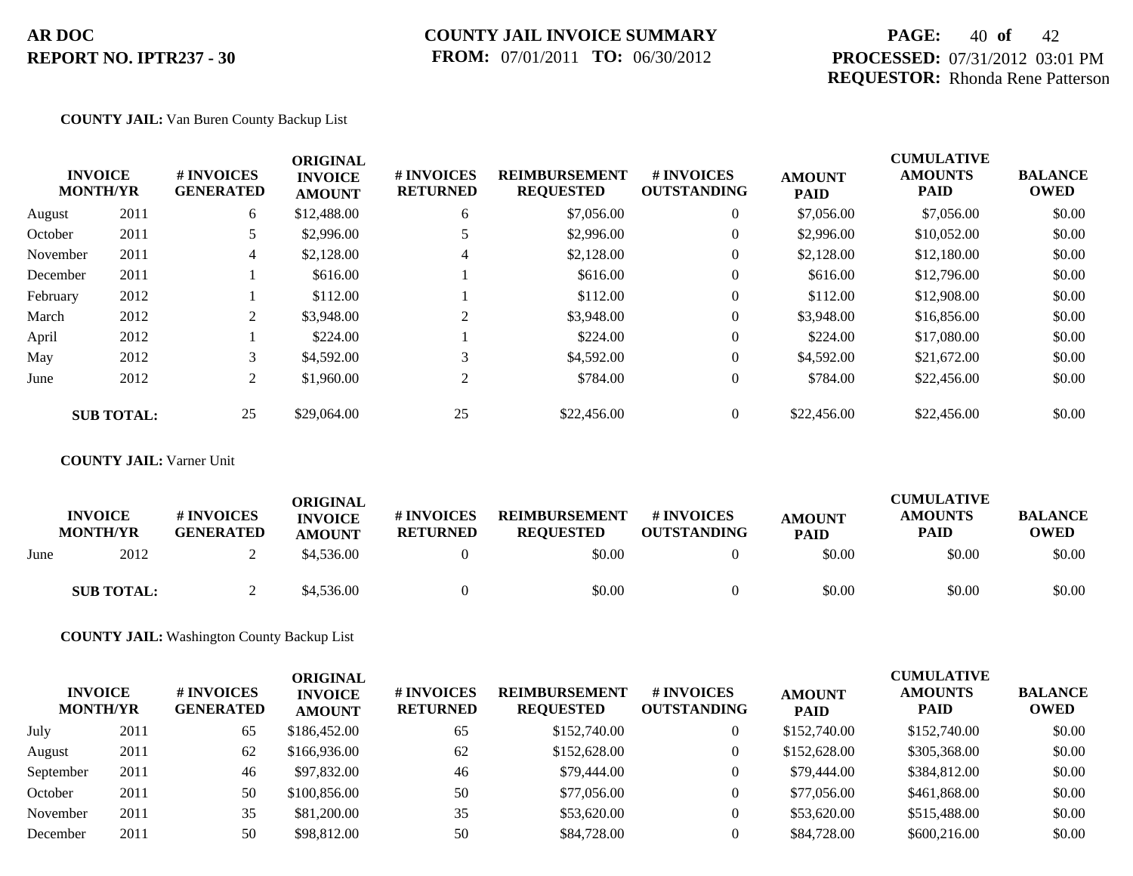## **COUNTY JAIL INVOICE SUMMARY FROM:** 07/01/2011 **TO:** 06/30/2012

# **PAGE:** 40 **of** 42 **PROCESSED:** 07/31/2012 03:01 PM **REQUESTOR:** Rhonda Rene Patterson

## **COUNTY JAIL:** Van Buren County Backup List

|          | <b>INVOICE</b><br><b>MONTH/YR</b> | # INVOICES<br><b>GENERATED</b> | <b>ORIGINAL</b><br><b>INVOICE</b><br><b>AMOUNT</b> | # INVOICES<br><b>RETURNED</b> | <b>REIMBURSEMENT</b><br><b>REQUESTED</b> | <b>#INVOICES</b><br><b>OUTSTANDING</b> | <b>AMOUNT</b><br><b>PAID</b> | <b>CUMULATIVE</b><br><b>AMOUNTS</b><br><b>PAID</b> | <b>BALANCE</b><br><b>OWED</b> |
|----------|-----------------------------------|--------------------------------|----------------------------------------------------|-------------------------------|------------------------------------------|----------------------------------------|------------------------------|----------------------------------------------------|-------------------------------|
| August   | 2011                              | 6                              | \$12,488.00                                        | 6                             | \$7,056.00                               | $\overline{0}$                         | \$7,056.00                   | \$7,056.00                                         | \$0.00                        |
| October  | 2011                              |                                | \$2,996.00                                         |                               | \$2,996.00                               | $\overline{0}$                         | \$2,996.00                   | \$10,052.00                                        | \$0.00                        |
| November | 2011                              | $\overline{4}$                 | \$2,128.00                                         | 4                             | \$2,128.00                               | $\overline{0}$                         | \$2,128.00                   | \$12,180.00                                        | \$0.00                        |
| December | 2011                              |                                | \$616.00                                           |                               | \$616.00                                 | $\overline{0}$                         | \$616.00                     | \$12,796.00                                        | \$0.00                        |
| February | 2012                              |                                | \$112.00                                           |                               | \$112.00                                 | $\overline{0}$                         | \$112.00                     | \$12,908.00                                        | \$0.00                        |
| March    | 2012                              | 2                              | \$3,948.00                                         | 2                             | \$3,948.00                               | $\overline{0}$                         | \$3,948.00                   | \$16,856.00                                        | \$0.00                        |
| April    | 2012                              |                                | \$224.00                                           |                               | \$224.00                                 | $\overline{0}$                         | \$224.00                     | \$17,080.00                                        | \$0.00                        |
| May      | 2012                              | 3                              | \$4,592.00                                         | 3                             | \$4,592.00                               | $\overline{0}$                         | \$4,592.00                   | \$21,672.00                                        | \$0.00                        |
| June     | 2012                              | 2                              | \$1,960.00                                         | 2                             | \$784.00                                 | $\overline{0}$                         | \$784.00                     | \$22,456.00                                        | \$0.00                        |
|          | <b>SUB TOTAL:</b>                 | 25                             | \$29,064.00                                        | 25                            | \$22,456.00                              | $\overline{0}$                         | \$22,456.00                  | \$22,456.00                                        | \$0.00                        |

## **COUNTY JAIL:** Varner Unit

|      | <b>INVOICE</b><br><b>MONTH/YR</b> | <b>#INVOICES</b><br><b>GENERATED</b> | <b>ORIGINAL</b><br><b>INVOICE</b><br><b>AMOUNT</b> | <b># INVOICES</b><br><b>RETURNED</b> | <b>REIMBURSEMENT</b><br><b>REOUESTED</b> | <b>#INVOICES</b><br><b>OUTSTANDING</b> | <b>AMOUNT</b><br><b>PAID</b> | <b>CUMULATIVE</b><br><b>AMOUNTS</b><br><b>PAID</b> | <b>BALANCE</b><br><b>OWED</b> |
|------|-----------------------------------|--------------------------------------|----------------------------------------------------|--------------------------------------|------------------------------------------|----------------------------------------|------------------------------|----------------------------------------------------|-------------------------------|
| June | 2012                              |                                      | \$4,536.00                                         |                                      | \$0.00                                   |                                        | \$0.00                       | \$0.00                                             | \$0.00                        |
|      | <b>SUB TOTAL:</b>                 | ∼                                    | \$4,536.00                                         |                                      | \$0.00                                   |                                        | \$0.00                       | \$0.00                                             | \$0.00                        |

**COUNTY JAIL:** Washington County Backup List

| <b>INVOICE</b><br><b>MONTH/YR</b> |      | <b>#INVOICES</b><br><b>GENERATED</b> | ORIGINAL<br><b>INVOICE</b><br><b>AMOUNT</b> | # INVOICES<br><b>RETURNED</b> | <b>REIMBURSEMENT</b><br><b>REQUESTED</b> | <b># INVOICES</b><br><b>OUTSTANDING</b> | <b>AMOUNT</b><br><b>PAID</b> | <b>CUMULATIVE</b><br><b>AMOUNTS</b><br><b>PAID</b> | <b>BALANCE</b><br><b>OWED</b> |
|-----------------------------------|------|--------------------------------------|---------------------------------------------|-------------------------------|------------------------------------------|-----------------------------------------|------------------------------|----------------------------------------------------|-------------------------------|
| July                              | 2011 | 65                                   | \$186,452.00                                | 65                            | \$152,740.00                             | $\mathbf{0}$                            | \$152,740.00                 | \$152,740.00                                       | \$0.00                        |
| August                            | 2011 | 62                                   | \$166,936.00                                | 62                            | \$152,628.00                             | $\mathbf{0}$                            | \$152,628.00                 | \$305,368.00                                       | \$0.00                        |
| September                         | 2011 | 46                                   | \$97,832.00                                 | 46                            | \$79,444.00                              | $\mathbf{0}$                            | \$79,444.00                  | \$384,812.00                                       | \$0.00                        |
| October                           | 2011 | 50                                   | \$100,856.00                                | 50                            | \$77,056.00                              | $\mathbf{0}$                            | \$77,056.00                  | \$461,868.00                                       | \$0.00                        |
| November                          | 2011 | 35                                   | \$81,200.00                                 | 35                            | \$53,620.00                              | $\theta$                                | \$53,620.00                  | \$515,488.00                                       | \$0.00                        |
| December                          | 2011 | 50                                   | \$98,812.00                                 | 50                            | \$84,728.00                              | $\Omega$                                | \$84,728.00                  | \$600,216.00                                       | \$0.00                        |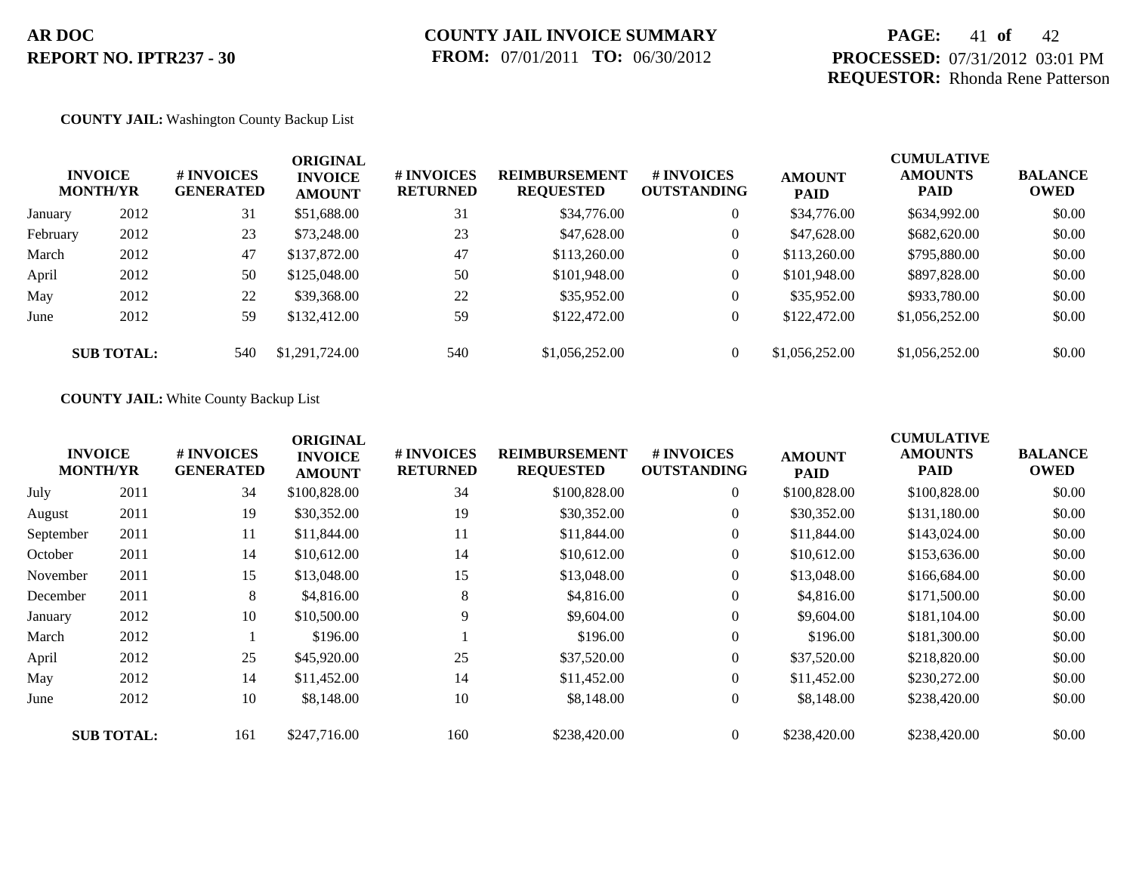# **PAGE:** 41 **of** 42 **PROCESSED:** 07/31/2012 03:01 PM **REQUESTOR:** Rhonda Rene Patterson

### **COUNTY JAIL:** Washington County Backup List

| <b>INVOICE</b><br><b>MONTH/YR</b> |                   | # INVOICES<br><b>GENERATED</b> | <b>ORIGINAL</b><br><b>INVOICE</b><br><b>AMOUNT</b> | # INVOICES<br><b>RETURNED</b> | <b>REIMBURSEMENT</b><br><b>REQUESTED</b> | <b># INVOICES</b><br><b>OUTSTANDING</b> | <b>AMOUNT</b><br><b>PAID</b> | <b>CUMULATIVE</b><br><b>AMOUNTS</b><br><b>PAID</b> | <b>BALANCE</b><br><b>OWED</b> |
|-----------------------------------|-------------------|--------------------------------|----------------------------------------------------|-------------------------------|------------------------------------------|-----------------------------------------|------------------------------|----------------------------------------------------|-------------------------------|
| January                           | 2012              | 31                             | \$51,688.00                                        | 31                            | \$34,776.00                              | $\overline{0}$                          | \$34,776.00                  | \$634,992.00                                       | \$0.00                        |
| February                          | 2012              | 23                             | \$73,248.00                                        | 23                            | \$47,628.00                              | $\overline{0}$                          | \$47,628.00                  | \$682,620.00                                       | \$0.00                        |
| March                             | 2012              | 47                             | \$137,872.00                                       | 47                            | \$113,260.00                             | $\overline{0}$                          | \$113,260.00                 | \$795,880.00                                       | \$0.00                        |
| April                             | 2012              | 50                             | \$125,048.00                                       | 50                            | \$101,948.00                             | $\overline{0}$                          | \$101,948.00                 | \$897,828.00                                       | \$0.00                        |
| May                               | 2012              | 22                             | \$39,368.00                                        | 22                            | \$35,952.00                              | $\overline{0}$                          | \$35,952.00                  | \$933,780.00                                       | \$0.00                        |
| June                              | 2012              | 59                             | \$132,412.00                                       | 59                            | \$122,472.00                             | $\overline{0}$                          | \$122,472.00                 | \$1,056,252.00                                     | \$0.00                        |
|                                   | <b>SUB TOTAL:</b> | 540                            | \$1,291,724.00                                     | 540                           | \$1,056,252.00                           | $\overline{0}$                          | \$1,056,252.00               | \$1,056,252.00                                     | \$0.00                        |

## **COUNTY JAIL:** White County Backup List

|           |                                   |                                | <b>ORIGINAL</b>                 |                               |                                          |                                  |                              | <b>CUMULATIVE</b>             |                               |
|-----------|-----------------------------------|--------------------------------|---------------------------------|-------------------------------|------------------------------------------|----------------------------------|------------------------------|-------------------------------|-------------------------------|
|           | <b>INVOICE</b><br><b>MONTH/YR</b> | # INVOICES<br><b>GENERATED</b> | <b>INVOICE</b><br><b>AMOUNT</b> | # INVOICES<br><b>RETURNED</b> | <b>REIMBURSEMENT</b><br><b>REQUESTED</b> | # INVOICES<br><b>OUTSTANDING</b> | <b>AMOUNT</b><br><b>PAID</b> | <b>AMOUNTS</b><br><b>PAID</b> | <b>BALANCE</b><br><b>OWED</b> |
| July      | 2011                              | 34                             | \$100,828.00                    | 34                            | \$100,828.00                             | $\overline{0}$                   | \$100,828.00                 | \$100,828.00                  | \$0.00                        |
| August    | 2011                              | 19                             | \$30,352.00                     | 19                            | \$30,352.00                              | $\overline{0}$                   | \$30,352.00                  | \$131,180.00                  | \$0.00                        |
| September | 2011                              | 11                             | \$11,844.00                     | 11                            | \$11,844.00                              | $\overline{0}$                   | \$11,844.00                  | \$143,024.00                  | \$0.00                        |
| October   | 2011                              | 14                             | \$10,612.00                     | 14                            | \$10,612.00                              | $\overline{0}$                   | \$10,612.00                  | \$153,636.00                  | \$0.00                        |
| November  | 2011                              | 15                             | \$13,048.00                     | 15                            | \$13,048.00                              | $\overline{0}$                   | \$13,048.00                  | \$166,684.00                  | \$0.00                        |
| December  | 2011                              | 8                              | \$4,816.00                      | 8                             | \$4,816.00                               | $\overline{0}$                   | \$4,816.00                   | \$171,500.00                  | \$0.00                        |
| January   | 2012                              | 10                             | \$10,500.00                     | 9                             | \$9,604.00                               | $\overline{0}$                   | \$9,604.00                   | \$181,104.00                  | \$0.00                        |
| March     | 2012                              |                                | \$196.00                        |                               | \$196.00                                 | $\overline{0}$                   | \$196.00                     | \$181,300.00                  | \$0.00                        |
| April     | 2012                              | 25                             | \$45,920.00                     | 25                            | \$37,520.00                              | $\overline{0}$                   | \$37,520.00                  | \$218,820.00                  | \$0.00                        |
| May       | 2012                              | 14                             | \$11,452.00                     | 14                            | \$11,452.00                              | $\overline{0}$                   | \$11,452.00                  | \$230,272.00                  | \$0.00                        |
| June      | 2012                              | 10                             | \$8,148.00                      | 10                            | \$8,148.00                               | $\overline{0}$                   | \$8,148.00                   | \$238,420.00                  | \$0.00                        |
|           | <b>SUB TOTAL:</b>                 | 161                            | \$247,716.00                    | 160                           | \$238,420.00                             | $\overline{0}$                   | \$238,420.00                 | \$238,420.00                  | \$0.00                        |